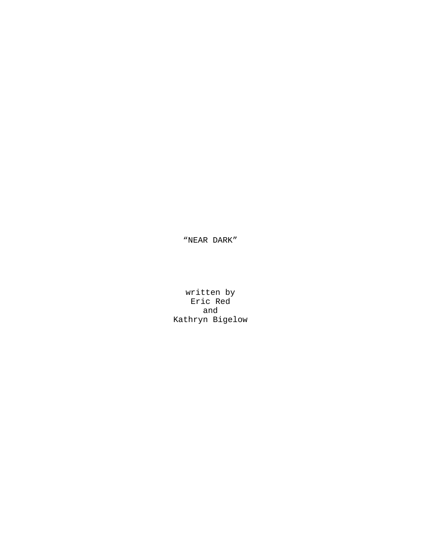"NEAR DARK"

written by Eric Red and Kathryn Bigelow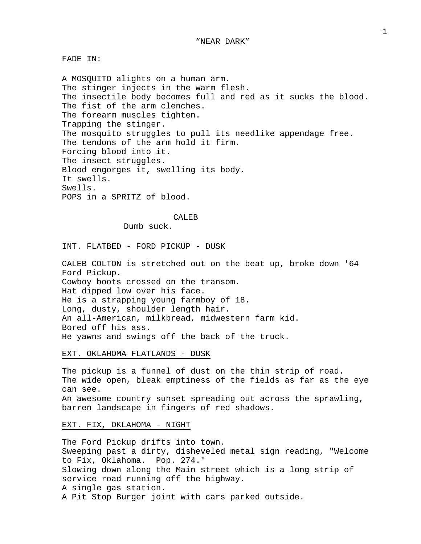FADE IN:

A MOSQUITO alights on a human arm. The stinger injects in the warm flesh. The insectile body becomes full and red as it sucks the blood. The fist of the arm clenches. The forearm muscles tighten. Trapping the stinger. The mosquito struggles to pull its needlike appendage free. The tendons of the arm hold it firm. Forcing blood into it. The insect struggles. Blood engorges it, swelling its body. It swells. Swells. POPS in a SPRITZ of blood.

## CALEB

Dumb suck.

INT. FLATBED - FORD PICKUP - DUSK

CALEB COLTON is stretched out on the beat up, broke down '64 Ford Pickup. Cowboy boots crossed on the transom. Hat dipped low over his face. He is a strapping young farmboy of 18. Long, dusty, shoulder length hair. An all-American, milkbread, midwestern farm kid. Bored off his ass. He yawns and swings off the back of the truck.

EXT. OKLAHOMA FLATLANDS - DUSK

The pickup is a funnel of dust on the thin strip of road. The wide open, bleak emptiness of the fields as far as the eye can see. An awesome country sunset spreading out across the sprawling, barren landscape in fingers of red shadows.

## EXT. FIX, OKLAHOMA - NIGHT

The Ford Pickup drifts into town. Sweeping past a dirty, disheveled metal sign reading, "Welcome to Fix, Oklahoma. Pop. 274." Slowing down along the Main street which is a long strip of service road running off the highway. A single gas station. A Pit Stop Burger joint with cars parked outside.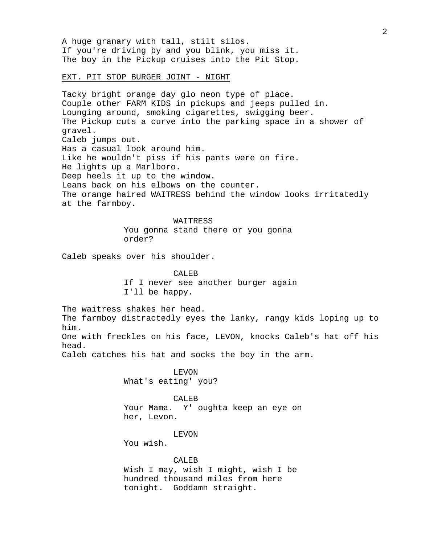A huge granary with tall, stilt silos. If you're driving by and you blink, you miss it. The boy in the Pickup cruises into the Pit Stop.

# EXT. PIT STOP BURGER JOINT - NIGHT

Tacky bright orange day glo neon type of place. Couple other FARM KIDS in pickups and jeeps pulled in. Lounging around, smoking cigarettes, swigging beer. The Pickup cuts a curve into the parking space in a shower of gravel. Caleb jumps out. Has a casual look around him. Like he wouldn't piss if his pants were on fire. He lights up a Marlboro. Deep heels it up to the window. Leans back on his elbows on the counter. The orange haired WAITRESS behind the window looks irritatedly at the farmboy.

#### WAITRESS

You gonna stand there or you gonna order?

Caleb speaks over his shoulder.

CALE<sub>B</sub> If I never see another burger again I'll be happy.

The waitress shakes her head. The farmboy distractedly eyes the lanky, rangy kids loping up to him.

One with freckles on his face, LEVON, knocks Caleb's hat off his head.

Caleb catches his hat and socks the boy in the arm.

LEVON What's eating' you?

CALEB Your Mama. Y' oughta keep an eye on her, Levon.

# LEVON

You wish.

# CALEB

Wish I may, wish I might, wish I be hundred thousand miles from here tonight. Goddamn straight.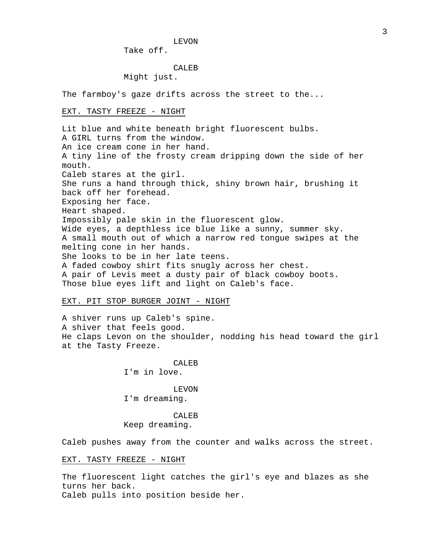LEVON

Take off.

# CALEB

Might just.

The farmboy's gaze drifts across the street to the...

## EXT. TASTY FREEZE - NIGHT

Lit blue and white beneath bright fluorescent bulbs. A GIRL turns from the window. An ice cream cone in her hand. A tiny line of the frosty cream dripping down the side of her mouth. Caleb stares at the girl. She runs a hand through thick, shiny brown hair, brushing it back off her forehead. Exposing her face. Heart shaped. Impossibly pale skin in the fluorescent glow. Wide eyes, a depthless ice blue like a sunny, summer sky. A small mouth out of which a narrow red tongue swipes at the melting cone in her hands. She looks to be in her late teens. A faded cowboy shirt fits snugly across her chest. A pair of Levis meet a dusty pair of black cowboy boots. Those blue eyes lift and light on Caleb's face.

## EXT. PIT STOP BURGER JOINT - NIGHT

A shiver runs up Caleb's spine. A shiver that feels good. He claps Levon on the shoulder, nodding his head toward the girl at the Tasty Freeze.

> CALEB I'm in love.

> LEVON I'm dreaming.

> CALEB Keep dreaming.

Caleb pushes away from the counter and walks across the street.

# EXT. TASTY FREEZE - NIGHT

The fluorescent light catches the girl's eye and blazes as she turns her back. Caleb pulls into position beside her.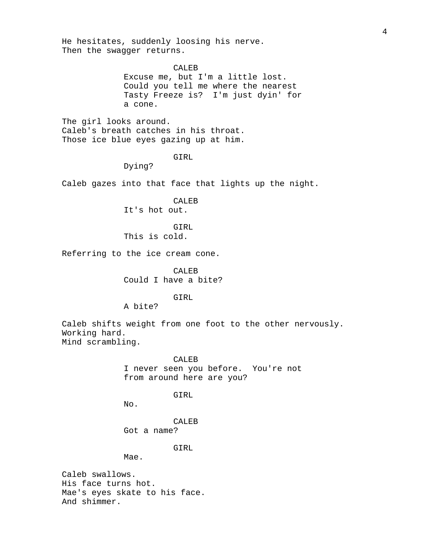He hesitates, suddenly loosing his nerve. Then the swagger returns.

CALEB

Excuse me, but I'm a little lost. Could you tell me where the nearest Tasty Freeze is? I'm just dyin' for a cone.

The girl looks around. Caleb's breath catches in his throat. Those ice blue eyes gazing up at him.

GIRL

Dying?

Caleb gazes into that face that lights up the night.

CALEB

It's hot out.

GIRL

This is cold.

Referring to the ice cream cone.

CALEB Could I have a bite?

GIRL

A bite?

Caleb shifts weight from one foot to the other nervously. Working hard. Mind scrambling.

> CALEB I never seen you before. You're not from around here are you?

> > GIRL

No.

CALEB Got a name?

GIRL

Mae.

Caleb swallows. His face turns hot. Mae's eyes skate to his face. And shimmer.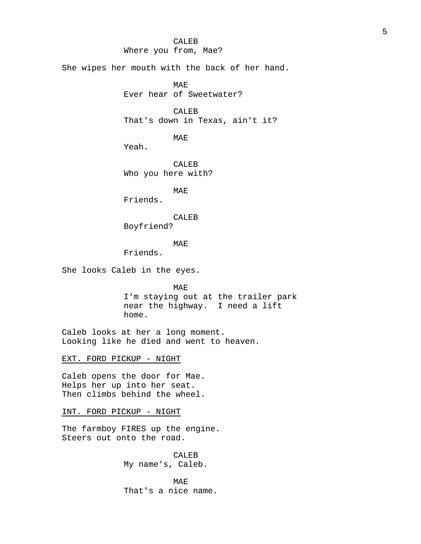# CALEB

# Where you from, Mae?

She wipes her mouth with the back of her hand.

MAE

Ever hear of Sweetwater?

CALEB That's down in Texas, ain't it?

MAE

Yeah.

CALEB Who you here with?

MAE

Friends.

CALEB

Boyfriend?

# MAE

Friends.

She looks Caleb in the eyes.

MAE I'm staying out at the trailer park near the highway. I need a lift home.

Caleb looks at her a long moment. Looking like he died and went to heaven.

EXT. FORD PICKUP - NIGHT

Caleb opens the door for Mae. Helps her up into her seat. Then climbs behind the wheel.

INT. FORD PICKUP - NIGHT

The farmboy FIRES up the engine. Steers out onto the road.

> CALEB My name's, Caleb.

MAE That's a nice name.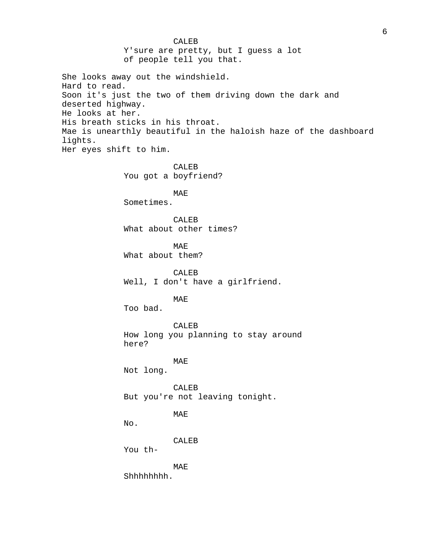CALEB Y'sure are pretty, but I guess a lot of people tell you that. She looks away out the windshield. Hard to read. Soon it's just the two of them driving down the dark and deserted highway. He looks at her. His breath sticks in his throat. Mae is unearthly beautiful in the haloish haze of the dashboard lights. Her eyes shift to him. CALEB You got a boyfriend? MAE Sometimes. CALEB What about other times? MAE What about them? CALEB Well, I don't have a girlfriend. MAE Too bad. CALEB How long you planning to stay around here? MAE Not long. CALEB But you're not leaving tonight. MAE No. CALEB You th-MAE Shhhhhhhh.

6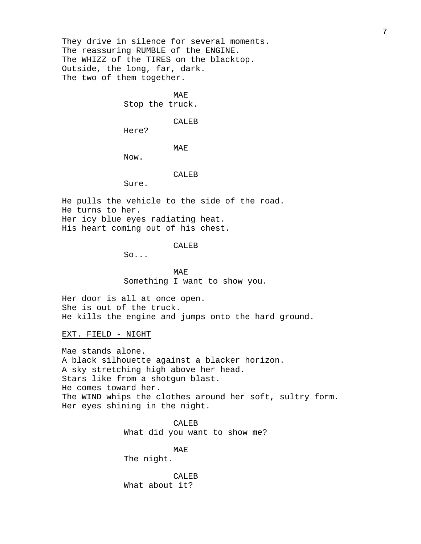They drive in silence for several moments. The reassuring RUMBLE of the ENGINE. The WHIZZ of the TIRES on the blacktop. Outside, the long, far, dark. The two of them together.

MAE

Stop the truck.

CALEB

Here?

MAE

Now.

# CALEB

Sure.

He pulls the vehicle to the side of the road. He turns to her. Her icy blue eyes radiating heat. His heart coming out of his chest.

# CALEB

So...

MAE Something I want to show you.

Her door is all at once open. She is out of the truck. He kills the engine and jumps onto the hard ground.

EXT. FIELD - NIGHT

Mae stands alone. A black silhouette against a blacker horizon. A sky stretching high above her head. Stars like from a shotgun blast. He comes toward her. The WIND whips the clothes around her soft, sultry form. Her eyes shining in the night.

> CALEB What did you want to show me?

> > MAE

The night.

CALEB What about it?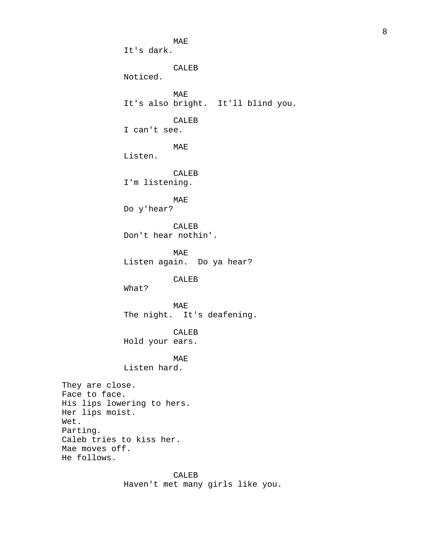MAE It's dark. CALEB Noticed. MAE It's also bright. It'll blind you. CALEB I can't see. MAE Listen. CALEB I'm listening. MAE Do y'hear? CALEB Don't hear nothin'. MAE Listen again. Do ya hear? CALEB What? MAE The night. It's deafening. CALEB Hold your ears. MAE Listen hard. They are close. Face to face. His lips lowering to hers. Her lips moist. Parting. Caleb tries to kiss her. Mae moves off. He follows.

> CALEB Haven't met many girls like you.

Wet.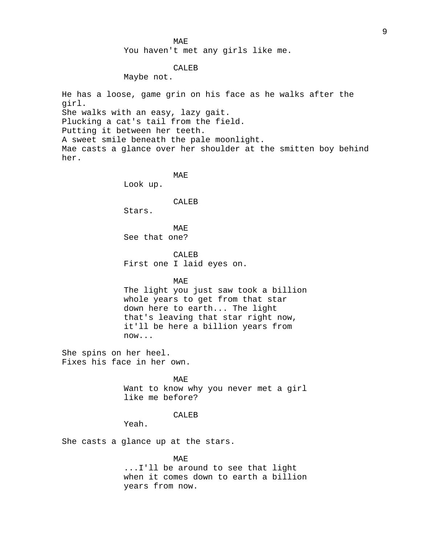## MAE

You haven't met any girls like me.

# CALEB

Maybe not.

He has a loose, game grin on his face as he walks after the girl. She walks with an easy, lazy gait. Plucking a cat's tail from the field. Putting it between her teeth. A sweet smile beneath the pale moonlight. Mae casts a glance over her shoulder at the smitten boy behind her.

> MAE Look up.

### CALEB

Stars.

**MAE** See that one?

CALEB First one I laid eyes on.

# MAE

The light you just saw took a billion whole years to get from that star down here to earth... The light that's leaving that star right now, it'll be here a billion years from now...

She spins on her heel. Fixes his face in her own.

> MAE Want to know why you never met a girl like me before?

### CALEB

Yeah.

She casts a glance up at the stars.

### MAE

...I'll be around to see that light when it comes down to earth a billion years from now.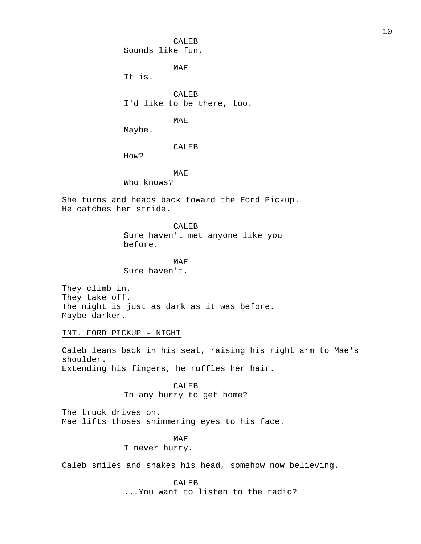CALEB Sounds like fun.

MAE

It is.

CALEB I'd like to be there, too.

MAE

Maybe.

CALEB

How?

MAE

Who knows?

She turns and heads back toward the Ford Pickup. He catches her stride.

> CALEB Sure haven't met anyone like you before.

MAE Sure haven't.

They climb in. They take off. The night is just as dark as it was before. Maybe darker.

INT. FORD PICKUP - NIGHT

Caleb leans back in his seat, raising his right arm to Mae's shoulder. Extending his fingers, he ruffles her hair.

> CALEB In any hurry to get home?

The truck drives on. Mae lifts thoses shimmering eyes to his face.

MAE

I never hurry.

Caleb smiles and shakes his head, somehow now believing.

CALEB ...You want to listen to the radio?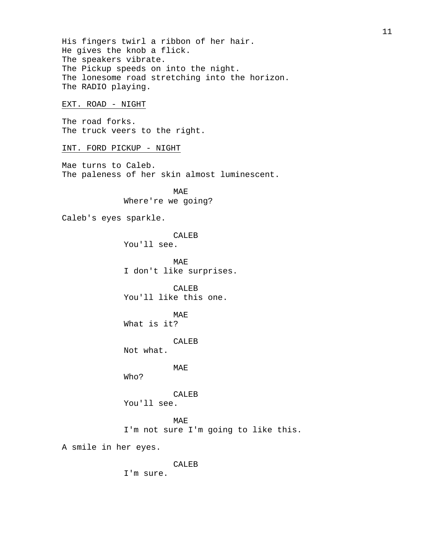His fingers twirl a ribbon of her hair. He gives the knob a flick. The speakers vibrate. The Pickup speeds on into the night. The lonesome road stretching into the horizon. The RADIO playing.

# EXT. ROAD - NIGHT

The road forks. The truck veers to the right.

## INT. FORD PICKUP - NIGHT

Mae turns to Caleb. The paleness of her skin almost luminescent.

> MAE Where're we going?

Caleb's eyes sparkle.

CALEB

You'll see.

MAE I don't like surprises.

CALEB You'll like this one.

MAE

What is it?

CALEB

Not what.

MAE

Who?

CALEB You'll see.

MAE I'm not sure I'm going to like this.

A smile in her eyes.

CALEB

I'm sure.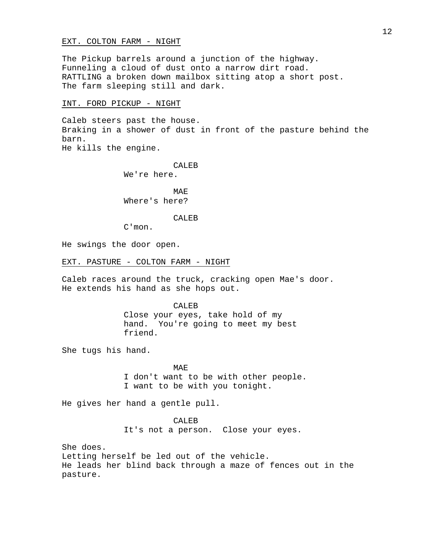## EXT. COLTON FARM - NIGHT

The Pickup barrels around a junction of the highway. Funneling a cloud of dust onto a narrow dirt road. RATTLING a broken down mailbox sitting atop a short post. The farm sleeping still and dark.

## INT. FORD PICKUP - NIGHT

Caleb steers past the house. Braking in a shower of dust in front of the pasture behind the barn.

He kills the engine.

CALEB

We're here.

MAE Where's here?

### CALEB

C'mon.

He swings the door open.

EXT. PASTURE - COLTON FARM - NIGHT

Caleb races around the truck, cracking open Mae's door. He extends his hand as she hops out.

#### CALEB

Close your eyes, take hold of my hand. You're going to meet my best friend.

She tugs his hand.

**MAE** I don't want to be with other people. I want to be with you tonight.

He gives her hand a gentle pull.

CALEB It's not a person. Close your eyes.

She does. Letting herself be led out of the vehicle. He leads her blind back through a maze of fences out in the pasture.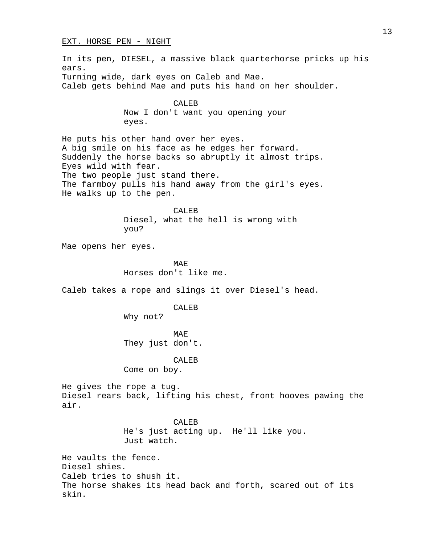### EXT. HORSE PEN - NIGHT

In its pen, DIESEL, a massive black quarterhorse pricks up his ears. Turning wide, dark eyes on Caleb and Mae. Caleb gets behind Mae and puts his hand on her shoulder.

> CALEB Now I don't want you opening your eyes.

He puts his other hand over her eyes. A big smile on his face as he edges her forward. Suddenly the horse backs so abruptly it almost trips. Eyes wild with fear. The two people just stand there. The farmboy pulls his hand away from the girl's eyes. He walks up to the pen.

> CALEB Diesel, what the hell is wrong with you?

Mae opens her eyes.

MAE Horses don't like me.

Caleb takes a rope and slings it over Diesel's head.

CALEB

Why not?

MA<sub>F</sub> They just don't.

CALEB

Come on boy.

He gives the rope a tug. Diesel rears back, lifting his chest, front hooves pawing the air.

> CALEB He's just acting up. He'll like you. Just watch.

He vaults the fence. Diesel shies. Caleb tries to shush it. The horse shakes its head back and forth, scared out of its skin.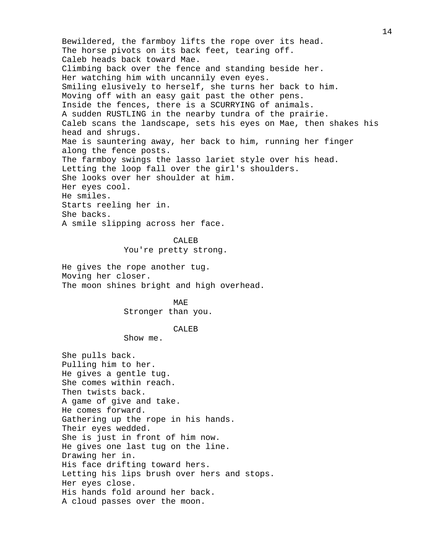Bewildered, the farmboy lifts the rope over its head. The horse pivots on its back feet, tearing off. Caleb heads back toward Mae. Climbing back over the fence and standing beside her. Her watching him with uncannily even eyes. Smiling elusively to herself, she turns her back to him. Moving off with an easy gait past the other pens. Inside the fences, there is a SCURRYING of animals. A sudden RUSTLING in the nearby tundra of the prairie. Caleb scans the landscape, sets his eyes on Mae, then shakes his head and shrugs. Mae is sauntering away, her back to him, running her finger along the fence posts. The farmboy swings the lasso lariet style over his head. Letting the loop fall over the girl's shoulders. She looks over her shoulder at him. Her eyes cool. He smiles. Starts reeling her in. She backs. A smile slipping across her face.

#### CALEB

You're pretty strong.

He gives the rope another tug. Moving her closer. The moon shines bright and high overhead.

> MAE Stronger than you.

#### CALEB

Show me.

She pulls back. Pulling him to her. He gives a gentle tug. She comes within reach. Then twists back. A game of give and take. He comes forward. Gathering up the rope in his hands. Their eyes wedded. She is just in front of him now. He gives one last tug on the line. Drawing her in. His face drifting toward hers. Letting his lips brush over hers and stops. Her eyes close. His hands fold around her back. A cloud passes over the moon.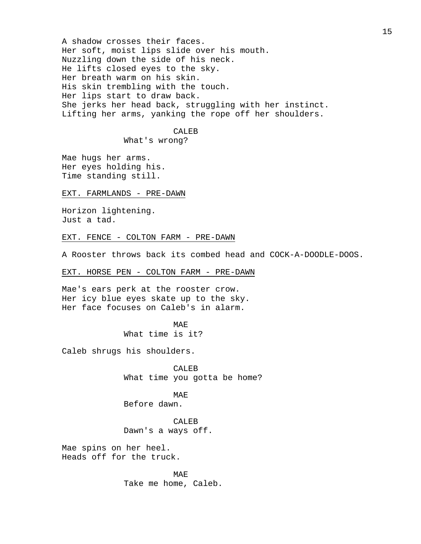A shadow crosses their faces. Her soft, moist lips slide over his mouth. Nuzzling down the side of his neck. He lifts closed eyes to the sky. Her breath warm on his skin. His skin trembling with the touch. Her lips start to draw back. She jerks her head back, struggling with her instinct. Lifting her arms, yanking the rope off her shoulders.

# CALEB

What's wrong?

Mae hugs her arms. Her eyes holding his. Time standing still.

#### EXT. FARMLANDS - PRE-DAWN

Horizon lightening. Just a tad.

## EXT. FENCE - COLTON FARM - PRE-DAWN

A Rooster throws back its combed head and COCK-A-DOODLE-DOOS.

EXT. HORSE PEN - COLTON FARM - PRE-DAWN

Mae's ears perk at the rooster crow. Her icy blue eyes skate up to the sky. Her face focuses on Caleb's in alarm.

# MAE

What time is it?

Caleb shrugs his shoulders.

CALEB What time you gotta be home?

# MAE

Before dawn.

CALEB Dawn's a ways off.

Mae spins on her heel. Heads off for the truck.

> MAE Take me home, Caleb.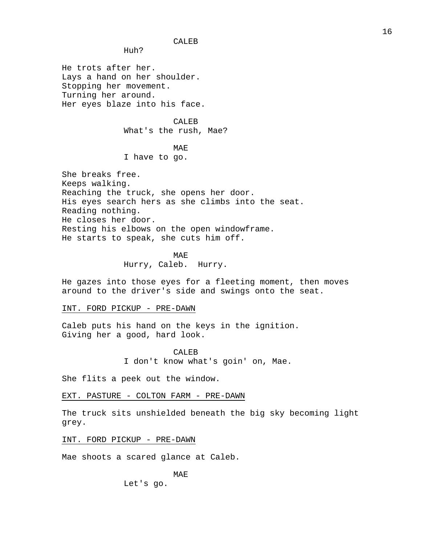CALEB

Huh?

He trots after her. Lays a hand on her shoulder. Stopping her movement. Turning her around. Her eyes blaze into his face.

> CALEB What's the rush, Mae?

# MAE

I have to go.

She breaks free. Keeps walking. Reaching the truck, she opens her door. His eyes search hers as she climbs into the seat. Reading nothing. He closes her door. Resting his elbows on the open windowframe. He starts to speak, she cuts him off.

> MAE Hurry, Caleb. Hurry.

He gazes into those eyes for a fleeting moment, then moves around to the driver's side and swings onto the seat.

INT. FORD PICKUP - PRE-DAWN

Caleb puts his hand on the keys in the ignition. Giving her a good, hard look.

> CALEB I don't know what's goin' on, Mae.

She flits a peek out the window.

EXT. PASTURE - COLTON FARM - PRE-DAWN

The truck sits unshielded beneath the big sky becoming light grey.

INT. FORD PICKUP - PRE-DAWN

Mae shoots a scared glance at Caleb.

MAE

Let's go.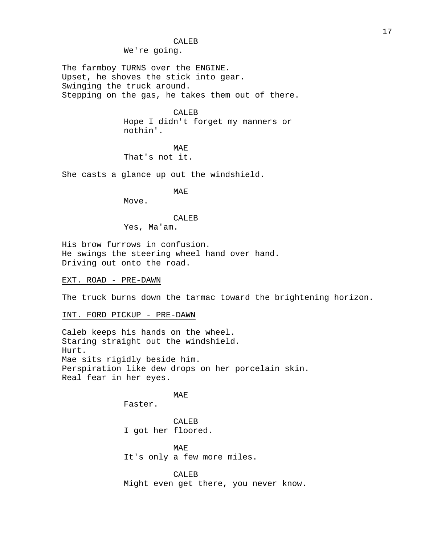# CALEB

We're going.

The farmboy TURNS over the ENGINE. Upset, he shoves the stick into gear. Swinging the truck around. Stepping on the gas, he takes them out of there.

> CALEB Hope I didn't forget my manners or nothin'.

MAE That's not it.

She casts a glance up out the windshield.

MAE

Move.

### CALEB

Yes, Ma'am.

His brow furrows in confusion. He swings the steering wheel hand over hand. Driving out onto the road.

EXT. ROAD - PRE-DAWN

The truck burns down the tarmac toward the brightening horizon.

INT. FORD PICKUP - PRE-DAWN

Caleb keeps his hands on the wheel. Staring straight out the windshield. Hurt. Mae sits rigidly beside him. Perspiration like dew drops on her porcelain skin. Real fear in her eyes.

# MAE

Faster.

CALEB I got her floored.

MAE It's only a few more miles.

CALEB Might even get there, you never know.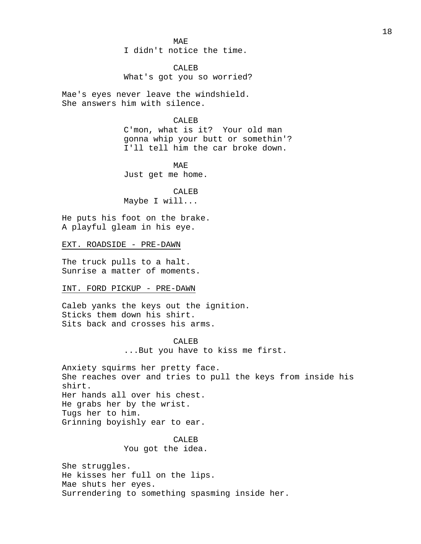MAE

I didn't notice the time.

CALEB What's got you so worried?

Mae's eyes never leave the windshield. She answers him with silence.

# CALEB

C'mon, what is it? Your old man gonna whip your butt or somethin'? I'll tell him the car broke down.

MAE Just get me home.

CALEB Maybe I will...

He puts his foot on the brake. A playful gleam in his eye.

EXT. ROADSIDE - PRE-DAWN

The truck pulls to a halt. Sunrise a matter of moments.

### INT. FORD PICKUP - PRE-DAWN

Caleb yanks the keys out the ignition. Sticks them down his shirt. Sits back and crosses his arms.

> CALEB ...But you have to kiss me first.

Anxiety squirms her pretty face. She reaches over and tries to pull the keys from inside his shirt. Her hands all over his chest. He grabs her by the wrist. Tugs her to him. Grinning boyishly ear to ear.

> CALEB You got the idea.

She struggles. He kisses her full on the lips. Mae shuts her eyes. Surrendering to something spasming inside her.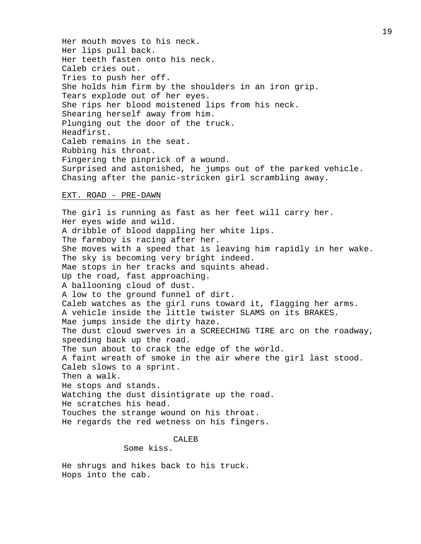Her mouth moves to his neck. Her lips pull back. Her teeth fasten onto his neck. Caleb cries out. Tries to push her off. She holds him firm by the shoulders in an iron grip. Tears explode out of her eyes. She rips her blood moistened lips from his neck. Shearing herself away from him. Plunging out the door of the truck. Headfirst. Caleb remains in the seat. Rubbing his throat. Fingering the pinprick of a wound. Surprised and astonished, he jumps out of the parked vehicle. Chasing after the panic-stricken girl scrambling away.

## EXT. ROAD - PRE-DAWN

The girl is running as fast as her feet will carry her. Her eyes wide and wild. A dribble of blood dappling her white lips. The farmboy is racing after her. She moves with a speed that is leaving him rapidly in her wake. The sky is becoming very bright indeed. Mae stops in her tracks and squints ahead. Up the road, fast approaching. A ballooning cloud of dust. A low to the ground funnel of dirt. Caleb watches as the girl runs toward it, flagging her arms. A vehicle inside the little twister SLAMS on its BRAKES. Mae jumps inside the dirty haze. The dust cloud swerves in a SCREECHING TIRE arc on the roadway, speeding back up the road. The sun about to crack the edge of the world. A faint wreath of smoke in the air where the girl last stood. Caleb slows to a sprint. Then a walk. He stops and stands. Watching the dust disintigrate up the road. He scratches his head. Touches the strange wound on his throat. He regards the red wetness on his fingers.

#### CALEB

Some kiss.

He shrugs and hikes back to his truck. Hops into the cab.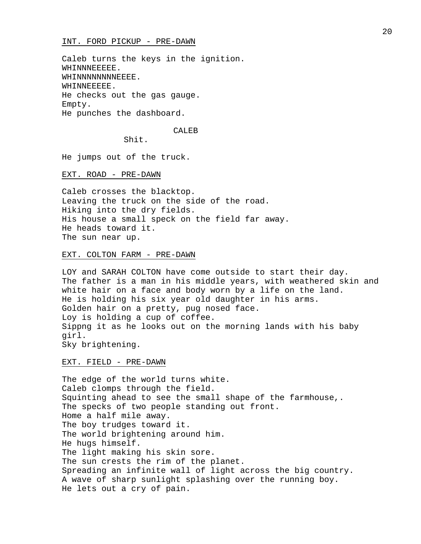Caleb turns the keys in the ignition. WHINNNEEEEE. WHINNNNNNNNEEEE. WHINNEEEEE. He checks out the gas gauge. Empty. He punches the dashboard.

### CALEB

Shit.

He jumps out of the truck.

EXT. ROAD - PRE-DAWN

Caleb crosses the blacktop. Leaving the truck on the side of the road. Hiking into the dry fields. His house a small speck on the field far away. He heads toward it. The sun near up.

## EXT. COLTON FARM - PRE-DAWN

LOY and SARAH COLTON have come outside to start their day. The father is a man in his middle years, with weathered skin and white hair on a face and body worn by a life on the land. He is holding his six year old daughter in his arms. Golden hair on a pretty, pug nosed face. Loy is holding a cup of coffee. Sippng it as he looks out on the morning lands with his baby girl. Sky brightening.

EXT. FIELD - PRE-DAWN

The edge of the world turns white. Caleb clomps through the field. Squinting ahead to see the small shape of the farmhouse,. The specks of two people standing out front. Home a half mile away. The boy trudges toward it. The world brightening around him. He hugs himself. The light making his skin sore. The sun crests the rim of the planet. Spreading an infinite wall of light across the big country. A wave of sharp sunlight splashing over the running boy. He lets out a cry of pain.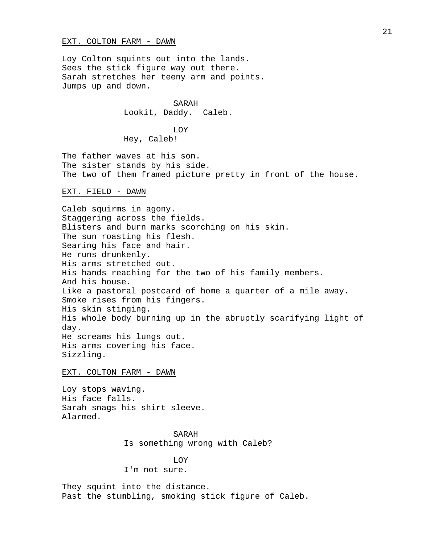## EXT. COLTON FARM - DAWN

Loy Colton squints out into the lands. Sees the stick figure way out there. Sarah stretches her teeny arm and points. Jumps up and down.

> SARAH Lookit, Daddy. Caleb.

# LOY

Hey, Caleb!

The father waves at his son. The sister stands by his side. The two of them framed picture pretty in front of the house.

EXT. FIELD - DAWN

Caleb squirms in agony. Staggering across the fields. Blisters and burn marks scorching on his skin. The sun roasting his flesh. Searing his face and hair. He runs drunkenly. His arms stretched out. His hands reaching for the two of his family members. And his house. Like a pastoral postcard of home a quarter of a mile away. Smoke rises from his fingers. His skin stinging. His whole body burning up in the abruptly scarifying light of day. He screams his lungs out. His arms covering his face. Sizzling.

### EXT. COLTON FARM - DAWN

Loy stops waving. His face falls. Sarah snags his shirt sleeve. Alarmed.

> SARAH Is something wrong with Caleb?

# LOY

I'm not sure.

They squint into the distance. Past the stumbling, smoking stick figure of Caleb.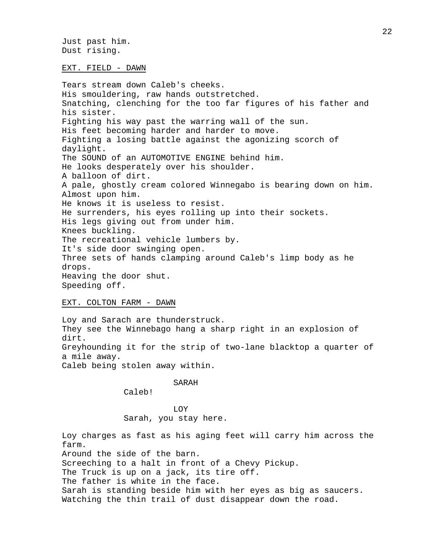Just past him. Dust rising.

## EXT. FIELD - DAWN

Tears stream down Caleb's cheeks. His smouldering, raw hands outstretched. Snatching, clenching for the too far figures of his father and his sister. Fighting his way past the warring wall of the sun. His feet becoming harder and harder to move. Fighting a losing battle against the agonizing scorch of daylight. The SOUND of an AUTOMOTIVE ENGINE behind him. He looks desperately over his shoulder. A balloon of dirt. A pale, ghostly cream colored Winnegabo is bearing down on him. Almost upon him. He knows it is useless to resist. He surrenders, his eyes rolling up into their sockets. His legs giving out from under him. Knees buckling. The recreational vehicle lumbers by. It's side door swinging open. Three sets of hands clamping around Caleb's limp body as he drops. Heaving the door shut. Speeding off.

# EXT. COLTON FARM - DAWN

Loy and Sarach are thunderstruck. They see the Winnebago hang a sharp right in an explosion of dirt. Greyhounding it for the strip of two-lane blacktop a quarter of a mile away. Caleb being stolen away within.

# SARAH

Caleb!

LOY Sarah, you stay here.

Loy charges as fast as his aging feet will carry him across the farm. Around the side of the barn. Screeching to a halt in front of a Chevy Pickup. The Truck is up on a jack, its tire off. The father is white in the face. Sarah is standing beside him with her eyes as big as saucers. Watching the thin trail of dust disappear down the road.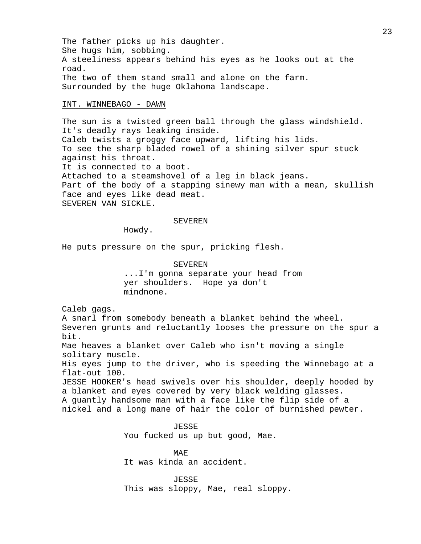The father picks up his daughter. She hugs him, sobbing. A steeliness appears behind his eyes as he looks out at the road. The two of them stand small and alone on the farm. Surrounded by the huge Oklahoma landscape.

## INT. WINNEBAGO - DAWN

The sun is a twisted green ball through the glass windshield. It's deadly rays leaking inside. Caleb twists a groggy face upward, lifting his lids. To see the sharp bladed rowel of a shining silver spur stuck against his throat. It is connected to a boot. Attached to a steamshovel of a leg in black jeans. Part of the body of a stapping sinewy man with a mean, skullish face and eyes like dead meat. SEVEREN VAN SICKLE.

## SEVEREN

Howdy.

He puts pressure on the spur, pricking flesh.

SEVEREN ...I'm gonna separate your head from yer shoulders. Hope ya don't mindnone.

Caleb gags.

A snarl from somebody beneath a blanket behind the wheel. Severen grunts and reluctantly looses the pressure on the spur a bit. Mae heaves a blanket over Caleb who isn't moving a single solitary muscle.

His eyes jump to the driver, who is speeding the Winnebago at a flat-out 100.

JESSE HOOKER's head swivels over his shoulder, deeply hooded by a blanket and eyes covered by very black welding glasses. A guantly handsome man with a face like the flip side of a nickel and a long mane of hair the color of burnished pewter.

JESSE

You fucked us up but good, Mae.

MAE It was kinda an accident.

JESSE This was sloppy, Mae, real sloppy.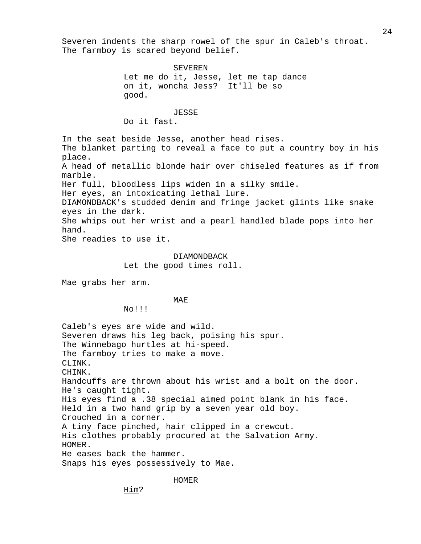24

Severen indents the sharp rowel of the spur in Caleb's throat. The farmboy is scared beyond belief.

SEVEREN Let me do it, Jesse, let me tap dance on it, woncha Jess? It'll be so good. JESSE Do it fast. In the seat beside Jesse, another head rises. The blanket parting to reveal a face to put a country boy in his place. A head of metallic blonde hair over chiseled features as if from marble. Her full, bloodless lips widen in a silky smile. Her eyes, an intoxicating lethal lure. DIAMONDBACK's studded denim and fringe jacket glints like snake eyes in the dark. She whips out her wrist and a pearl handled blade pops into her hand. She readies to use it. DIAMONDBACK Let the good times roll. Mae grabs her arm. MAE No!!! Caleb's eyes are wide and wild. Severen draws his leg back, poising his spur. The Winnebago hurtles at hi-speed. The farmboy tries to make a move. CLINK. CHINK. Handcuffs are thrown about his wrist and a bolt on the door. He's caught tight. His eyes find a .38 special aimed point blank in his face. Held in a two hand grip by a seven year old boy.

Crouched in a corner.

A tiny face pinched, hair clipped in a crewcut. His clothes probably procured at the Salvation Army.

HOMER. He eases back the hammer.

Snaps his eyes possessively to Mae.

HOMER

Him?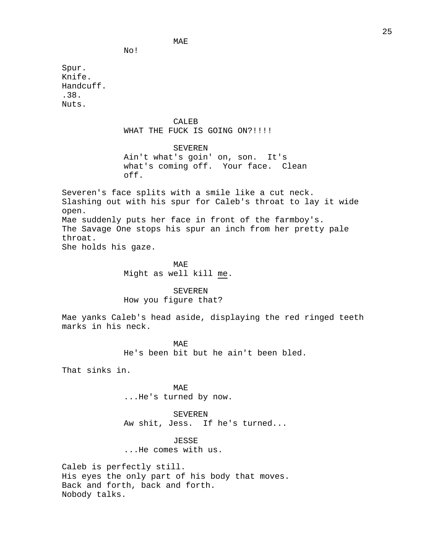No!

Spur. Knife. Handcuff. .38. Nuts.

# CALEB

MAE

# WHAT THE FUCK IS GOING ON?!!!!

SEVEREN Ain't what's goin' on, son. It's what's coming off. Your face. Clean off.

Severen's face splits with a smile like a cut neck. Slashing out with his spur for Caleb's throat to lay it wide open. Mae suddenly puts her face in front of the farmboy's. The Savage One stops his spur an inch from her pretty pale throat.

She holds his gaze.

MAE Might as well kill me.

SEVEREN How you figure that?

Mae yanks Caleb's head aside, displaying the red ringed teeth marks in his neck.

> MAE He's been bit but he ain't been bled.

That sinks in.

MAE ...He's turned by now.

SEVEREN Aw shit, Jess. If he's turned...

JESSE ...He comes with us.

Caleb is perfectly still. His eyes the only part of his body that moves. Back and forth, back and forth. Nobody talks.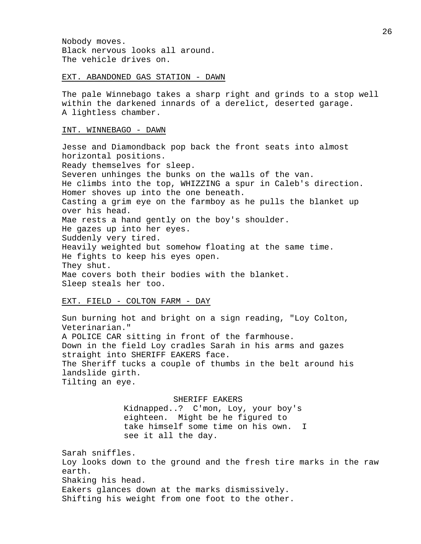Nobody moves. Black nervous looks all around. The vehicle drives on.

### EXT. ABANDONED GAS STATION - DAWN

The pale Winnebago takes a sharp right and grinds to a stop well within the darkened innards of a derelict, deserted garage. A lightless chamber.

## INT. WINNEBAGO - DAWN

Jesse and Diamondback pop back the front seats into almost horizontal positions. Ready themselves for sleep. Severen unhinges the bunks on the walls of the van. He climbs into the top, WHIZZING a spur in Caleb's direction. Homer shoves up into the one beneath. Casting a grim eye on the farmboy as he pulls the blanket up over his head. Mae rests a hand gently on the boy's shoulder. He gazes up into her eyes. Suddenly very tired. Heavily weighted but somehow floating at the same time. He fights to keep his eyes open. They shut. Mae covers both their bodies with the blanket. Sleep steals her too.

## EXT. FIELD - COLTON FARM - DAY

Sun burning hot and bright on a sign reading, "Loy Colton, Veterinarian." A POLICE CAR sitting in front of the farmhouse. Down in the field Loy cradles Sarah in his arms and gazes straight into SHERIFF EAKERS face. The Sheriff tucks a couple of thumbs in the belt around his landslide girth. Tilting an eye.

> SHERIFF EAKERS Kidnapped..? C'mon, Loy, your boy's eighteen. Might be he figured to take himself some time on his own. I see it all the day.

Sarah sniffles. Loy looks down to the ground and the fresh tire marks in the raw earth. Shaking his head. Eakers glances down at the marks dismissively. Shifting his weight from one foot to the other.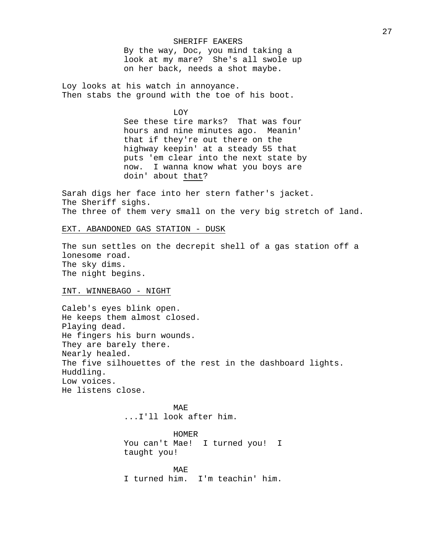## SHERIFF EAKERS

By the way, Doc, you mind taking a look at my mare? She's all swole up on her back, needs a shot maybe.

Loy looks at his watch in annoyance. Then stabs the ground with the toe of his boot.

LOY

See these tire marks? That was four hours and nine minutes ago. Meanin' that if they're out there on the highway keepin' at a steady 55 that puts 'em clear into the next state by now. I wanna know what you boys are doin' about that?

Sarah digs her face into her stern father's jacket. The Sheriff sighs. The three of them very small on the very big stretch of land.

# EXT. ABANDONED GAS STATION - DUSK

The sun settles on the decrepit shell of a gas station off a lonesome road. The sky dims. The night begins.

## INT. WINNEBAGO - NIGHT

Caleb's eyes blink open. He keeps them almost closed. Playing dead. He fingers his burn wounds. They are barely there. Nearly healed. The five silhouettes of the rest in the dashboard lights. Huddling. Low voices. He listens close.

> MAE ...I'll look after him.

HOMER You can't Mae! I turned you! I taught you!

MAE I turned him. I'm teachin' him.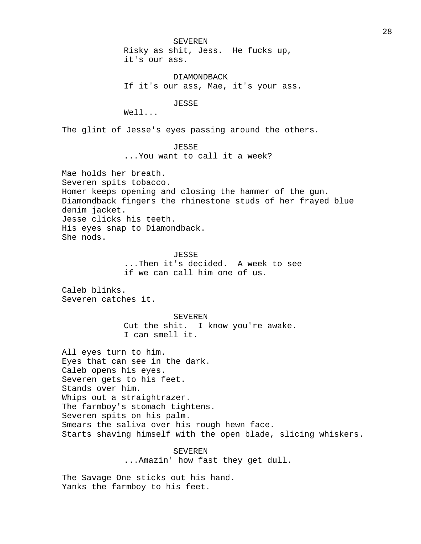SEVEREN Risky as shit, Jess. He fucks up, it's our ass.

DIAMONDBACK If it's our ass, Mae, it's your ass.

JESSE

Well...

The glint of Jesse's eyes passing around the others.

# JESSE

...You want to call it a week?

Mae holds her breath. Severen spits tobacco. Homer keeps opening and closing the hammer of the gun. Diamondback fingers the rhinestone studs of her frayed blue denim jacket. Jesse clicks his teeth. His eyes snap to Diamondback. She nods.

> JESSE ...Then it's decided. A week to see if we can call him one of us.

Caleb blinks. Severen catches it.

> SEVEREN Cut the shit. I know you're awake. I can smell it.

All eyes turn to him. Eyes that can see in the dark. Caleb opens his eyes. Severen gets to his feet. Stands over him. Whips out a straightrazer. The farmboy's stomach tightens. Severen spits on his palm. Smears the saliva over his rough hewn face. Starts shaving himself with the open blade, slicing whiskers.

> SEVEREN ...Amazin' how fast they get dull.

The Savage One sticks out his hand. Yanks the farmboy to his feet.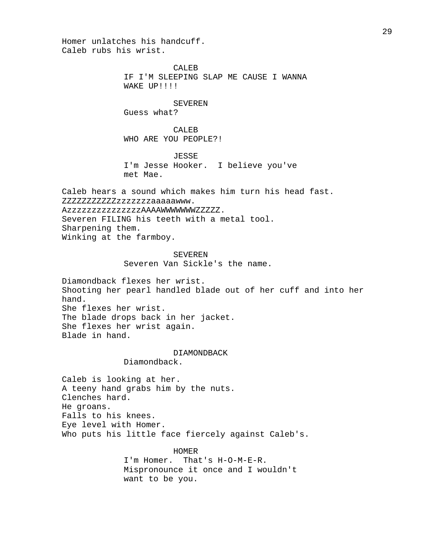Homer unlatches his handcuff. Caleb rubs his wrist.

> CALEB IF I'M SLEEPING SLAP ME CAUSE I WANNA WAKE UP!!!!

SEVEREN Guess what?

CALEB WHO ARE YOU PEOPLE?!

JESSE

I'm Jesse Hooker. I believe you've met Mae.

Caleb hears a sound which makes him turn his head fast. ZZZZZZZZZZZzzzzzzzaaaaawww. AzzzzzzzzzzzzzzzAAAAWWWWWWWZZZZZ. Severen FILING his teeth with a metal tool. Sharpening them. Winking at the farmboy.

SEVEREN

Severen Van Sickle's the name.

Diamondback flexes her wrist. Shooting her pearl handled blade out of her cuff and into her hand. She flexes her wrist. The blade drops back in her jacket. She flexes her wrist again. Blade in hand.

DIAMONDBACK

Diamondback.

Caleb is looking at her. A teeny hand grabs him by the nuts. Clenches hard. He groans. Falls to his knees. Eye level with Homer. Who puts his little face fiercely against Caleb's.

HOMER

I'm Homer. That's H-O-M-E-R. Mispronounce it once and I wouldn't want to be you.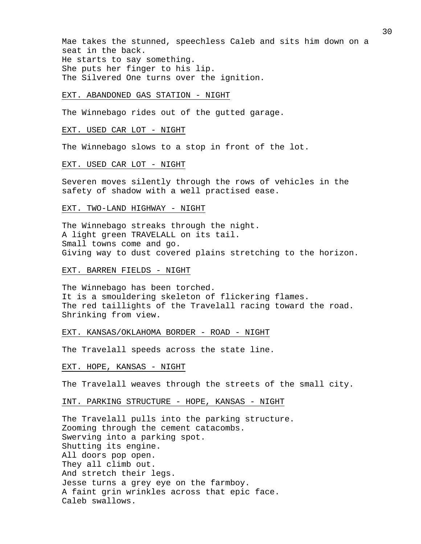Mae takes the stunned, speechless Caleb and sits him down on a seat in the back. He starts to say something. She puts her finger to his lip. The Silvered One turns over the ignition.

#### EXT. ABANDONED GAS STATION - NIGHT

The Winnebago rides out of the gutted garage.

## EXT. USED CAR LOT - NIGHT

The Winnebago slows to a stop in front of the lot.

#### EXT. USED CAR LOT - NIGHT

Severen moves silently through the rows of vehicles in the safety of shadow with a well practised ease.

### EXT. TWO-LAND HIGHWAY - NIGHT

The Winnebago streaks through the night. A light green TRAVELALL on its tail. Small towns come and go. Giving way to dust covered plains stretching to the horizon.

### EXT. BARREN FIELDS - NIGHT

The Winnebago has been torched. It is a smouldering skeleton of flickering flames. The red taillights of the Travelall racing toward the road. Shrinking from view.

# EXT. KANSAS/OKLAHOMA BORDER - ROAD - NIGHT

The Travelall speeds across the state line.

# EXT. HOPE, KANSAS - NIGHT

The Travelall weaves through the streets of the small city.

### INT. PARKING STRUCTURE - HOPE, KANSAS - NIGHT

The Travelall pulls into the parking structure. Zooming through the cement catacombs. Swerving into a parking spot. Shutting its engine. All doors pop open. They all climb out. And stretch their legs. Jesse turns a grey eye on the farmboy. A faint grin wrinkles across that epic face. Caleb swallows.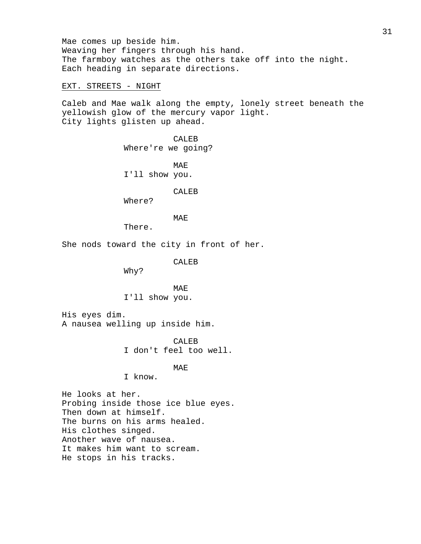Mae comes up beside him. Weaving her fingers through his hand. The farmboy watches as the others take off into the night. Each heading in separate directions.

EXT. STREETS - NIGHT

Caleb and Mae walk along the empty, lonely street beneath the yellowish glow of the mercury vapor light. City lights glisten up ahead.

> CALEB Where're we going?

MAE I'll show you.

CALEB

Where?

MAE

There.

She nods toward the city in front of her.

CALEB

Why?

MAE I'll show you.

His eyes dim. A nausea welling up inside him.

> CALEB I don't feel too well.

> > MAE

I know.

He looks at her. Probing inside those ice blue eyes. Then down at himself. The burns on his arms healed. His clothes singed. Another wave of nausea. It makes him want to scream. He stops in his tracks.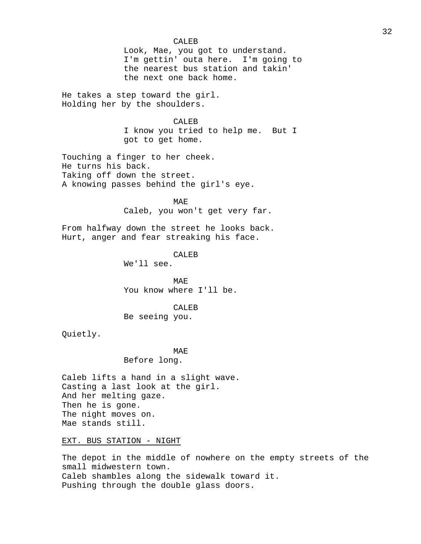### CALEB

Look, Mae, you got to understand. I'm gettin' outa here. I'm going to the nearest bus station and takin' the next one back home.

He takes a step toward the girl. Holding her by the shoulders.

# CALEB

I know you tried to help me. But I got to get home.

Touching a finger to her cheek. He turns his back. Taking off down the street. A knowing passes behind the girl's eye.

> MAE Caleb, you won't get very far.

From halfway down the street he looks back. Hurt, anger and fear streaking his face.

# CALEB

We'll see.

MAE You know where I'll be.

### CALEB

Be seeing you.

Quietly.

# MAE Before long.

Caleb lifts a hand in a slight wave. Casting a last look at the girl. And her melting gaze. Then he is gone. The night moves on. Mae stands still.

EXT. BUS STATION - NIGHT

The depot in the middle of nowhere on the empty streets of the small midwestern town. Caleb shambles along the sidewalk toward it. Pushing through the double glass doors.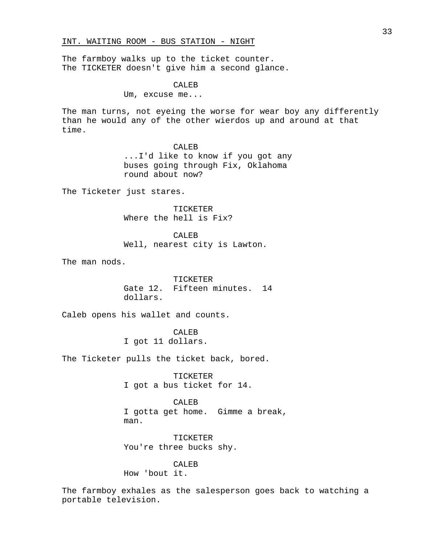The farmboy walks up to the ticket counter. The TICKETER doesn't give him a second glance.

CALEB

Um, excuse me...

The man turns, not eyeing the worse for wear boy any differently than he would any of the other wierdos up and around at that time.

> CALEB ...I'd like to know if you got any buses going through Fix, Oklahoma round about now?

The Ticketer just stares.

TICKETER Where the hell is Fix?

CALEB

Well, nearest city is Lawton.

The man nods.

TICKETER Gate 12. Fifteen minutes. 14 dollars.

Caleb opens his wallet and counts.

CALEB I got 11 dollars.

The Ticketer pulls the ticket back, bored.

TICKETER I got a bus ticket for 14.

CALEB

I gotta get home. Gimme a break, man.

TICKETER You're three bucks shy.

CALEB How 'bout it.

The farmboy exhales as the salesperson goes back to watching a portable television.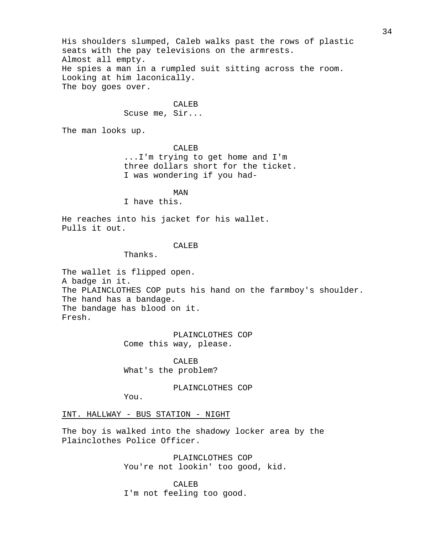His shoulders slumped, Caleb walks past the rows of plastic seats with the pay televisions on the armrests. Almost all empty. He spies a man in a rumpled suit sitting across the room. Looking at him laconically. The boy goes over.

# CALEB

Scuse me, Sir...

The man looks up.

CALEB

...I'm trying to get home and I'm three dollars short for the ticket. I was wondering if you had-

MAN

I have this.

He reaches into his jacket for his wallet. Pulls it out.

#### CALEB

Thanks.

The wallet is flipped open. A badge in it. The PLAINCLOTHES COP puts his hand on the farmboy's shoulder. The hand has a bandage. The bandage has blood on it. Fresh.

> PLAINCLOTHES COP Come this way, please.

CALEB What's the problem?

PLAINCLOTHES COP

You.

INT. HALLWAY - BUS STATION - NIGHT

The boy is walked into the shadowy locker area by the Plainclothes Police Officer.

> PLAINCLOTHES COP You're not lookin' too good, kid.

CALEB I'm not feeling too good.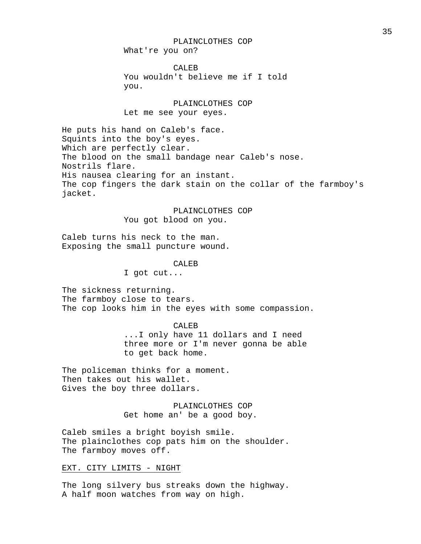What're you on?

CALEB You wouldn't believe me if I told you.

PLAINCLOTHES COP Let me see your eyes.

He puts his hand on Caleb's face. Squints into the boy's eyes. Which are perfectly clear. The blood on the small bandage near Caleb's nose. Nostrils flare. His nausea clearing for an instant. The cop fingers the dark stain on the collar of the farmboy's jacket.

PLAINCLOTHES COP

You got blood on you.

Caleb turns his neck to the man. Exposing the small puncture wound.

CALEB

I got cut...

The sickness returning. The farmboy close to tears. The cop looks him in the eyes with some compassion.

CALEB

...I only have 11 dollars and I need three more or I'm never gonna be able to get back home.

The policeman thinks for a moment. Then takes out his wallet. Gives the boy three dollars.

> PLAINCLOTHES COP Get home an' be a good boy.

Caleb smiles a bright boyish smile. The plainclothes cop pats him on the shoulder. The farmboy moves off.

# EXT. CITY LIMITS - NIGHT

The long silvery bus streaks down the highway. A half moon watches from way on high.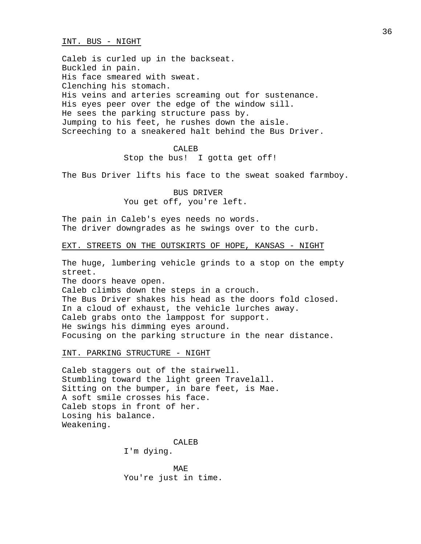#### INT. BUS - NIGHT

Caleb is curled up in the backseat. Buckled in pain. His face smeared with sweat. Clenching his stomach. His veins and arteries screaming out for sustenance. His eyes peer over the edge of the window sill. He sees the parking structure pass by. Jumping to his feet, he rushes down the aisle. Screeching to a sneakered halt behind the Bus Driver.

#### CALE<sub>B</sub>

Stop the bus! I gotta get off!

The Bus Driver lifts his face to the sweat soaked farmboy.

BUS DRIVER You get off, you're left.

The pain in Caleb's eyes needs no words. The driver downgrades as he swings over to the curb.

### EXT. STREETS ON THE OUTSKIRTS OF HOPE, KANSAS - NIGHT

The huge, lumbering vehicle grinds to a stop on the empty street.

The doors heave open.

Caleb climbs down the steps in a crouch. The Bus Driver shakes his head as the doors fold closed. In a cloud of exhaust, the vehicle lurches away. Caleb grabs onto the lamppost for support. He swings his dimming eyes around. Focusing on the parking structure in the near distance.

INT. PARKING STRUCTURE - NIGHT

Caleb staggers out of the stairwell. Stumbling toward the light green Travelall. Sitting on the bumper, in bare feet, is Mae. A soft smile crosses his face. Caleb stops in front of her. Losing his balance. Weakening.

CALEB

I'm dying.

MAE You're just in time.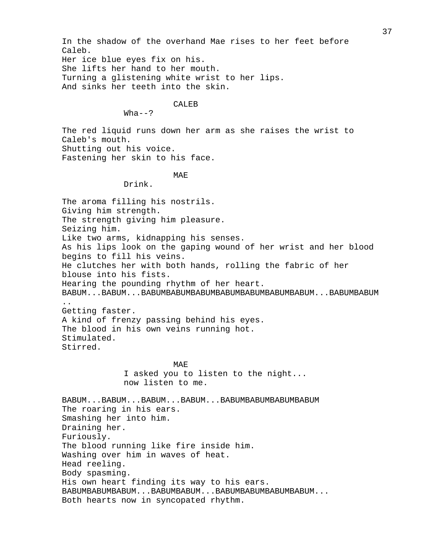In the shadow of the overhand Mae rises to her feet before Caleb. Her ice blue eyes fix on his. She lifts her hand to her mouth. Turning a glistening white wrist to her lips. And sinks her teeth into the skin.

## CALEB<sub>B</sub>

#### $Wha--?$

The red liquid runs down her arm as she raises the wrist to Caleb's mouth. Shutting out his voice. Fastening her skin to his face.

## MAE

Drink.

The aroma filling his nostrils. Giving him strength. The strength giving him pleasure. Seizing him. Like two arms, kidnapping his senses. As his lips look on the gaping wound of her wrist and her blood begins to fill his veins. He clutches her with both hands, rolling the fabric of her blouse into his fists. Hearing the pounding rhythm of her heart. BABUM...BABUM...BABUMBABUMBABUMBABUMBABUMBABUMBABUM...BABUMBABUM .. Getting faster. A kind of frenzy passing behind his eyes. The blood in his own veins running hot. Stimulated. Stirred. MAE I asked you to listen to the night... now listen to me. BABUM...BABUM...BABUM...BABUM...BABUMBABUMBABUMBABUM The roaring in his ears. Smashing her into him. Draining her. Furiously. The blood running like fire inside him. Washing over him in waves of heat. Head reeling. Body spasming. His own heart finding its way to his ears. BABUMBABUMBABUM...BABUMBABUM...BABUMBABUMBABUMBABUM... Both hearts now in syncopated rhythm.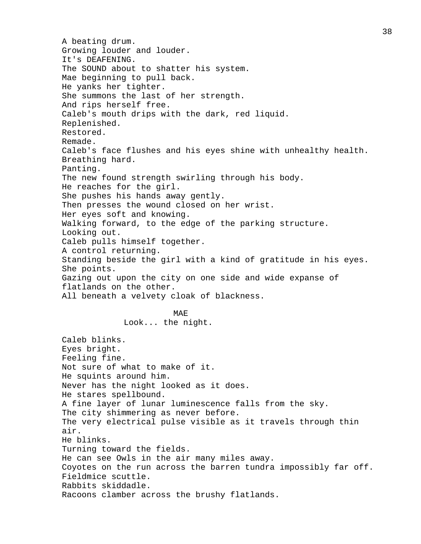A beating drum. Growing louder and louder. It's DEAFENING. The SOUND about to shatter his system. Mae beginning to pull back. He yanks her tighter. She summons the last of her strength. And rips herself free. Caleb's mouth drips with the dark, red liquid. Replenished. Restored. Remade. Caleb's face flushes and his eyes shine with unhealthy health. Breathing hard. Panting. The new found strength swirling through his body. He reaches for the girl. She pushes his hands away gently. Then presses the wound closed on her wrist. Her eyes soft and knowing. Walking forward, to the edge of the parking structure. Looking out. Caleb pulls himself together. A control returning. Standing beside the girl with a kind of gratitude in his eyes. She points. Gazing out upon the city on one side and wide expanse of flatlands on the other. All beneath a velvety cloak of blackness. MAE Look... the night. Caleb blinks. Eyes bright. Feeling fine. Not sure of what to make of it. He squints around him. Never has the night looked as it does. He stares spellbound. A fine layer of lunar luminescence falls from the sky. The city shimmering as never before. The very electrical pulse visible as it travels through thin air. He blinks. Turning toward the fields. He can see Owls in the air many miles away. Coyotes on the run across the barren tundra impossibly far off. Fieldmice scuttle. Rabbits skiddadle. Racoons clamber across the brushy flatlands.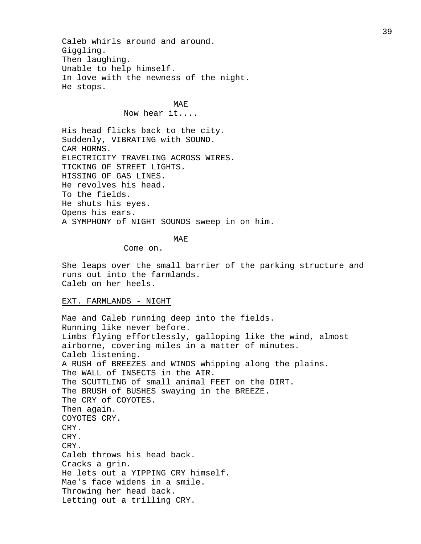Caleb whirls around and around. Giggling. Then laughing. Unable to help himself. In love with the newness of the night. He stops.

# MA<sub>E</sub>

## Now hear it....

His head flicks back to the city. Suddenly, VIBRATING with SOUND. CAR HORNS. ELECTRICITY TRAVELING ACROSS WIRES. TICKING OF STREET LIGHTS. HISSING OF GAS LINES. He revolves his head. To the fields. He shuts his eyes. Opens his ears. A SYMPHONY of NIGHT SOUNDS sweep in on him.

### MAE

Come on.

She leaps over the small barrier of the parking structure and runs out into the farmlands. Caleb on her heels.

## EXT. FARMLANDS - NIGHT

Mae and Caleb running deep into the fields. Running like never before. Limbs flying effortlessly, galloping like the wind, almost airborne, covering miles in a matter of minutes. Caleb listening. A RUSH of BREEZES and WINDS whipping along the plains. The WALL of INSECTS in the AIR. The SCUTTLING of small animal FEET on the DIRT. The BRUSH of BUSHES swaying in the BREEZE. The CRY of COYOTES. Then again. COYOTES CRY. CRY. CRY. CRY. Caleb throws his head back. Cracks a grin. He lets out a YIPPING CRY himself. Mae's face widens in a smile. Throwing her head back. Letting out a trilling CRY.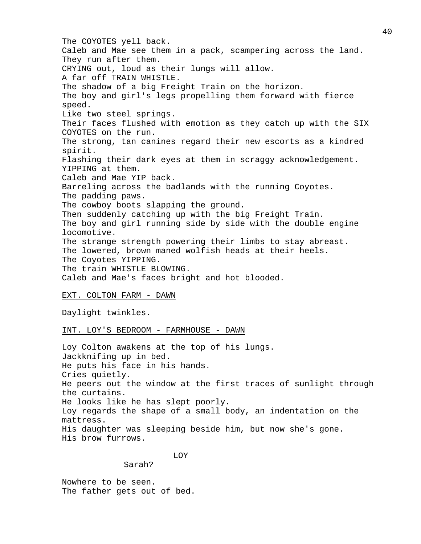The COYOTES yell back. Caleb and Mae see them in a pack, scampering across the land. They run after them. CRYING out, loud as their lungs will allow. A far off TRAIN WHISTLE. The shadow of a big Freight Train on the horizon. The boy and girl's legs propelling them forward with fierce speed. Like two steel springs. Their faces flushed with emotion as they catch up with the SIX COYOTES on the run. The strong, tan canines regard their new escorts as a kindred spirit. Flashing their dark eyes at them in scraggy acknowledgement. YIPPING at them. Caleb and Mae YIP back. Barreling across the badlands with the running Coyotes. The padding paws. The cowboy boots slapping the ground. Then suddenly catching up with the big Freight Train. The boy and girl running side by side with the double engine locomotive. The strange strength powering their limbs to stay abreast. The lowered, brown maned wolfish heads at their heels. The Coyotes YIPPING. The train WHISTLE BLOWING. Caleb and Mae's faces bright and hot blooded.

## EXT. COLTON FARM - DAWN

Daylight twinkles.

## INT. LOY'S BEDROOM - FARMHOUSE - DAWN

Loy Colton awakens at the top of his lungs. Jackknifing up in bed. He puts his face in his hands. Cries quietly. He peers out the window at the first traces of sunlight through the curtains. He looks like he has slept poorly. Loy regards the shape of a small body, an indentation on the mattress. His daughter was sleeping beside him, but now she's gone. His brow furrows.

# LOY

Sarah?

Nowhere to be seen. The father gets out of bed.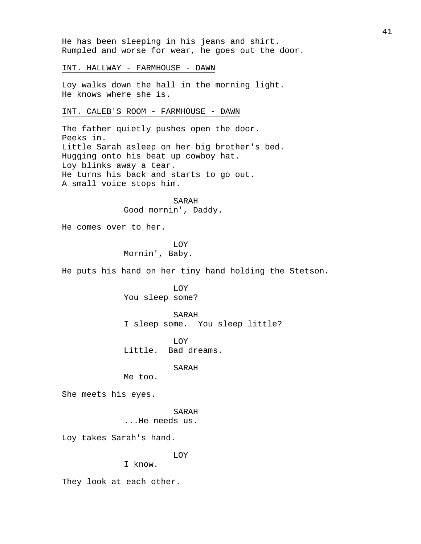He has been sleeping in his jeans and shirt. Rumpled and worse for wear, he goes out the door.

## INT. HALLWAY - FARMHOUSE - DAWN

Loy walks down the hall in the morning light. He knows where she is.

#### INT. CALEB'S ROOM - FARMHOUSE - DAWN

The father quietly pushes open the door. Peeks in. Little Sarah asleep on her big brother's bed. Hugging onto his beat up cowboy hat. Loy blinks away a tear. He turns his back and starts to go out. A small voice stops him.

> SARAH Good mornin', Daddy.

He comes over to her.

# LOY Mornin', Baby.

He puts his hand on her tiny hand holding the Stetson.

LOY You sleep some?

#### SARAH

I sleep some. You sleep little?

LOY Little. Bad dreams.

#### SARAH

Me too.

She meets his eyes.

## SARAH

...He needs us.

Loy takes Sarah's hand.

# LOY

I know.

They look at each other.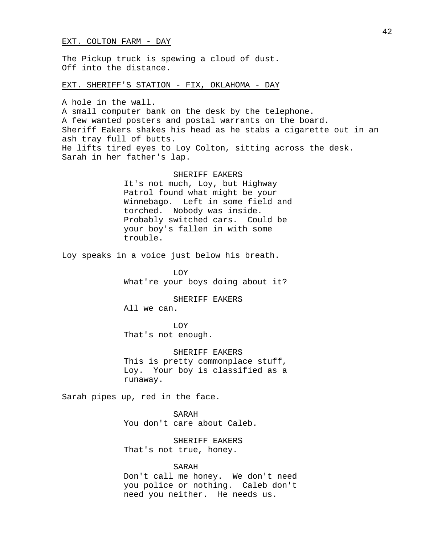#### EXT. COLTON FARM - DAY

The Pickup truck is spewing a cloud of dust. Off into the distance.

EXT. SHERIFF'S STATION - FIX, OKLAHOMA - DAY

A hole in the wall. A small computer bank on the desk by the telephone. A few wanted posters and postal warrants on the board. Sheriff Eakers shakes his head as he stabs a cigarette out in an ash tray full of butts. He lifts tired eyes to Loy Colton, sitting across the desk. Sarah in her father's lap.

> SHERIFF EAKERS It's not much, Loy, but Highway Patrol found what might be your Winnebago. Left in some field and torched. Nobody was inside. Probably switched cars. Could be your boy's fallen in with some trouble.

Loy speaks in a voice just below his breath.

LOY What're your boys doing about it?

SHERIFF EAKERS All we can.

LOY That's not enough.

SHERIFF EAKERS This is pretty commonplace stuff, Loy. Your boy is classified as a runaway.

Sarah pipes up, red in the face.

SARAH You don't care about Caleb.

SHERIFF EAKERS That's not true, honey.

SARAH Don't call me honey. We don't need you police or nothing. Caleb don't need you neither. He needs us.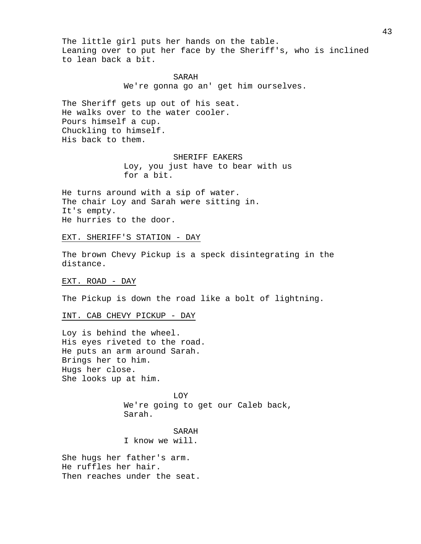The little girl puts her hands on the table. Leaning over to put her face by the Sheriff's, who is inclined to lean back a bit.

> SARAH We're gonna go an' get him ourselves.

The Sheriff gets up out of his seat. He walks over to the water cooler. Pours himself a cup. Chuckling to himself. His back to them.

#### SHERIFF EAKERS

Loy, you just have to bear with us for a bit.

He turns around with a sip of water. The chair Loy and Sarah were sitting in. It's empty. He hurries to the door.

# EXT. SHERIFF'S STATION - DAY

The brown Chevy Pickup is a speck disintegrating in the distance.

EXT. ROAD - DAY

The Pickup is down the road like a bolt of lightning.

#### INT. CAB CHEVY PICKUP - DAY

Loy is behind the wheel. His eyes riveted to the road. He puts an arm around Sarah. Brings her to him. Hugs her close. She looks up at him.

> LOY We're going to get our Caleb back, Sarah.

SARAH I know we will.

She hugs her father's arm. He ruffles her hair. Then reaches under the seat.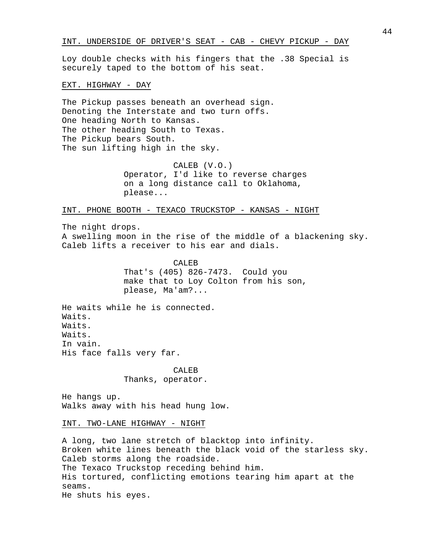Loy double checks with his fingers that the .38 Special is securely taped to the bottom of his seat.

EXT. HIGHWAY - DAY

The Pickup passes beneath an overhead sign. Denoting the Interstate and two turn offs. One heading North to Kansas. The other heading South to Texas. The Pickup bears South. The sun lifting high in the sky.

> CALEB (V.O.) Operator, I'd like to reverse charges on a long distance call to Oklahoma, please...

INT. PHONE BOOTH - TEXACO TRUCKSTOP - KANSAS - NIGHT

The night drops.

A swelling moon in the rise of the middle of a blackening sky. Caleb lifts a receiver to his ear and dials.

> CALEB That's (405) 826-7473. Could you make that to Loy Colton from his son, please, Ma'am?...

He waits while he is connected. Waits. Waits. Waits. In vain. His face falls very far.

> CALEB Thanks, operator.

He hangs up. Walks away with his head hung low.

INT. TWO-LANE HIGHWAY - NIGHT

A long, two lane stretch of blacktop into infinity. Broken white lines beneath the black void of the starless sky. Caleb storms along the roadside. The Texaco Truckstop receding behind him. His tortured, conflicting emotions tearing him apart at the seams. He shuts his eyes.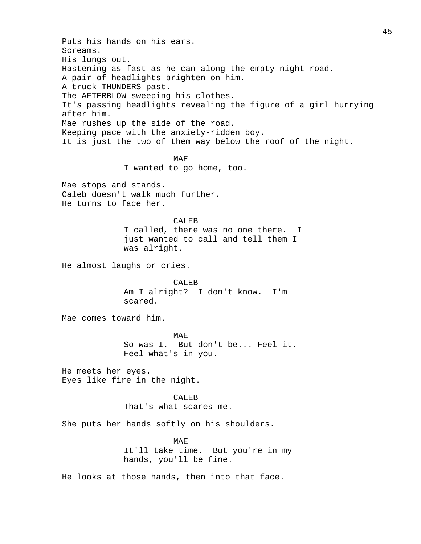Puts his hands on his ears. Screams. His lungs out. Hastening as fast as he can along the empty night road. A pair of headlights brighten on him. A truck THUNDERS past. The AFTERBLOW sweeping his clothes. It's passing headlights revealing the figure of a girl hurrying after him. Mae rushes up the side of the road. Keeping pace with the anxiety-ridden boy. It is just the two of them way below the roof of the night. MAE I wanted to go home, too. Mae stops and stands. Caleb doesn't walk much further. He turns to face her. CALEB I called, there was no one there. I just wanted to call and tell them I was alright. He almost laughs or cries. CALEB Am I alright? I don't know. I'm scared. Mae comes toward him. MAE So was I. But don't be... Feel it. Feel what's in you. He meets her eyes. Eyes like fire in the night. CALEB That's what scares me. She puts her hands softly on his shoulders.

> MAE It'll take time. But you're in my hands, you'll be fine.

He looks at those hands, then into that face.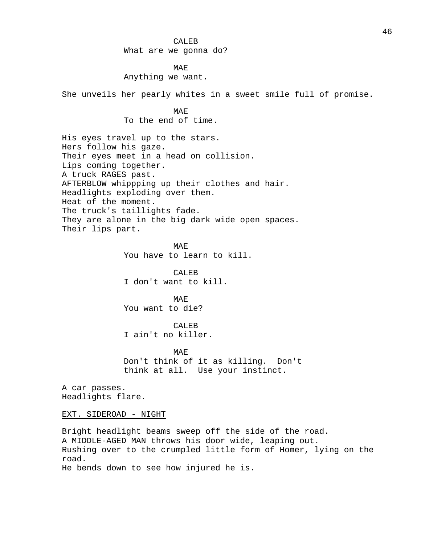## CALEB

What are we gonna do?

MAE Anything we want.

She unveils her pearly whites in a sweet smile full of promise.

MAE To the end of time.

His eyes travel up to the stars. Hers follow his gaze. Their eyes meet in a head on collision. Lips coming together. A truck RAGES past. AFTERBLOW whippping up their clothes and hair. Headlights exploding over them. Heat of the moment. The truck's taillights fade. They are alone in the big dark wide open spaces. Their lips part.

> MAE You have to learn to kill.

CALEB I don't want to kill.

MAE You want to die?

CALEB I ain't no killer.

MAE Don't think of it as killing. Don't think at all. Use your instinct.

A car passes. Headlights flare.

EXT. SIDEROAD - NIGHT

Bright headlight beams sweep off the side of the road. A MIDDLE-AGED MAN throws his door wide, leaping out. Rushing over to the crumpled little form of Homer, lying on the road. He bends down to see how injured he is.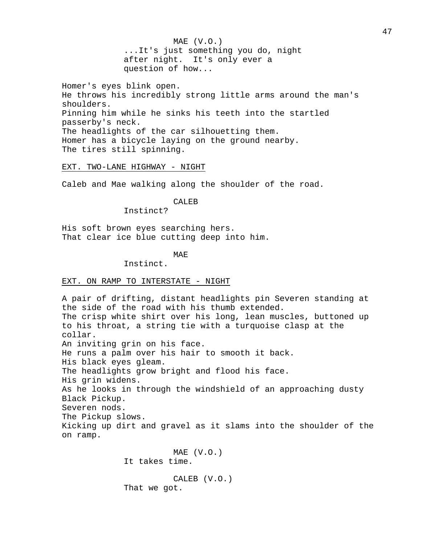MAE (V.O.) ...It's just something you do, night after night. It's only ever a question of how...

Homer's eyes blink open. He throws his incredibly strong little arms around the man's shoulders. Pinning him while he sinks his teeth into the startled passerby's neck. The headlights of the car silhouetting them. Homer has a bicycle laying on the ground nearby. The tires still spinning.

EXT. TWO-LANE HIGHWAY - NIGHT

Caleb and Mae walking along the shoulder of the road.

CALEB

Instinct?

His soft brown eyes searching hers. That clear ice blue cutting deep into him.

## MAE

Instinct.

### EXT. ON RAMP TO INTERSTATE - NIGHT

A pair of drifting, distant headlights pin Severen standing at the side of the road with his thumb extended. The crisp white shirt over his long, lean muscles, buttoned up to his throat, a string tie with a turquoise clasp at the collar. An inviting grin on his face. He runs a palm over his hair to smooth it back. His black eyes gleam. The headlights grow bright and flood his face. His grin widens. As he looks in through the windshield of an approaching dusty Black Pickup. Severen nods. The Pickup slows. Kicking up dirt and gravel as it slams into the shoulder of the on ramp. MAE (V.O.) It takes time.

> CALEB (V.O.) That we got.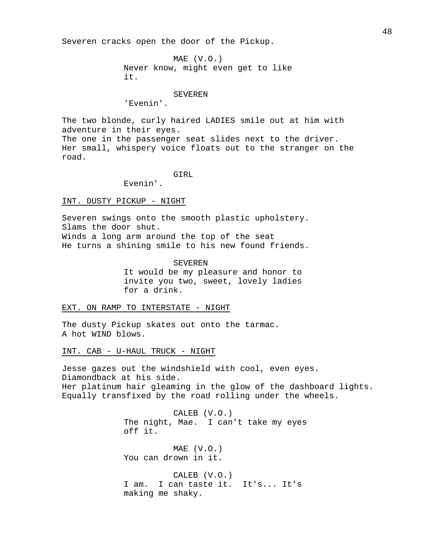Severen cracks open the door of the Pickup.

MAE (V.O.) Never know, might even get to like it.

## SEVEREN

'Evenin'.

The two blonde, curly haired LADIES smile out at him with adventure in their eyes. The one in the passenger seat slides next to the driver. Her small, whispery voice floats out to the stranger on the road.

GIRL

Evenin'.

INT. DUSTY PICKUP - NIGHT

Severen swings onto the smooth plastic upholstery. Slams the door shut. Winds a long arm around the top of the seat He turns a shining smile to his new found friends.

#### SEVEREN

It would be my pleasure and honor to invite you two, sweet, lovely ladies for a drink.

# EXT. ON RAMP TO INTERSTATE - NIGHT

The dusty Pickup skates out onto the tarmac. A hot WIND blows.

INT. CAB - U-HAUL TRUCK - NIGHT

Jesse gazes out the windshield with cool, even eyes. Diamondback at his side. Her platinum hair gleaming in the glow of the dashboard lights. Equally transfixed by the road rolling under the wheels.

> CALEB (V.O.) The night, Mae. I can't take my eyes off it.

MAE (V.O.) You can drown in it.

CALEB (V.O.) I am. I can taste it. It's... It's making me shaky.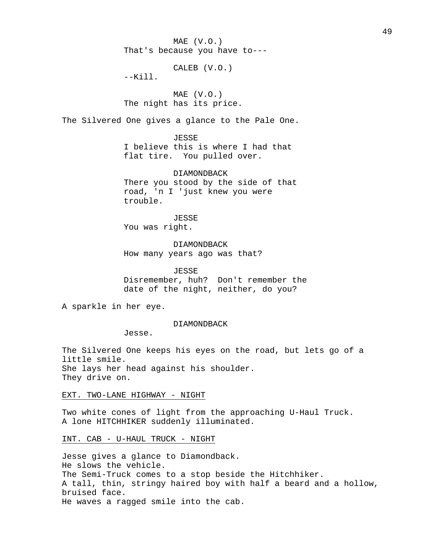MAE (V.O.) That's because you have to---

CALEB (V.O.)

 $--$ Kill.

MAE (V.O.) The night has its price.

The Silvered One gives a glance to the Pale One.

**JESSE** I believe this is where I had that flat tire. You pulled over.

DIAMONDBACK There you stood by the side of that road, 'n I 'just knew you were trouble.

JESSE You was right.

DIAMONDBACK How many years ago was that?

JESSE Disremember, huh? Don't remember the

date of the night, neither, do you?

A sparkle in her eye.

DIAMONDBACK

Jesse.

The Silvered One keeps his eyes on the road, but lets go of a little smile. She lays her head against his shoulder. They drive on.

EXT. TWO-LANE HIGHWAY - NIGHT

Two white cones of light from the approaching U-Haul Truck. A lone HITCHHIKER suddenly illuminated.

INT. CAB - U-HAUL TRUCK - NIGHT

Jesse gives a glance to Diamondback. He slows the vehicle. The Semi-Truck comes to a stop beside the Hitchhiker. A tall, thin, stringy haired boy with half a beard and a hollow, bruised face. He waves a ragged smile into the cab.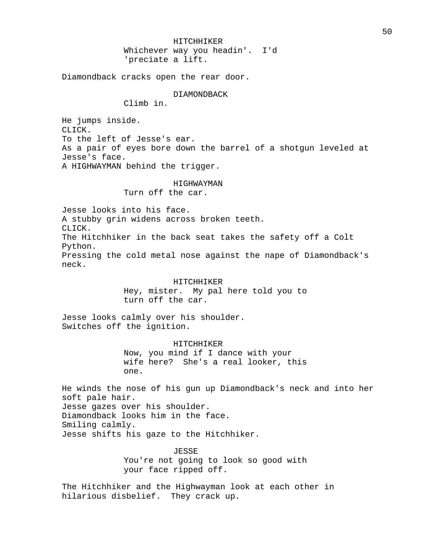HITCHHIKER Whichever way you headin'. I'd 'preciate a lift.

Diamondback cracks open the rear door.

DIAMONDBACK

Climb in.

He jumps inside. CLICK. To the left of Jesse's ear. As a pair of eyes bore down the barrel of a shotgun leveled at Jesse's face. A HIGHWAYMAN behind the trigger.

#### HIGHWAYMAN

Turn off the car.

Jesse looks into his face. A stubby grin widens across broken teeth. CLICK. The Hitchhiker in the back seat takes the safety off a Colt Python. Pressing the cold metal nose against the nape of Diamondback's neck.

> HITCHHIKER Hey, mister. My pal here told you to turn off the car.

Jesse looks calmly over his shoulder. Switches off the ignition.

> HITCHHIKER Now, you mind if I dance with your wife here? She's a real looker, this one.

He winds the nose of his gun up Diamondback's neck and into her soft pale hair. Jesse gazes over his shoulder. Diamondback looks him in the face. Smiling calmly. Jesse shifts his gaze to the Hitchhiker.

> JESSE You're not going to look so good with your face ripped off.

The Hitchhiker and the Highwayman look at each other in hilarious disbelief. They crack up.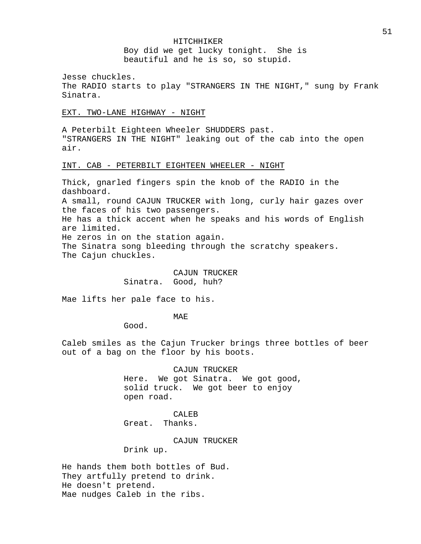#### HITCHHIKER

Boy did we get lucky tonight. She is beautiful and he is so, so stupid.

Jesse chuckles.

The RADIO starts to play "STRANGERS IN THE NIGHT," sung by Frank Sinatra.

EXT. TWO-LANE HIGHWAY - NIGHT

A Peterbilt Eighteen Wheeler SHUDDERS past. "STRANGERS IN THE NIGHT" leaking out of the cab into the open air.

## INT. CAB - PETERBILT EIGHTEEN WHEELER - NIGHT

Thick, gnarled fingers spin the knob of the RADIO in the dashboard. A small, round CAJUN TRUCKER with long, curly hair gazes over the faces of his two passengers. He has a thick accent when he speaks and his words of English are limited. He zeros in on the station again. The Sinatra song bleeding through the scratchy speakers. The Cajun chuckles.

> CAJUN TRUCKER Sinatra. Good, huh?

Mae lifts her pale face to his.

MAE

Good.

Caleb smiles as the Cajun Trucker brings three bottles of beer out of a bag on the floor by his boots.

> CAJUN TRUCKER Here. We got Sinatra. We got good, solid truck. We got beer to enjoy open road.

CALEB Great. Thanks.

CAJUN TRUCKER

Drink up.

He hands them both bottles of Bud. They artfully pretend to drink. He doesn't pretend. Mae nudges Caleb in the ribs.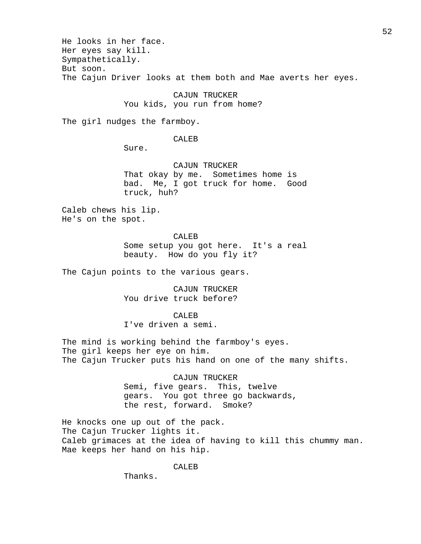He looks in her face. Her eyes say kill. Sympathetically. But soon. The Cajun Driver looks at them both and Mae averts her eyes.

> CAJUN TRUCKER You kids, you run from home?

The girl nudges the farmboy.

CALEB

Sure.

CAJUN TRUCKER That okay by me. Sometimes home is bad. Me, I got truck for home. Good truck, huh?

Caleb chews his lip. He's on the spot.

CALEB

Some setup you got here. It's a real beauty. How do you fly it?

The Cajun points to the various gears.

CAJUN TRUCKER You drive truck before?

CALE<sub>B</sub>

I've driven a semi.

The mind is working behind the farmboy's eyes. The girl keeps her eye on him. The Cajun Trucker puts his hand on one of the many shifts.

> CAJUN TRUCKER Semi, five gears. This, twelve gears. You got three go backwards, the rest, forward. Smoke?

He knocks one up out of the pack. The Cajun Trucker lights it. Caleb grimaces at the idea of having to kill this chummy man. Mae keeps her hand on his hip.

CALEB

Thanks.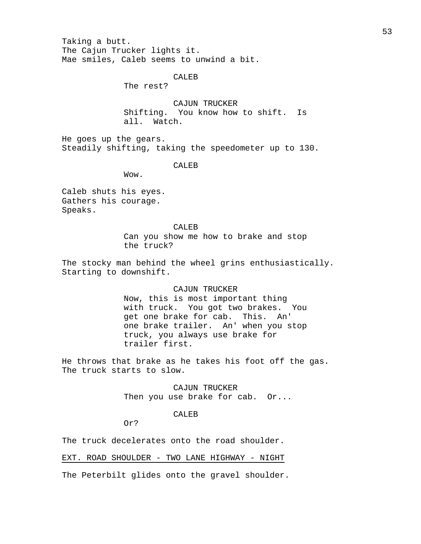Taking a butt. The Cajun Trucker lights it. Mae smiles, Caleb seems to unwind a bit.

# CALEB

The rest?

CAJUN TRUCKER Shifting. You know how to shift. Is all. Watch.

He goes up the gears. Steadily shifting, taking the speedometer up to 130.

#### CALEB

Wow.

Caleb shuts his eyes. Gathers his courage. Speaks.

> CALEB Can you show me how to brake and stop the truck?

The stocky man behind the wheel grins enthusiastically. Starting to downshift.

#### CAJUN TRUCKER

Now, this is most important thing with truck. You got two brakes. You get one brake for cab. This. An' one brake trailer. An' when you stop truck, you always use brake for trailer first.

He throws that brake as he takes his foot off the gas. The truck starts to slow.

> CAJUN TRUCKER Then you use brake for cab. Or...

#### CALEB

Or?

The truck decelerates onto the road shoulder.

EXT. ROAD SHOULDER - TWO LANE HIGHWAY - NIGHT

The Peterbilt glides onto the gravel shoulder.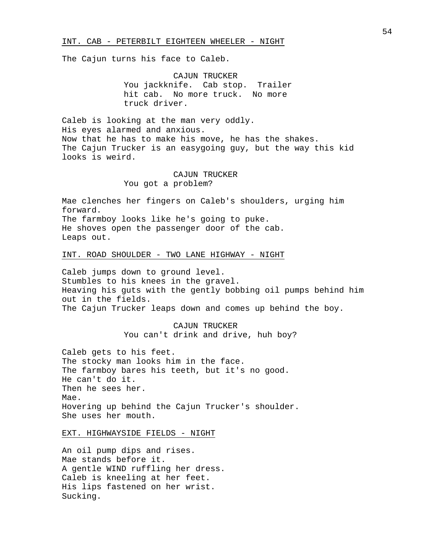#### INT. CAB - PETERBILT EIGHTEEN WHEELER - NIGHT

The Cajun turns his face to Caleb.

CAJUN TRUCKER You jackknife. Cab stop. Trailer hit cab. No more truck. No more truck driver.

Caleb is looking at the man very oddly. His eyes alarmed and anxious. Now that he has to make his move, he has the shakes. The Cajun Trucker is an easygoing guy, but the way this kid looks is weird.

# CAJUN TRUCKER You got a problem?

Mae clenches her fingers on Caleb's shoulders, urging him forward. The farmboy looks like he's going to puke. He shoves open the passenger door of the cab. Leaps out.

# INT. ROAD SHOULDER - TWO LANE HIGHWAY - NIGHT

Caleb jumps down to ground level. Stumbles to his knees in the gravel. Heaving his guts with the gently bobbing oil pumps behind him out in the fields. The Cajun Trucker leaps down and comes up behind the boy.

> CAJUN TRUCKER You can't drink and drive, huh boy?

Caleb gets to his feet. The stocky man looks him in the face. The farmboy bares his teeth, but it's no good. He can't do it. Then he sees her. Mae. Hovering up behind the Cajun Trucker's shoulder. She uses her mouth.

EXT. HIGHWAYSIDE FIELDS - NIGHT

An oil pump dips and rises. Mae stands before it. A gentle WIND ruffling her dress. Caleb is kneeling at her feet. His lips fastened on her wrist. Sucking.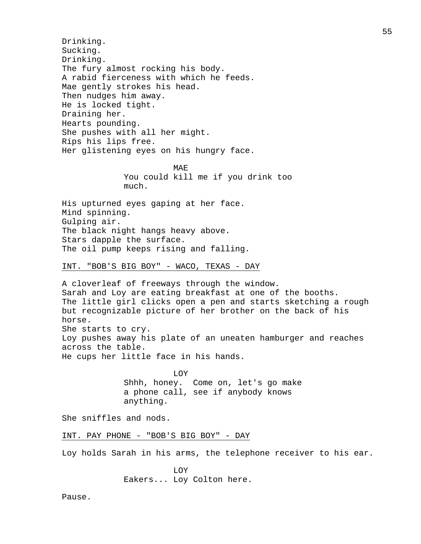Drinking. Sucking. Drinking. The fury almost rocking his body. A rabid fierceness with which he feeds. Mae gently strokes his head. Then nudges him away. He is locked tight. Draining her. Hearts pounding. She pushes with all her might. Rips his lips free. Her glistening eyes on his hungry face.

> MAE You could kill me if you drink too much.

His upturned eyes gaping at her face. Mind spinning. Gulping air. The black night hangs heavy above. Stars dapple the surface. The oil pump keeps rising and falling.

## INT. "BOB'S BIG BOY" - WACO, TEXAS - DAY

A cloverleaf of freeways through the window. Sarah and Loy are eating breakfast at one of the booths. The little girl clicks open a pen and starts sketching a rough but recognizable picture of her brother on the back of his horse. She starts to cry. Loy pushes away his plate of an uneaten hamburger and reaches across the table. He cups her little face in his hands.

> LOY Shhh, honey. Come on, let's go make a phone call, see if anybody knows anything.

She sniffles and nods.

# INT. PAY PHONE - "BOB'S BIG BOY" - DAY

Loy holds Sarah in his arms, the telephone receiver to his ear.

LOY Eakers... Loy Colton here.

Pause.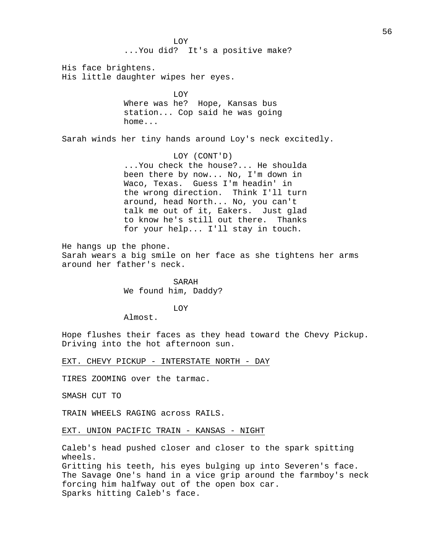LOY ...You did? It's a positive make? His face brightens. His little daughter wipes her eyes. LOY Where was he? Hope, Kansas bus station... Cop said he was going home... Sarah winds her tiny hands around Loy's neck excitedly. LOY (CONT'D) ...You check the house?... He shoulda been there by now... No, I'm down in Waco, Texas. Guess I'm headin' in the wrong direction. Think I'll turn around, head North... No, you can't talk me out of it, Eakers. Just glad to know he's still out there. Thanks for your help... I'll stay in touch. He hangs up the phone. Sarah wears a big smile on her face as she tightens her arms around her father's neck. SARAH We found him, Daddy? LOY Almost. Hope flushes their faces as they head toward the Chevy Pickup. Driving into the hot afternoon sun. EXT. CHEVY PICKUP - INTERSTATE NORTH - DAY TIRES ZOOMING over the tarmac. SMASH CUT TO TRAIN WHEELS RAGING across RAILS.

EXT. UNION PACIFIC TRAIN - KANSAS - NIGHT

Caleb's head pushed closer and closer to the spark spitting wheels.

Gritting his teeth, his eyes bulging up into Severen's face. The Savage One's hand in a vice grip around the farmboy's neck forcing him halfway out of the open box car. Sparks hitting Caleb's face.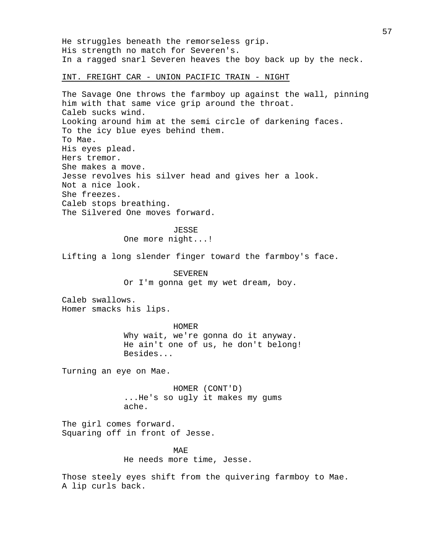He struggles beneath the remorseless grip. His strength no match for Severen's. In a ragged snarl Severen heaves the boy back up by the neck. INT. FREIGHT CAR - UNION PACIFIC TRAIN - NIGHT The Savage One throws the farmboy up against the wall, pinning him with that same vice grip around the throat. Caleb sucks wind. Looking around him at the semi circle of darkening faces. To the icy blue eyes behind them. To Mae. His eyes plead. Hers tremor. She makes a move. Jesse revolves his silver head and gives her a look. Not a nice look. She freezes. Caleb stops breathing. The Silvered One moves forward. JESSE One more night...! Lifting a long slender finger toward the farmboy's face. SEVEREN Or I'm gonna get my wet dream, boy. Caleb swallows. Homer smacks his lips. HOMER Why wait, we're gonna do it anyway. He ain't one of us, he don't belong! Besides... Turning an eye on Mae. HOMER (CONT'D) ...He's so ugly it makes my gums ache. The girl comes forward. Squaring off in front of Jesse. MAE He needs more time, Jesse. Those steely eyes shift from the quivering farmboy to Mae. A lip curls back.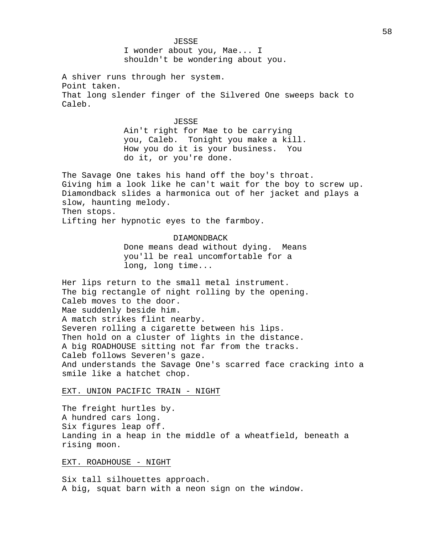JESSE

I wonder about you, Mae... I shouldn't be wondering about you.

A shiver runs through her system. Point taken. That long slender finger of the Silvered One sweeps back to Caleb.

## JESSE

Ain't right for Mae to be carrying you, Caleb. Tonight you make a kill. How you do it is your business. You do it, or you're done.

The Savage One takes his hand off the boy's throat. Giving him a look like he can't wait for the boy to screw up. Diamondback slides a harmonica out of her jacket and plays a slow, haunting melody. Then stops.

Lifting her hypnotic eyes to the farmboy.

## DIAMONDBACK

Done means dead without dying. Means you'll be real uncomfortable for a long, long time...

Her lips return to the small metal instrument. The big rectangle of night rolling by the opening. Caleb moves to the door. Mae suddenly beside him. A match strikes flint nearby. Severen rolling a cigarette between his lips. Then hold on a cluster of lights in the distance. A big ROADHOUSE sitting not far from the tracks. Caleb follows Severen's gaze. And understands the Savage One's scarred face cracking into a smile like a hatchet chop.

### EXT. UNION PACIFIC TRAIN - NIGHT

The freight hurtles by. A hundred cars long. Six figures leap off. Landing in a heap in the middle of a wheatfield, beneath a rising moon.

## EXT. ROADHOUSE - NIGHT

Six tall silhouettes approach. A big, squat barn with a neon sign on the window.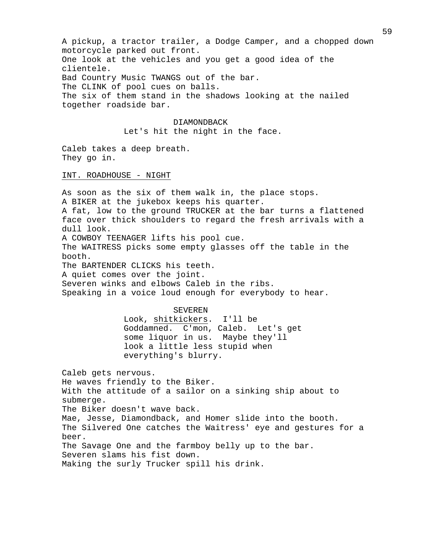A pickup, a tractor trailer, a Dodge Camper, and a chopped down motorcycle parked out front. One look at the vehicles and you get a good idea of the clientele. Bad Country Music TWANGS out of the bar. The CLINK of pool cues on balls. The six of them stand in the shadows looking at the nailed together roadside bar.

### DIAMONDBACK

Let's hit the night in the face.

Caleb takes a deep breath. They go in.

## INT. ROADHOUSE - NIGHT

As soon as the six of them walk in, the place stops. A BIKER at the jukebox keeps his quarter. A fat, low to the ground TRUCKER at the bar turns a flattened face over thick shoulders to regard the fresh arrivals with a dull look. A COWBOY TEENAGER lifts his pool cue. The WAITRESS picks some empty glasses off the table in the booth. The BARTENDER CLICKS his teeth. A quiet comes over the joint. Severen winks and elbows Caleb in the ribs. Speaking in a voice loud enough for everybody to hear. SEVEREN Look, shitkickers. I'll be Goddamned. C'mon, Caleb. Let's get some liquor in us. Maybe they'll look a little less stupid when everything's blurry.

Caleb gets nervous. He waves friendly to the Biker. With the attitude of a sailor on a sinking ship about to submerge. The Biker doesn't wave back. Mae, Jesse, Diamondback, and Homer slide into the booth. The Silvered One catches the Waitress' eye and gestures for a beer. The Savage One and the farmboy belly up to the bar. Severen slams his fist down. Making the surly Trucker spill his drink.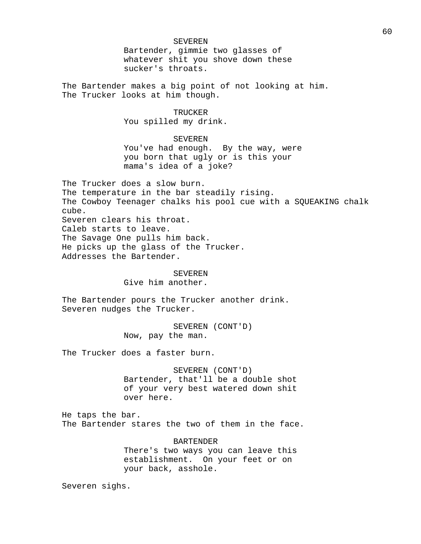## SEVEREN

Bartender, gimmie two glasses of whatever shit you shove down these sucker's throats.

The Bartender makes a big point of not looking at him. The Trucker looks at him though.

# TRUCKER You spilled my drink.

## SEVEREN

You've had enough. By the way, were you born that ugly or is this your mama's idea of a joke?

The Trucker does a slow burn. The temperature in the bar steadily rising. The Cowboy Teenager chalks his pool cue with a SQUEAKING chalk cube. Severen clears his throat. Caleb starts to leave. The Savage One pulls him back. He picks up the glass of the Trucker. Addresses the Bartender.

# SEVEREN

Give him another.

The Bartender pours the Trucker another drink. Severen nudges the Trucker.

> SEVEREN (CONT'D) Now, pay the man.

The Trucker does a faster burn.

## SEVEREN (CONT'D)

Bartender, that'll be a double shot of your very best watered down shit over here.

He taps the bar. The Bartender stares the two of them in the face.

## BARTENDER

There's two ways you can leave this establishment. On your feet or on your back, asshole.

Severen sighs.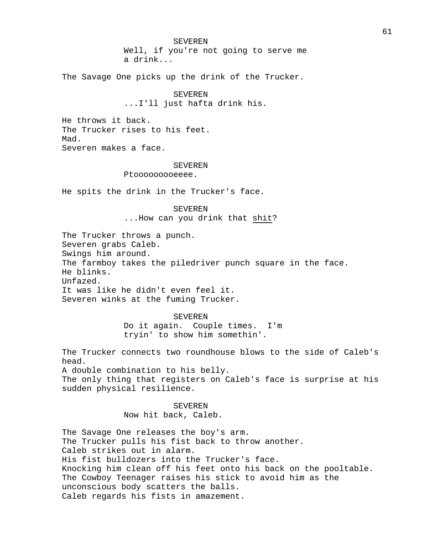SEVEREN Well, if you're not going to serve me a drink...

The Savage One picks up the drink of the Trucker.

SEVEREN ...I'll just hafta drink his.

He throws it back. The Trucker rises to his feet. Mad. Severen makes a face.

#### **SEVEREN**

Ptooooooooeeee.

He spits the drink in the Trucker's face.

## SEVEREN

...How can you drink that shit?

The Trucker throws a punch. Severen grabs Caleb. Swings him around. The farmboy takes the piledriver punch square in the face. He blinks. Unfazed. It was like he didn't even feel it. Severen winks at the fuming Trucker.

> SEVEREN Do it again. Couple times. I'm tryin' to show him somethin'.

The Trucker connects two roundhouse blows to the side of Caleb's head. A double combination to his belly.

The only thing that registers on Caleb's face is surprise at his sudden physical resilience.

# SEVEREN Now hit back, Caleb.

The Savage One releases the boy's arm. The Trucker pulls his fist back to throw another. Caleb strikes out in alarm. His fist bulldozers into the Trucker's face. Knocking him clean off his feet onto his back on the pooltable. The Cowboy Teenager raises his stick to avoid him as the unconscious body scatters the balls. Caleb regards his fists in amazement.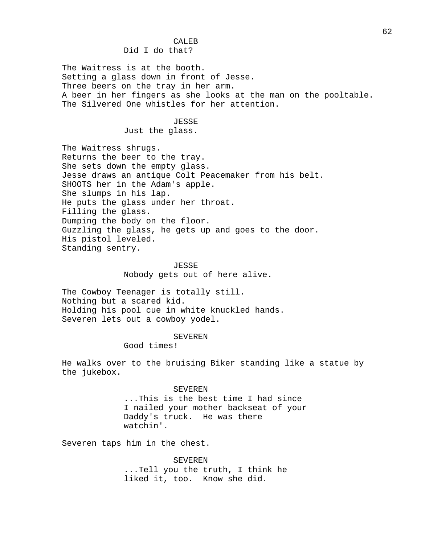# CALEB Did I do that?

The Waitress is at the booth. Setting a glass down in front of Jesse. Three beers on the tray in her arm. A beer in her fingers as she looks at the man on the pooltable. The Silvered One whistles for her attention.

#### JESSE

Just the glass.

The Waitress shrugs. Returns the beer to the tray. She sets down the empty glass. Jesse draws an antique Colt Peacemaker from his belt. SHOOTS her in the Adam's apple. She slumps in his lap. He puts the glass under her throat. Filling the glass. Dumping the body on the floor. Guzzling the glass, he gets up and goes to the door. His pistol leveled. Standing sentry.

# JESSE Nobody gets out of here alive.

The Cowboy Teenager is totally still. Nothing but a scared kid. Holding his pool cue in white knuckled hands. Severen lets out a cowboy yodel.

#### SEVEREN

Good times!

He walks over to the bruising Biker standing like a statue by the jukebox.

## SEVEREN

...This is the best time I had since I nailed your mother backseat of your Daddy's truck. He was there watchin'.

Severen taps him in the chest.

SEVEREN ...Tell you the truth, I think he liked it, too. Know she did.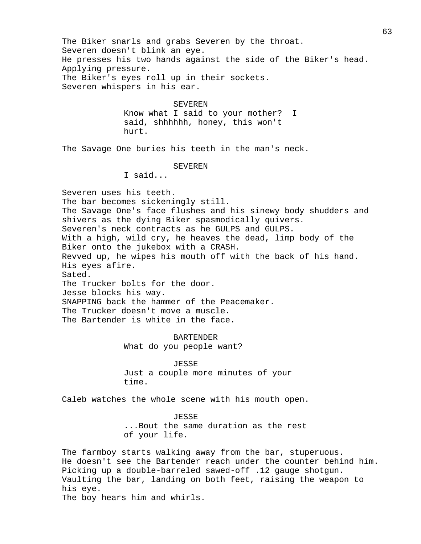The Biker snarls and grabs Severen by the throat. Severen doesn't blink an eye. He presses his two hands against the side of the Biker's head. Applying pressure. The Biker's eyes roll up in their sockets. Severen whispers in his ear. SEVEREN Know what I said to your mother? I said, shhhhhh, honey, this won't hurt. The Savage One buries his teeth in the man's neck. SEVEREN I said... Severen uses his teeth. The bar becomes sickeningly still. The Savage One's face flushes and his sinewy body shudders and shivers as the dying Biker spasmodically quivers. Severen's neck contracts as he GULPS and GULPS. With a high, wild cry, he heaves the dead, limp body of the Biker onto the jukebox with a CRASH. Revved up, he wipes his mouth off with the back of his hand. His eyes afire. Sated. The Trucker bolts for the door. Jesse blocks his way. SNAPPING back the hammer of the Peacemaker. The Trucker doesn't move a muscle. The Bartender is white in the face. BARTENDER What do you people want? JESSE Just a couple more minutes of your time. Caleb watches the whole scene with his mouth open. JESSE ...Bout the same duration as the rest of your life. The farmboy starts walking away from the bar, stuperuous. He doesn't see the Bartender reach under the counter behind him. Picking up a double-barreled sawed-off .12 gauge shotgun. Vaulting the bar, landing on both feet, raising the weapon to his eye.

The boy hears him and whirls.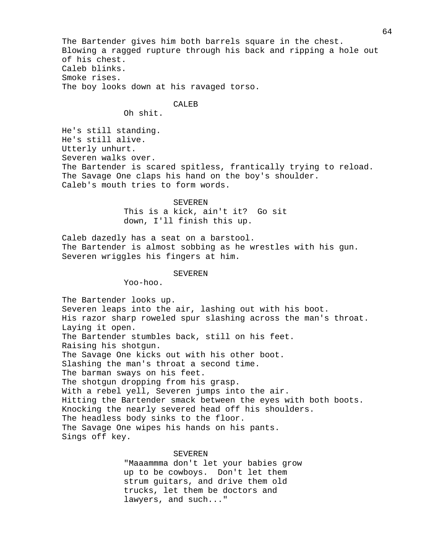The Bartender gives him both barrels square in the chest. Blowing a ragged rupture through his back and ripping a hole out of his chest. Caleb blinks. Smoke rises. The boy looks down at his ravaged torso.

#### CALE<sub>B</sub>

Oh shit.

He's still standing. He's still alive. Utterly unhurt. Severen walks over. The Bartender is scared spitless, frantically trying to reload. The Savage One claps his hand on the boy's shoulder. Caleb's mouth tries to form words.

#### SEVEREN

This is a kick, ain't it? Go sit down, I'll finish this up.

Caleb dazedly has a seat on a barstool. The Bartender is almost sobbing as he wrestles with his gun. Severen wriggles his fingers at him.

## SEVEREN

Yoo-hoo.

The Bartender looks up. Severen leaps into the air, lashing out with his boot. His razor sharp roweled spur slashing across the man's throat. Laying it open. The Bartender stumbles back, still on his feet. Raising his shotgun. The Savage One kicks out with his other boot. Slashing the man's throat a second time. The barman sways on his feet. The shotgun dropping from his grasp. With a rebel yell, Severen jumps into the air. Hitting the Bartender smack between the eyes with both boots. Knocking the nearly severed head off his shoulders. The headless body sinks to the floor. The Savage One wipes his hands on his pants. Sings off key.

## SEVEREN

"Maaammma don't let your babies grow up to be cowboys. Don't let them strum guitars, and drive them old trucks, let them be doctors and lawyers, and such..."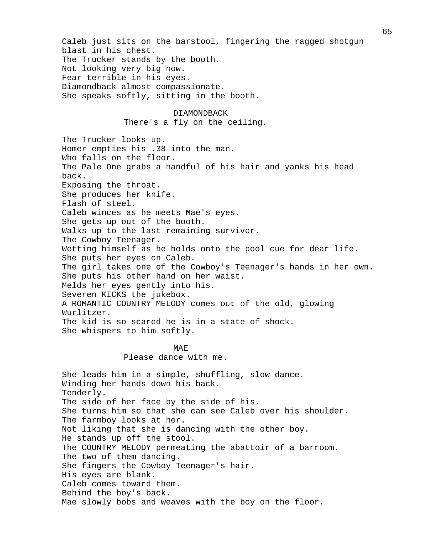Caleb just sits on the barstool, fingering the ragged shotgun blast in his chest. The Trucker stands by the booth. Not looking very big now. Fear terrible in his eyes. Diamondback almost compassionate. She speaks softly, sitting in the booth. DIAMONDBACK There's a fly on the ceiling. The Trucker looks up. Homer empties his .38 into the man. Who falls on the floor. The Pale One grabs a handful of his hair and yanks his head back. Exposing the throat. She produces her knife. Flash of steel. Caleb winces as he meets Mae's eyes. She gets up out of the booth. Walks up to the last remaining survivor. The Cowboy Teenager. Wetting himself as he holds onto the pool cue for dear life. She puts her eyes on Caleb. The girl takes one of the Cowboy's Teenager's hands in her own. She puts his other hand on her waist. Melds her eyes gently into his. Severen KICKS the jukebox. A ROMANTIC COUNTRY MELODY comes out of the old, glowing Wurlitzer. The kid is so scared he is in a state of shock. She whispers to him softly. MAE Please dance with me. She leads him in a simple, shuffling, slow dance. Winding her hands down his back. Tenderly. The side of her face by the side of his. She turns him so that she can see Caleb over his shoulder. The farmboy looks at her. Not liking that she is dancing with the other boy. He stands up off the stool. The COUNTRY MELODY permeating the abattoir of a barroom. The two of them dancing. She fingers the Cowboy Teenager's hair. His eyes are blank. Caleb comes toward them. Mae slowly bobs and weaves with the boy on the floor.

Behind the boy's back.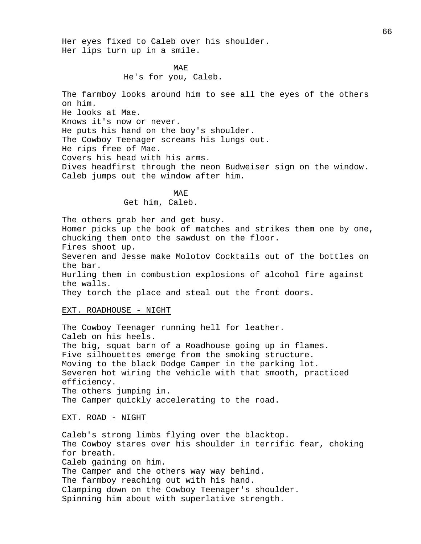Her eyes fixed to Caleb over his shoulder. Her lips turn up in a smile.

> MAE He's for you, Caleb.

The farmboy looks around him to see all the eyes of the others on him. He looks at Mae. Knows it's now or never. He puts his hand on the boy's shoulder. The Cowboy Teenager screams his lungs out. He rips free of Mae. Covers his head with his arms. Dives headfirst through the neon Budweiser sign on the window. Caleb jumps out the window after him.

> MAE Get him, Caleb.

The others grab her and get busy. Homer picks up the book of matches and strikes them one by one, chucking them onto the sawdust on the floor. Fires shoot up. Severen and Jesse make Molotov Cocktails out of the bottles on the bar. Hurling them in combustion explosions of alcohol fire against the walls. They torch the place and steal out the front doors.

## EXT. ROADHOUSE - NIGHT

The Cowboy Teenager running hell for leather. Caleb on his heels. The big, squat barn of a Roadhouse going up in flames. Five silhouettes emerge from the smoking structure. Moving to the black Dodge Camper in the parking lot. Severen hot wiring the vehicle with that smooth, practiced efficiency. The others jumping in. The Camper quickly accelerating to the road.

EXT. ROAD - NIGHT

Caleb's strong limbs flying over the blacktop. The Cowboy stares over his shoulder in terrific fear, choking for breath. Caleb gaining on him. The Camper and the others way way behind. The farmboy reaching out with his hand. Clamping down on the Cowboy Teenager's shoulder. Spinning him about with superlative strength.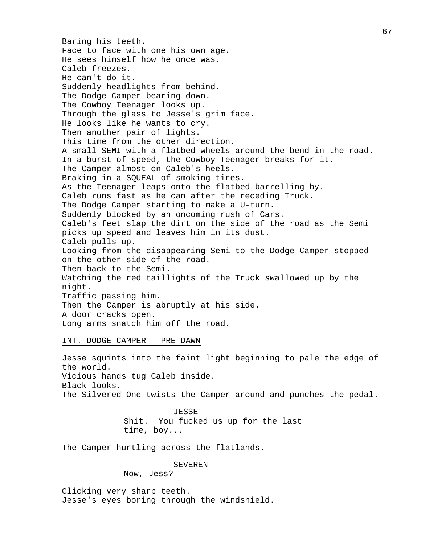Baring his teeth. Face to face with one his own age. He sees himself how he once was. Caleb freezes. He can't do it. Suddenly headlights from behind. The Dodge Camper bearing down. The Cowboy Teenager looks up. Through the glass to Jesse's grim face. He looks like he wants to cry. Then another pair of lights. This time from the other direction. A small SEMI with a flatbed wheels around the bend in the road. In a burst of speed, the Cowboy Teenager breaks for it. The Camper almost on Caleb's heels. Braking in a SQUEAL of smoking tires. As the Teenager leaps onto the flatbed barrelling by. Caleb runs fast as he can after the receding Truck. The Dodge Camper starting to make a U-turn. Suddenly blocked by an oncoming rush of Cars. Caleb's feet slap the dirt on the side of the road as the Semi picks up speed and leaves him in its dust. Caleb pulls up. Looking from the disappearing Semi to the Dodge Camper stopped on the other side of the road. Then back to the Semi. Watching the red taillights of the Truck swallowed up by the night. Traffic passing him. Then the Camper is abruptly at his side. A door cracks open. Long arms snatch him off the road.

### INT. DODGE CAMPER - PRE-DAWN

Jesse squints into the faint light beginning to pale the edge of the world. Vicious hands tug Caleb inside. Black looks. The Silvered One twists the Camper around and punches the pedal.

> JESSE Shit. You fucked us up for the last time, boy...

The Camper hurtling across the flatlands.

# SEVEREN

Now, Jess?

Clicking very sharp teeth. Jesse's eyes boring through the windshield.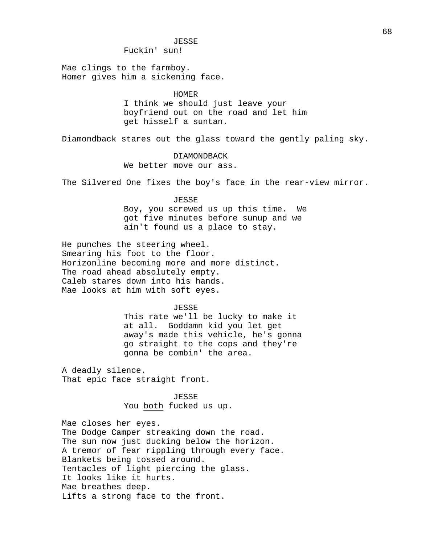## JESSE

Fuckin' sun!

Mae clings to the farmboy. Homer gives him a sickening face.

# HOMER

I think we should just leave your boyfriend out on the road and let him get hisself a suntan.

Diamondback stares out the glass toward the gently paling sky.

# DIAMONDBACK

We better move our ass.

The Silvered One fixes the boy's face in the rear-view mirror.

## JESSE

Boy, you screwed us up this time. We got five minutes before sunup and we ain't found us a place to stay.

He punches the steering wheel. Smearing his foot to the floor. Horizonline becoming more and more distinct. The road ahead absolutely empty. Caleb stares down into his hands. Mae looks at him with soft eyes.

#### JESSE

This rate we'll be lucky to make it at all. Goddamn kid you let get away's made this vehicle, he's gonna go straight to the cops and they're gonna be combin' the area.

A deadly silence. That epic face straight front.

# JESSE You both fucked us up.

Mae closes her eyes. The Dodge Camper streaking down the road. The sun now just ducking below the horizon. A tremor of fear rippling through every face. Blankets being tossed around. Tentacles of light piercing the glass. It looks like it hurts. Mae breathes deep. Lifts a strong face to the front.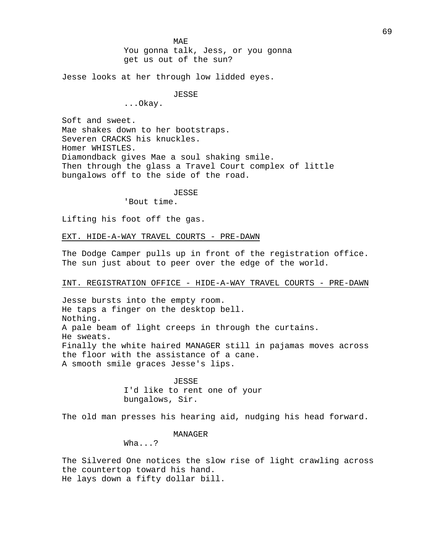MAE You gonna talk, Jess, or you gonna get us out of the sun?

Jesse looks at her through low lidded eyes.

# JESSE

...Okay.

Soft and sweet.

Mae shakes down to her bootstraps. Severen CRACKS his knuckles. Homer WHISTLES. Diamondback gives Mae a soul shaking smile. Then through the glass a Travel Court complex of little bungalows off to the side of the road.

JESSE

'Bout time.

Lifting his foot off the gas.

EXT. HIDE-A-WAY TRAVEL COURTS - PRE-DAWN

The Dodge Camper pulls up in front of the registration office. The sun just about to peer over the edge of the world.

# INT. REGISTRATION OFFICE - HIDE-A-WAY TRAVEL COURTS - PRE-DAWN

Jesse bursts into the empty room. He taps a finger on the desktop bell. Nothing. A pale beam of light creeps in through the curtains. He sweats. Finally the white haired MANAGER still in pajamas moves across the floor with the assistance of a cane. A smooth smile graces Jesse's lips.

> JESSE I'd like to rent one of your bungalows, Sir.

The old man presses his hearing aid, nudging his head forward.

MANAGER

Wha...?

The Silvered One notices the slow rise of light crawling across the countertop toward his hand. He lays down a fifty dollar bill.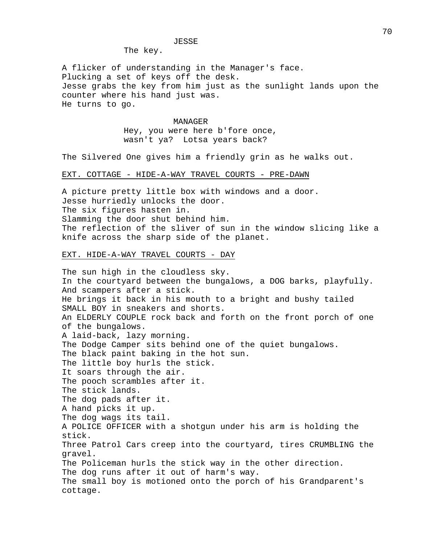## JESSE

The key.

A flicker of understanding in the Manager's face. Plucking a set of keys off the desk. Jesse grabs the key from him just as the sunlight lands upon the counter where his hand just was. He turns to go.

> MANAGER Hey, you were here b'fore once, wasn't ya? Lotsa years back?

The Silvered One gives him a friendly grin as he walks out.

## EXT. COTTAGE - HIDE-A-WAY TRAVEL COURTS - PRE-DAWN

A picture pretty little box with windows and a door. Jesse hurriedly unlocks the door. The six figures hasten in. Slamming the door shut behind him. The reflection of the sliver of sun in the window slicing like a knife across the sharp side of the planet.

## EXT. HIDE-A-WAY TRAVEL COURTS - DAY

The sun high in the cloudless sky. In the courtyard between the bungalows, a DOG barks, playfully. And scampers after a stick. He brings it back in his mouth to a bright and bushy tailed SMALL BOY in sneakers and shorts. An ELDERLY COUPLE rock back and forth on the front porch of one of the bungalows. A laid-back, lazy morning. The Dodge Camper sits behind one of the quiet bungalows. The black paint baking in the hot sun. The little boy hurls the stick. It soars through the air. The pooch scrambles after it. The stick lands. The dog pads after it. A hand picks it up. The dog wags its tail. A POLICE OFFICER with a shotgun under his arm is holding the stick. Three Patrol Cars creep into the courtyard, tires CRUMBLING the gravel. The Policeman hurls the stick way in the other direction. The dog runs after it out of harm's way. The small boy is motioned onto the porch of his Grandparent's cottage.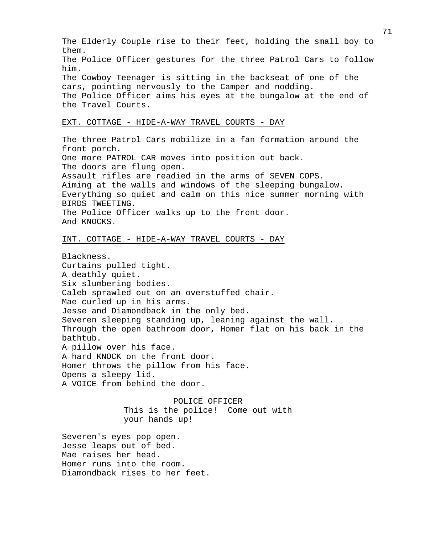The Elderly Couple rise to their feet, holding the small boy to them. The Police Officer gestures for the three Patrol Cars to follow him. The Cowboy Teenager is sitting in the backseat of one of the cars, pointing nervously to the Camper and nodding. The Police Officer aims his eyes at the bungalow at the end of the Travel Courts. EXT. COTTAGE - HIDE-A-WAY TRAVEL COURTS - DAY The three Patrol Cars mobilize in a fan formation around the

front porch. One more PATROL CAR moves into position out back. The doors are flung open. Assault rifles are readied in the arms of SEVEN COPS. Aiming at the walls and windows of the sleeping bungalow. Everything so quiet and calm on this nice summer morning with BIRDS TWEETING. The Police Officer walks up to the front door. And KNOCKS.

## INT. COTTAGE - HIDE-A-WAY TRAVEL COURTS - DAY

Blackness. Curtains pulled tight. A deathly quiet. Six slumbering bodies. Caleb sprawled out on an overstuffed chair. Mae curled up in his arms. Jesse and Diamondback in the only bed. Severen sleeping standing up, leaning against the wall. Through the open bathroom door, Homer flat on his back in the bathtub. A pillow over his face. A hard KNOCK on the front door. Homer throws the pillow from his face. Opens a sleepy lid. A VOICE from behind the door.

> POLICE OFFICER This is the police! Come out with your hands up!

Severen's eyes pop open. Jesse leaps out of bed. Mae raises her head. Homer runs into the room. Diamondback rises to her feet.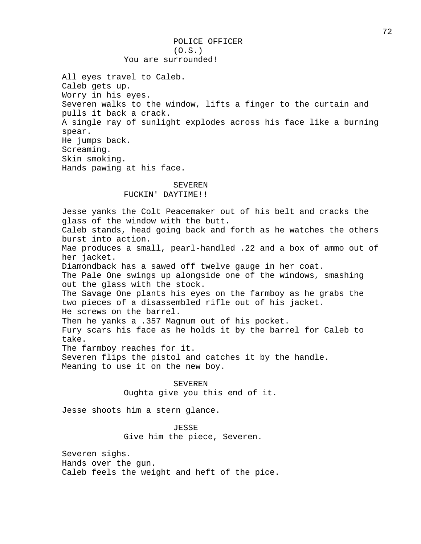All eyes travel to Caleb. Caleb gets up. Worry in his eyes. Severen walks to the window, lifts a finger to the curtain and pulls it back a crack. A single ray of sunlight explodes across his face like a burning spear. He jumps back. Screaming. Skin smoking. Hands pawing at his face.

### SEVEREN FUCKIN' DAYTIME!!

Jesse yanks the Colt Peacemaker out of his belt and cracks the glass of the window with the butt. Caleb stands, head going back and forth as he watches the others burst into action. Mae produces a small, pearl-handled .22 and a box of ammo out of her jacket. Diamondback has a sawed off twelve gauge in her coat. The Pale One swings up alongside one of the windows, smashing out the glass with the stock. The Savage One plants his eyes on the farmboy as he grabs the two pieces of a disassembled rifle out of his jacket. He screws on the barrel. Then he yanks a .357 Magnum out of his pocket. Fury scars his face as he holds it by the barrel for Caleb to take. The farmboy reaches for it. Severen flips the pistol and catches it by the handle. Meaning to use it on the new boy. SEVEREN

Oughta give you this end of it.

Jesse shoots him a stern glance.

# JESSE

Give him the piece, Severen.

Severen sighs. Hands over the gun. Caleb feels the weight and heft of the pice.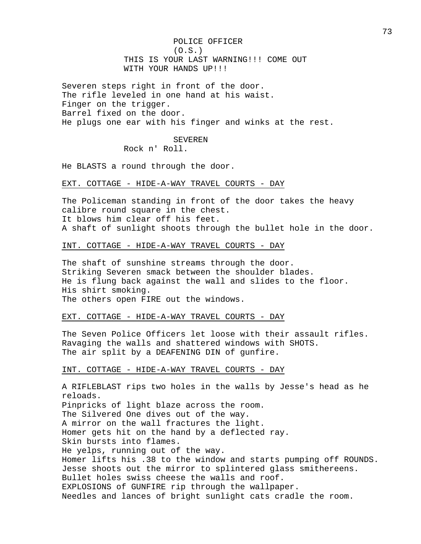POLICE OFFICER  $(0.S.)$ THIS IS YOUR LAST WARNING!!! COME OUT WITH YOUR HANDS UP!!!

Severen steps right in front of the door. The rifle leveled in one hand at his waist. Finger on the trigger. Barrel fixed on the door. He plugs one ear with his finger and winks at the rest.

SEVEREN

Rock n' Roll.

He BLASTS a round through the door.

### EXT. COTTAGE - HIDE-A-WAY TRAVEL COURTS - DAY

The Policeman standing in front of the door takes the heavy calibre round square in the chest. It blows him clear off his feet. A shaft of sunlight shoots through the bullet hole in the door.

### INT. COTTAGE - HIDE-A-WAY TRAVEL COURTS - DAY

The shaft of sunshine streams through the door. Striking Severen smack between the shoulder blades. He is flung back against the wall and slides to the floor. His shirt smoking. The others open FIRE out the windows.

### EXT. COTTAGE - HIDE-A-WAY TRAVEL COURTS - DAY

The Seven Police Officers let loose with their assault rifles. Ravaging the walls and shattered windows with SHOTS. The air split by a DEAFENING DIN of gunfire.

### INT. COTTAGE - HIDE-A-WAY TRAVEL COURTS - DAY

A RIFLEBLAST rips two holes in the walls by Jesse's head as he reloads. Pinpricks of light blaze across the room. The Silvered One dives out of the way. A mirror on the wall fractures the light. Homer gets hit on the hand by a deflected ray. Skin bursts into flames. He yelps, running out of the way. Homer lifts his .38 to the window and starts pumping off ROUNDS. Jesse shoots out the mirror to splintered glass smithereens. Bullet holes swiss cheese the walls and roof. EXPLOSIONS of GUNFIRE rip through the wallpaper. Needles and lances of bright sunlight cats cradle the room.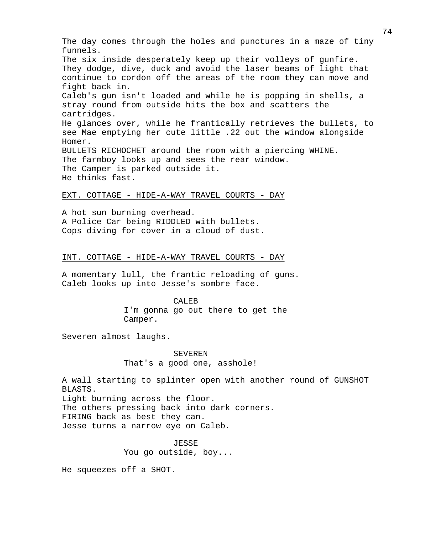The day comes through the holes and punctures in a maze of tiny funnels. The six inside desperately keep up their volleys of gunfire. They dodge, dive, duck and avoid the laser beams of light that continue to cordon off the areas of the room they can move and fight back in. Caleb's gun isn't loaded and while he is popping in shells, a stray round from outside hits the box and scatters the cartridges. He glances over, while he frantically retrieves the bullets, to see Mae emptying her cute little .22 out the window alongside Homer. BULLETS RICHOCHET around the room with a piercing WHINE. The farmboy looks up and sees the rear window. The Camper is parked outside it. He thinks fast.

#### EXT. COTTAGE - HIDE-A-WAY TRAVEL COURTS - DAY

A hot sun burning overhead. A Police Car being RIDDLED with bullets. Cops diving for cover in a cloud of dust.

### INT. COTTAGE - HIDE-A-WAY TRAVEL COURTS - DAY

A momentary lull, the frantic reloading of guns. Caleb looks up into Jesse's sombre face.

#### CALEB

I'm gonna go out there to get the Camper.

Severen almost laughs.

# SEVEREN That's a good one, asshole!

A wall starting to splinter open with another round of GUNSHOT BLASTS. Light burning across the floor. The others pressing back into dark corners. FIRING back as best they can.

Jesse turns a narrow eye on Caleb.

JESSE You go outside, boy...

He squeezes off a SHOT.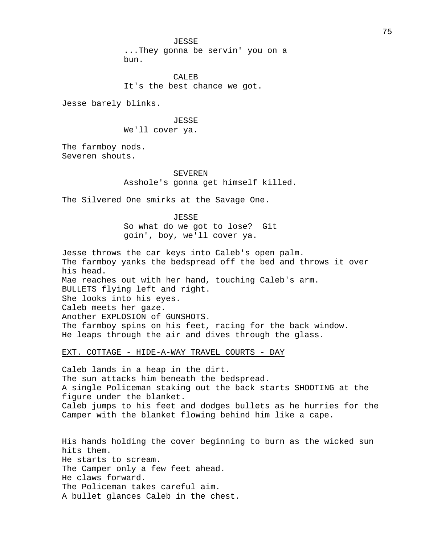JESSE

...They gonna be servin' you on a bun.

CALEB It's the best chance we got.

Jesse barely blinks.

JESSE

We'll cover ya.

The farmboy nods. Severen shouts.

### SEVEREN

Asshole's gonna get himself killed.

The Silvered One smirks at the Savage One.

JESSE So what do we got to lose? Git goin', boy, we'll cover ya.

Jesse throws the car keys into Caleb's open palm. The farmboy yanks the bedspread off the bed and throws it over his head. Mae reaches out with her hand, touching Caleb's arm. BULLETS flying left and right. She looks into his eyes. Caleb meets her gaze. Another EXPLOSION of GUNSHOTS. The farmboy spins on his feet, racing for the back window. He leaps through the air and dives through the glass.

### EXT. COTTAGE - HIDE-A-WAY TRAVEL COURTS - DAY

Caleb lands in a heap in the dirt. The sun attacks him beneath the bedspread. A single Policeman staking out the back starts SHOOTING at the figure under the blanket. Caleb jumps to his feet and dodges bullets as he hurries for the Camper with the blanket flowing behind him like a cape.

His hands holding the cover beginning to burn as the wicked sun hits them. He starts to scream. The Camper only a few feet ahead. He claws forward. The Policeman takes careful aim. A bullet glances Caleb in the chest.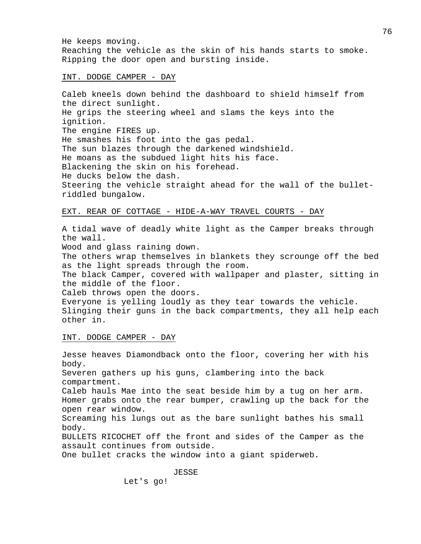He keeps moving. Reaching the vehicle as the skin of his hands starts to smoke. Ripping the door open and bursting inside.

INT. DODGE CAMPER - DAY

Caleb kneels down behind the dashboard to shield himself from the direct sunlight. He grips the steering wheel and slams the keys into the ignition. The engine FIRES up. He smashes his foot into the gas pedal. The sun blazes through the darkened windshield. He moans as the subdued light hits his face. Blackening the skin on his forehead. He ducks below the dash. Steering the vehicle straight ahead for the wall of the bulletriddled bungalow.

# EXT. REAR OF COTTAGE - HIDE-A-WAY TRAVEL COURTS - DAY

A tidal wave of deadly white light as the Camper breaks through the wall.

Wood and glass raining down.

The others wrap themselves in blankets they scrounge off the bed as the light spreads through the room.

The black Camper, covered with wallpaper and plaster, sitting in the middle of the floor.

Caleb throws open the doors.

Everyone is yelling loudly as they tear towards the vehicle. Slinging their guns in the back compartments, they all help each other in.

#### INT. DODGE CAMPER - DAY

Jesse heaves Diamondback onto the floor, covering her with his body. Severen gathers up his guns, clambering into the back compartment. Caleb hauls Mae into the seat beside him by a tug on her arm. Homer grabs onto the rear bumper, crawling up the back for the open rear window. Screaming his lungs out as the bare sunlight bathes his small body. BULLETS RICOCHET off the front and sides of the Camper as the assault continues from outside. One bullet cracks the window into a giant spiderweb.

JESSE

Let's go!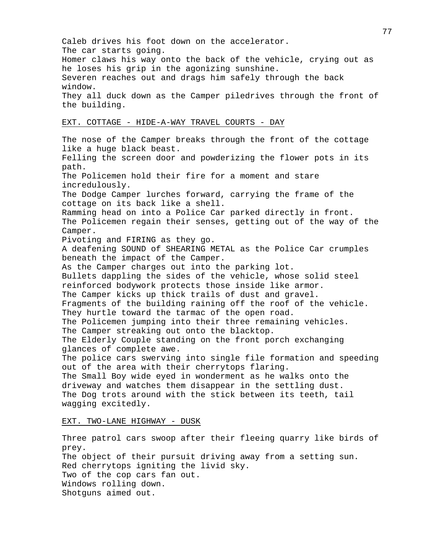Caleb drives his foot down on the accelerator. The car starts going. Homer claws his way onto the back of the vehicle, crying out as he loses his grip in the agonizing sunshine. Severen reaches out and drags him safely through the back window. They all duck down as the Camper piledrives through the front of the building. EXT. COTTAGE - HIDE-A-WAY TRAVEL COURTS - DAY The nose of the Camper breaks through the front of the cottage like a huge black beast. Felling the screen door and powderizing the flower pots in its path. The Policemen hold their fire for a moment and stare incredulously. The Dodge Camper lurches forward, carrying the frame of the cottage on its back like a shell. Ramming head on into a Police Car parked directly in front. The Policemen regain their senses, getting out of the way of the Camper. Pivoting and FIRING as they go. A deafening SOUND of SHEARING METAL as the Police Car crumples beneath the impact of the Camper. As the Camper charges out into the parking lot. Bullets dappling the sides of the vehicle, whose solid steel reinforced bodywork protects those inside like armor. The Camper kicks up thick trails of dust and gravel. Fragments of the building raining off the roof of the vehicle. They hurtle toward the tarmac of the open road. The Policemen jumping into their three remaining vehicles. The Camper streaking out onto the blacktop. The Elderly Couple standing on the front porch exchanging glances of complete awe. The police cars swerving into single file formation and speeding out of the area with their cherrytops flaring. The Small Boy wide eyed in wonderment as he walks onto the driveway and watches them disappear in the settling dust. The Dog trots around with the stick between its teeth, tail wagging excitedly.

### EXT. TWO-LANE HIGHWAY - DUSK

Three patrol cars swoop after their fleeing quarry like birds of prey. The object of their pursuit driving away from a setting sun. Red cherrytops igniting the livid sky. Two of the cop cars fan out. Windows rolling down. Shotguns aimed out.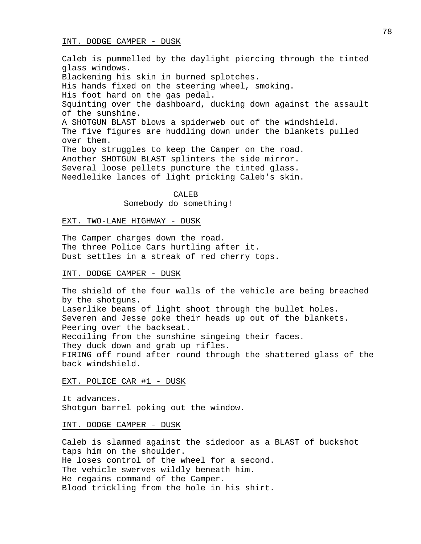### INT. DODGE CAMPER - DUSK

Caleb is pummelled by the daylight piercing through the tinted glass windows. Blackening his skin in burned splotches. His hands fixed on the steering wheel, smoking. His foot hard on the gas pedal. Squinting over the dashboard, ducking down against the assault of the sunshine. A SHOTGUN BLAST blows a spiderweb out of the windshield. The five figures are huddling down under the blankets pulled over them. The boy struggles to keep the Camper on the road. Another SHOTGUN BLAST splinters the side mirror. Several loose pellets puncture the tinted glass. Needlelike lances of light pricking Caleb's skin.

> CALE<sub>B</sub> Somebody do something!

#### EXT. TWO-LANE HIGHWAY - DUSK

The Camper charges down the road. The three Police Cars hurtling after it. Dust settles in a streak of red cherry tops.

### INT. DODGE CAMPER - DUSK

The shield of the four walls of the vehicle are being breached by the shotguns. Laserlike beams of light shoot through the bullet holes. Severen and Jesse poke their heads up out of the blankets. Peering over the backseat. Recoiling from the sunshine singeing their faces. They duck down and grab up rifles. FIRING off round after round through the shattered glass of the back windshield.

### EXT. POLICE CAR #1 - DUSK

It advances. Shotgun barrel poking out the window.

#### INT. DODGE CAMPER - DUSK

Caleb is slammed against the sidedoor as a BLAST of buckshot taps him on the shoulder. He loses control of the wheel for a second. The vehicle swerves wildly beneath him. He regains command of the Camper. Blood trickling from the hole in his shirt.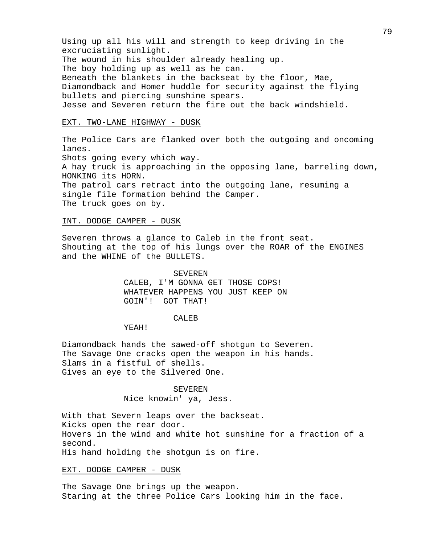Using up all his will and strength to keep driving in the excruciating sunlight. The wound in his shoulder already healing up. The boy holding up as well as he can. Beneath the blankets in the backseat by the floor, Mae, Diamondback and Homer huddle for security against the flying bullets and piercing sunshine spears. Jesse and Severen return the fire out the back windshield.

### EXT. TWO-LANE HIGHWAY - DUSK

The Police Cars are flanked over both the outgoing and oncoming lanes. Shots going every which way. A hay truck is approaching in the opposing lane, barreling down, HONKING its HORN. The patrol cars retract into the outgoing lane, resuming a single file formation behind the Camper. The truck goes on by.

### INT. DODGE CAMPER - DUSK

Severen throws a glance to Caleb in the front seat. Shouting at the top of his lungs over the ROAR of the ENGINES and the WHINE of the BULLETS.

> SEVEREN CALEB, I'M GONNA GET THOSE COPS! WHATEVER HAPPENS YOU JUST KEEP ON GOIN'! GOT THAT!

#### CALEB

YEAH!

Diamondback hands the sawed-off shotgun to Severen. The Savage One cracks open the weapon in his hands. Slams in a fistful of shells. Gives an eye to the Silvered One.

# SEVEREN

Nice knowin' ya, Jess.

With that Severn leaps over the backseat. Kicks open the rear door. Hovers in the wind and white hot sunshine for a fraction of a second. His hand holding the shotgun is on fire.

#### EXT. DODGE CAMPER - DUSK

The Savage One brings up the weapon. Staring at the three Police Cars looking him in the face.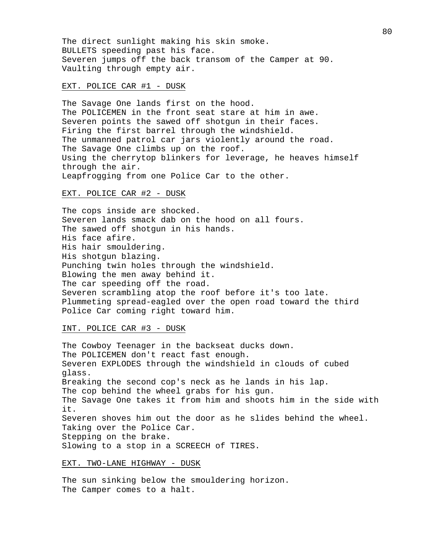The direct sunlight making his skin smoke. BULLETS speeding past his face. Severen jumps off the back transom of the Camper at 90. Vaulting through empty air.

### EXT. POLICE CAR #1 - DUSK

The Savage One lands first on the hood. The POLICEMEN in the front seat stare at him in awe. Severen points the sawed off shotgun in their faces. Firing the first barrel through the windshield. The unmanned patrol car jars violently around the road. The Savage One climbs up on the roof. Using the cherrytop blinkers for leverage, he heaves himself through the air. Leapfrogging from one Police Car to the other.

#### EXT. POLICE CAR #2 - DUSK

The cops inside are shocked. Severen lands smack dab on the hood on all fours. The sawed off shotgun in his hands. His face afire. His hair smouldering. His shotgun blazing. Punching twin holes through the windshield. Blowing the men away behind it. The car speeding off the road. Severen scrambling atop the roof before it's too late. Plummeting spread-eagled over the open road toward the third Police Car coming right toward him.

### INT. POLICE CAR #3 - DUSK

The Cowboy Teenager in the backseat ducks down. The POLICEMEN don't react fast enough. Severen EXPLODES through the windshield in clouds of cubed glass. Breaking the second cop's neck as he lands in his lap. The cop behind the wheel grabs for his gun. The Savage One takes it from him and shoots him in the side with it. Severen shoves him out the door as he slides behind the wheel. Taking over the Police Car. Stepping on the brake. Slowing to a stop in a SCREECH of TIRES.

### EXT. TWO-LANE HIGHWAY - DUSK

The sun sinking below the smouldering horizon. The Camper comes to a halt.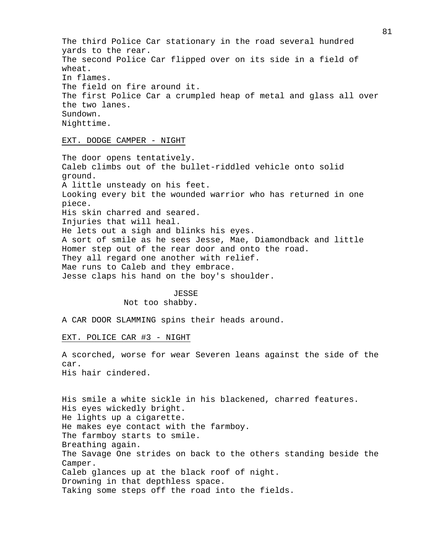The third Police Car stationary in the road several hundred yards to the rear. The second Police Car flipped over on its side in a field of wheat. In flames. The field on fire around it. The first Police Car a crumpled heap of metal and glass all over the two lanes. Sundown. Nighttime.

### EXT. DODGE CAMPER - NIGHT

The door opens tentatively. Caleb climbs out of the bullet-riddled vehicle onto solid ground. A little unsteady on his feet. Looking every bit the wounded warrior who has returned in one piece. His skin charred and seared. Injuries that will heal. He lets out a sigh and blinks his eyes. A sort of smile as he sees Jesse, Mae, Diamondback and little Homer step out of the rear door and onto the road. They all regard one another with relief. Mae runs to Caleb and they embrace. Jesse claps his hand on the boy's shoulder.

#### JESSE

Not too shabby.

A CAR DOOR SLAMMING spins their heads around.

#### EXT. POLICE CAR #3 - NIGHT

A scorched, worse for wear Severen leans against the side of the car. His hair cindered.

His smile a white sickle in his blackened, charred features. His eyes wickedly bright. He lights up a cigarette. He makes eye contact with the farmboy. The farmboy starts to smile. Breathing again. The Savage One strides on back to the others standing beside the Camper. Caleb glances up at the black roof of night. Drowning in that depthless space. Taking some steps off the road into the fields.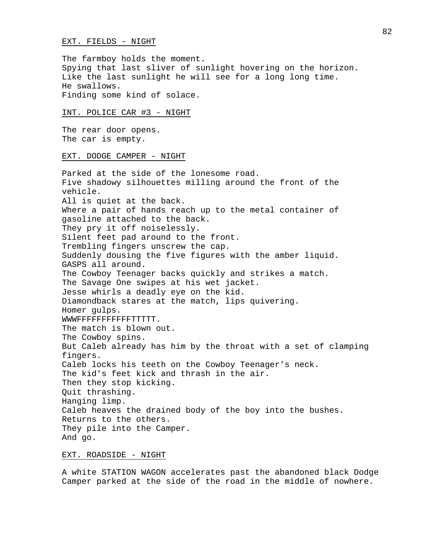#### EXT. FIELDS - NIGHT

The farmboy holds the moment. Spying that last sliver of sunlight hovering on the horizon. Like the last sunlight he will see for a long long time. He swallows. Finding some kind of solace.

### INT. POLICE CAR #3 - NIGHT

The rear door opens. The car is empty.

#### EXT. DODGE CAMPER - NIGHT

Parked at the side of the lonesome road. Five shadowy silhouettes milling around the front of the vehicle. All is quiet at the back. Where a pair of hands reach up to the metal container of gasoline attached to the back. They pry it off noiselessly. Silent feet pad around to the front. Trembling fingers unscrew the cap. Suddenly dousing the five figures with the amber liquid. GASPS all around. The Cowboy Teenager backs quickly and strikes a match. The Savage One swipes at his wet jacket. Jesse whirls a deadly eye on the kid. Diamondback stares at the match, lips quivering. Homer gulps. WWWFFFFFFFFFFFTTTTT. The match is blown out. The Cowboy spins. But Caleb already has him by the throat with a set of clamping fingers. Caleb locks his teeth on the Cowboy Teenager's neck. The kid's feet kick and thrash in the air. Then they stop kicking. Quit thrashing. Hanging limp. Caleb heaves the drained body of the boy into the bushes. Returns to the others. They pile into the Camper. And go.

#### EXT. ROADSIDE - NIGHT

A white STATION WAGON accelerates past the abandoned black Dodge Camper parked at the side of the road in the middle of nowhere.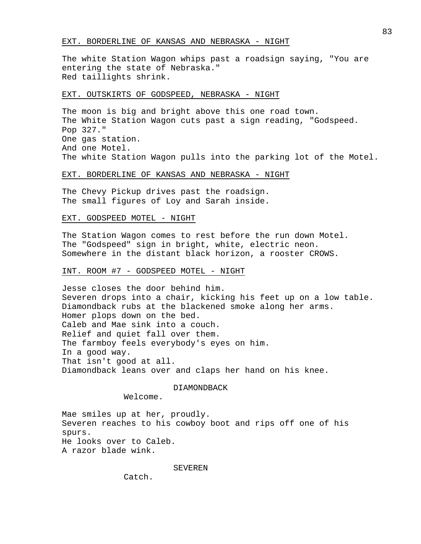#### EXT. BORDERLINE OF KANSAS AND NEBRASKA - NIGHT

The white Station Wagon whips past a roadsign saying, "You are entering the state of Nebraska." Red taillights shrink.

### EXT. OUTSKIRTS OF GODSPEED, NEBRASKA - NIGHT

The moon is big and bright above this one road town. The White Station Wagon cuts past a sign reading, "Godspeed. Pop 327." One gas station. And one Motel. The white Station Wagon pulls into the parking lot of the Motel.

### EXT. BORDERLINE OF KANSAS AND NEBRASKA - NIGHT

The Chevy Pickup drives past the roadsign. The small figures of Loy and Sarah inside.

### EXT. GODSPEED MOTEL - NIGHT

The Station Wagon comes to rest before the run down Motel. The "Godspeed" sign in bright, white, electric neon. Somewhere in the distant black horizon, a rooster CROWS.

### INT. ROOM #7 - GODSPEED MOTEL - NIGHT

Jesse closes the door behind him. Severen drops into a chair, kicking his feet up on a low table. Diamondback rubs at the blackened smoke along her arms. Homer plops down on the bed. Caleb and Mae sink into a couch. Relief and quiet fall over them. The farmboy feels everybody's eyes on him. In a good way. That isn't good at all. Diamondback leans over and claps her hand on his knee.

#### DIAMONDBACK

Welcome.

Mae smiles up at her, proudly. Severen reaches to his cowboy boot and rips off one of his spurs. He looks over to Caleb. A razor blade wink.

#### SEVEREN

Catch.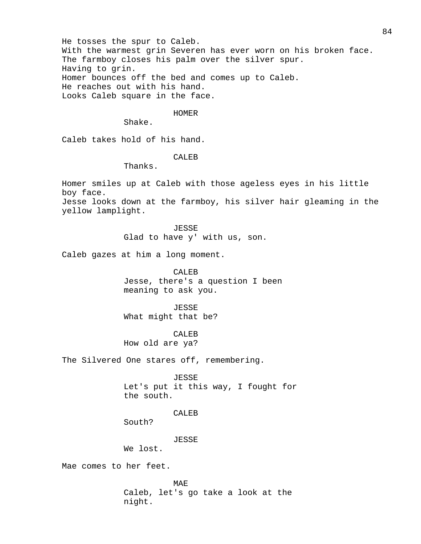He tosses the spur to Caleb. With the warmest grin Severen has ever worn on his broken face. The farmboy closes his palm over the silver spur. Having to grin. Homer bounces off the bed and comes up to Caleb. He reaches out with his hand. Looks Caleb square in the face.

### HOMER

Shake.

Caleb takes hold of his hand.

CALEB

Thanks.

Homer smiles up at Caleb with those ageless eyes in his little boy face. Jesse looks down at the farmboy, his silver hair gleaming in the yellow lamplight.

> JESSE Glad to have y' with us, son.

Caleb gazes at him a long moment.

CALEB Jesse, there's a question I been meaning to ask you.

JESSE What might that be?

CALE<sub>B</sub> How old are ya?

The Silvered One stares off, remembering.

JESSE Let's put it this way, I fought for the south.

CALEB

South?

JESSE

We lost.

Mae comes to her feet.

MAE Caleb, let's go take a look at the night.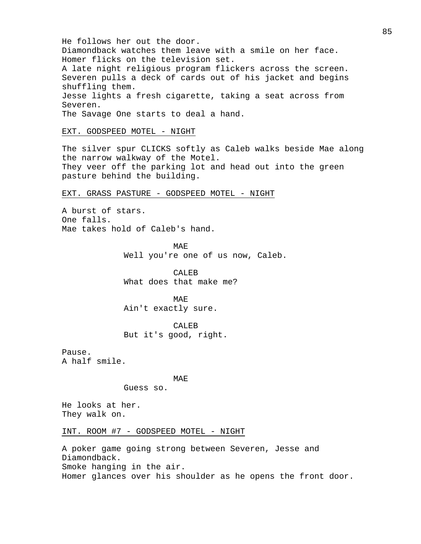He follows her out the door. Diamondback watches them leave with a smile on her face. Homer flicks on the television set. A late night religious program flickers across the screen. Severen pulls a deck of cards out of his jacket and begins shuffling them. Jesse lights a fresh cigarette, taking a seat across from Severen. The Savage One starts to deal a hand. EXT. GODSPEED MOTEL - NIGHT The silver spur CLICKS softly as Caleb walks beside Mae along the narrow walkway of the Motel. They veer off the parking lot and head out into the green pasture behind the building. EXT. GRASS PASTURE - GODSPEED MOTEL - NIGHT A burst of stars. One falls. Mae takes hold of Caleb's hand. MAE Well you're one of us now, Caleb. CALEB What does that make me? MAE Ain't exactly sure. CALEB But it's good, right. Pause. A half smile. MAE Guess so. He looks at her. They walk on. INT. ROOM #7 - GODSPEED MOTEL - NIGHT

A poker game going strong between Severen, Jesse and Diamondback. Smoke hanging in the air. Homer glances over his shoulder as he opens the front door.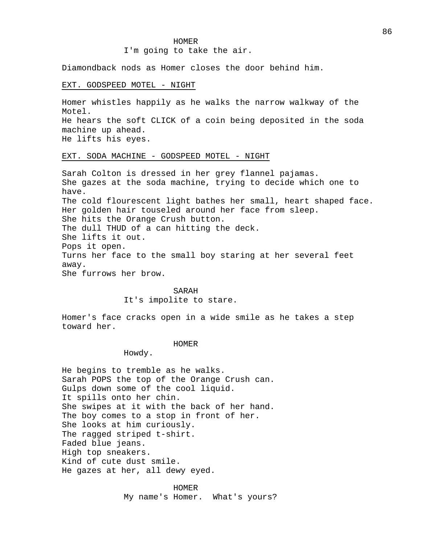#### HOMER

### I'm going to take the air.

Diamondback nods as Homer closes the door behind him.

#### EXT. GODSPEED MOTEL - NIGHT

Homer whistles happily as he walks the narrow walkway of the Motel. He hears the soft CLICK of a coin being deposited in the soda machine up ahead. He lifts his eyes.

### EXT. SODA MACHINE - GODSPEED MOTEL - NIGHT

Sarah Colton is dressed in her grey flannel pajamas. She gazes at the soda machine, trying to decide which one to have. The cold flourescent light bathes her small, heart shaped face. Her golden hair touseled around her face from sleep. She hits the Orange Crush button. The dull THUD of a can hitting the deck. She lifts it out. Pops it open. Turns her face to the small boy staring at her several feet away. She furrows her brow.

#### SARAH

It's impolite to stare.

Homer's face cracks open in a wide smile as he takes a step toward her.

#### HOMER

#### Howdy.

He begins to tremble as he walks. Sarah POPS the top of the Orange Crush can. Gulps down some of the cool liquid. It spills onto her chin. She swipes at it with the back of her hand. The boy comes to a stop in front of her. She looks at him curiously. The ragged striped t-shirt. Faded blue jeans. High top sneakers. Kind of cute dust smile. He gazes at her, all dewy eyed.

#### HOMER

My name's Homer. What's yours?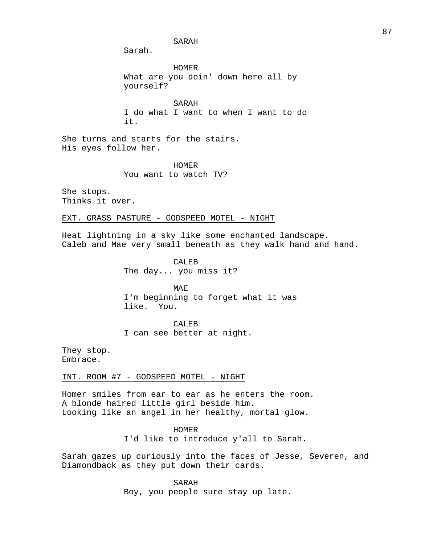SARAH

Sarah.

HOMER What are you doin' down here all by yourself?

SARAH I do what I want to when I want to do it.

She turns and starts for the stairs. His eyes follow her.

HOMER

You want to watch TV?

She stops. Thinks it over.

EXT. GRASS PASTURE - GODSPEED MOTEL - NIGHT

Heat lightning in a sky like some enchanted landscape. Caleb and Mae very small beneath as they walk hand and hand.

> CALEB The day... you miss it?

MAE I'm beginning to forget what it was like. You.

CALEB

I can see better at night.

They stop. Embrace.

INT. ROOM #7 - GODSPEED MOTEL - NIGHT

Homer smiles from ear to ear as he enters the room. A blonde haired little girl beside him. Looking like an angel in her healthy, mortal glow.

> HOMER I'd like to introduce y'all to Sarah.

Sarah gazes up curiously into the faces of Jesse, Severen, and Diamondback as they put down their cards.

> SARAH Boy, you people sure stay up late.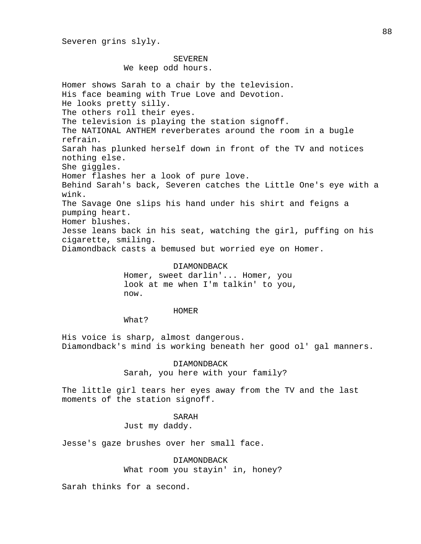# SEVEREN

We keep odd hours.

Homer shows Sarah to a chair by the television. His face beaming with True Love and Devotion. He looks pretty silly. The others roll their eyes. The television is playing the station signoff. The NATIONAL ANTHEM reverberates around the room in a bugle refrain. Sarah has plunked herself down in front of the TV and notices nothing else. She giggles. Homer flashes her a look of pure love. Behind Sarah's back, Severen catches the Little One's eye with a wink. The Savage One slips his hand under his shirt and feigns a pumping heart. Homer blushes. Jesse leans back in his seat, watching the girl, puffing on his cigarette, smiling. Diamondback casts a bemused but worried eye on Homer.

#### DIAMONDBACK

Homer, sweet darlin'... Homer, you look at me when I'm talkin' to you, now.

#### HOMER

What?

His voice is sharp, almost dangerous. Diamondback's mind is working beneath her good ol' gal manners.

> DIAMONDBACK Sarah, you here with your family?

The little girl tears her eyes away from the TV and the last moments of the station signoff.

#### SARAH

Just my daddy.

Jesse's gaze brushes over her small face.

DIAMONDBACK

What room you stayin' in, honey?

Sarah thinks for a second.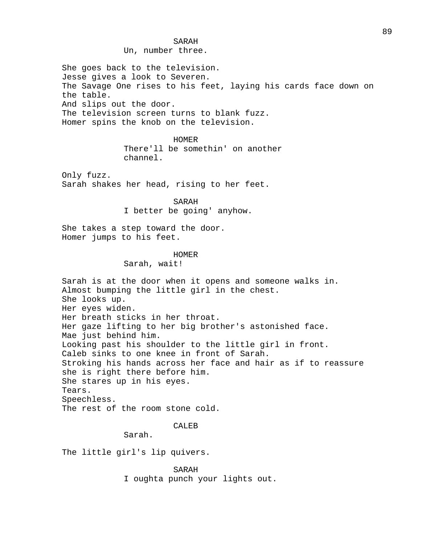Un, number three.

She goes back to the television. Jesse gives a look to Severen. The Savage One rises to his feet, laying his cards face down on the table. And slips out the door. The television screen turns to blank fuzz. Homer spins the knob on the television.

> HOMER There'll be somethin' on another channel.

Only fuzz. Sarah shakes her head, rising to her feet.

> SARAH I better be going' anyhow.

She takes a step toward the door. Homer jumps to his feet.

### HOMER

Sarah, wait!

Sarah is at the door when it opens and someone walks in. Almost bumping the little girl in the chest. She looks up. Her eyes widen. Her breath sticks in her throat. Her gaze lifting to her big brother's astonished face. Mae just behind him. Looking past his shoulder to the little girl in front. Caleb sinks to one knee in front of Sarah. Stroking his hands across her face and hair as if to reassure she is right there before him. She stares up in his eyes. Tears. Speechless. The rest of the room stone cold.

# CALEB

Sarah.

The little girl's lip quivers.

SARAH I oughta punch your lights out.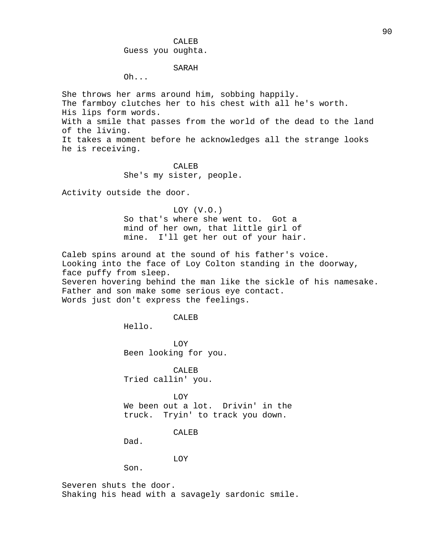# CALEB Guess you oughta.

### SARAH

Oh...

She throws her arms around him, sobbing happily. The farmboy clutches her to his chest with all he's worth. His lips form words. With a smile that passes from the world of the dead to the land of the living. It takes a moment before he acknowledges all the strange looks he is receiving.

### CALEB

She's my sister, people.

Activity outside the door.

LOY (V.O.) So that's where she went to. Got a mind of her own, that little girl of mine. I'll get her out of your hair.

Caleb spins around at the sound of his father's voice. Looking into the face of Loy Colton standing in the doorway, face puffy from sleep. Severen hovering behind the man like the sickle of his namesake. Father and son make some serious eye contact. Words just don't express the feelings.

CALEB

Hello.

LOY Been looking for you.

CALEB Tried callin' you.

LOY

We been out a lot. Drivin' in the truck. Tryin' to track you down.

CALEB

Dad.

LOY

Son.

Severen shuts the door. Shaking his head with a savagely sardonic smile.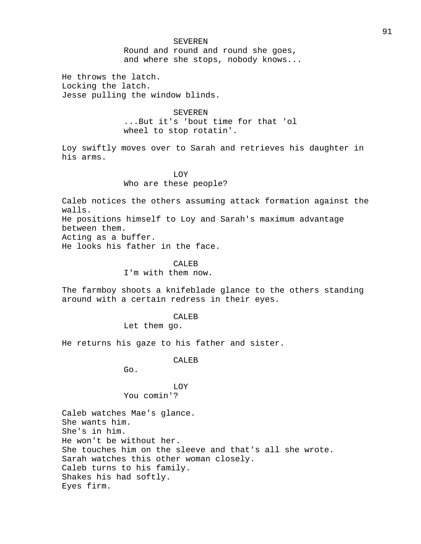#### SEVEREN

Round and round and round she goes, and where she stops, nobody knows...

He throws the latch. Locking the latch. Jesse pulling the window blinds.

> SEVEREN ...But it's 'bout time for that 'ol wheel to stop rotatin'.

Loy swiftly moves over to Sarah and retrieves his daughter in his arms.

# LOY Who are these people?

Caleb notices the others assuming attack formation against the walls.

He positions himself to Loy and Sarah's maximum advantage between them.

Acting as a buffer.

He looks his father in the face.

### CALEB

I'm with them now.

The farmboy shoots a knifeblade glance to the others standing around with a certain redress in their eyes.

#### CALEB

Let them go.

He returns his gaze to his father and sister.

### CALEB

Go.

# LOY You comin'?

Caleb watches Mae's glance. She wants him. She's in him. He won't be without her. She touches him on the sleeve and that's all she wrote. Sarah watches this other woman closely. Caleb turns to his family. Shakes his had softly. Eyes firm.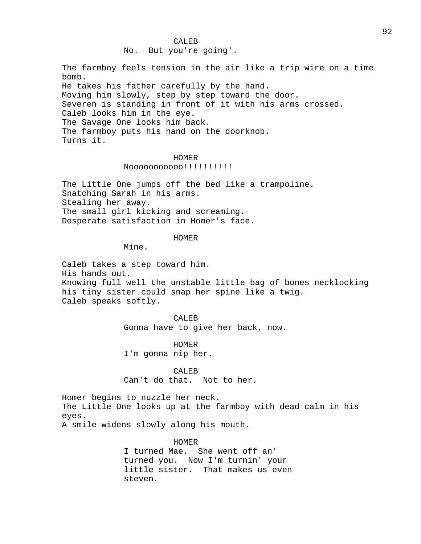No. But you're going'.

The farmboy feels tension in the air like a trip wire on a time bomb. He takes his father carefully by the hand. Moving him slowly, step by step toward the door. Severen is standing in front of it with his arms crossed. Caleb looks him in the eye. The Savage One looks him back. The farmboy puts his hand on the doorknob. Turns it.

### HOMER

Nooooooooooo!!!!!!!!!!

The Little One jumps off the bed like a trampoline. Snatching Sarah in his arms. Stealing her away. The small girl kicking and screaming. Desperate satisfaction in Homer's face.

### HOMER

Mine.

Caleb takes a step toward him. His hands out. Knowing full well the unstable little bag of bones necklocking his tiny sister could snap her spine like a twig. Caleb speaks softly.

> CALEB Gonna have to give her back, now.

HOMER I'm gonna nip her.

CALEB Can't do that. Not to her.

Homer begins to nuzzle her neck. The Little One looks up at the farmboy with dead calm in his eyes. A smile widens slowly along his mouth.

#### HOMER

I turned Mae. She went off an' turned you. Now I'm turnin' your little sister. That makes us even steven.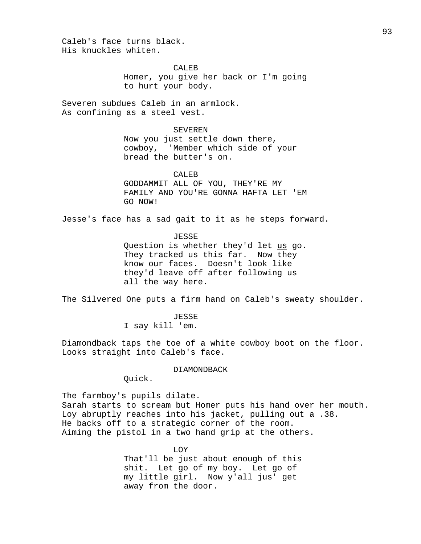Caleb's face turns black. His knuckles whiten.

CALEB

Homer, you give her back or I'm going to hurt your body.

Severen subdues Caleb in an armlock. As confining as a steel vest.

#### SEVEREN

Now you just settle down there, cowboy, 'Member which side of your bread the butter's on.

### CALEB

GODDAMMIT ALL OF YOU, THEY'RE MY FAMILY AND YOU'RE GONNA HAFTA LET 'EM GO NOW!

Jesse's face has a sad gait to it as he steps forward.

JESSE

Question is whether they'd let us go. They tracked us this far. Now they know our faces. Doesn't look like they'd leave off after following us all the way here.

The Silvered One puts a firm hand on Caleb's sweaty shoulder.

JESSE I say kill 'em.

Diamondback taps the toe of a white cowboy boot on the floor. Looks straight into Caleb's face.

#### DIAMONDBACK

Quick.

The farmboy's pupils dilate. Sarah starts to scream but Homer puts his hand over her mouth. Loy abruptly reaches into his jacket, pulling out a .38. He backs off to a strategic corner of the room. Aiming the pistol in a two hand grip at the others.

> LOY That'll be just about enough of this shit. Let go of my boy. Let go of my little girl. Now y'all jus' get away from the door.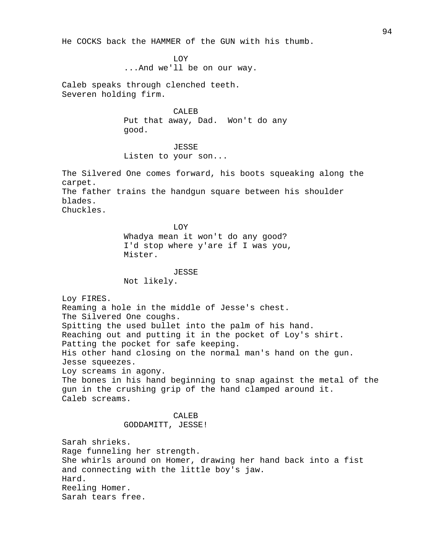He COCKS back the HAMMER of the GUN with his thumb.

LOY

...And we'll be on our way.

Caleb speaks through clenched teeth. Severen holding firm.

> CALEB Put that away, Dad. Won't do any good.

# JESSE

Listen to your son...

The Silvered One comes forward, his boots squeaking along the carpet.

The father trains the handgun square between his shoulder blades.

Chuckles.

LOY Whadya mean it won't do any good? I'd stop where y'are if I was you, Mister.

#### JESSE

Not likely.

Loy FIRES. Reaming a hole in the middle of Jesse's chest. The Silvered One coughs. Spitting the used bullet into the palm of his hand. Reaching out and putting it in the pocket of Loy's shirt. Patting the pocket for safe keeping. His other hand closing on the normal man's hand on the gun. Jesse squeezes. Loy screams in agony. The bones in his hand beginning to snap against the metal of the gun in the crushing grip of the hand clamped around it. Caleb screams. CALEB GODDAMITT, JESSE!

Sarah shrieks. Rage funneling her strength. She whirls around on Homer, drawing her hand back into a fist and connecting with the little boy's jaw. Hard. Reeling Homer. Sarah tears free.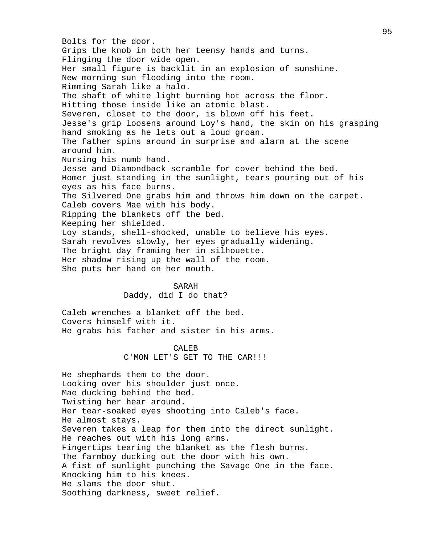Bolts for the door. Grips the knob in both her teensy hands and turns. Flinging the door wide open. Her small figure is backlit in an explosion of sunshine. New morning sun flooding into the room. Rimming Sarah like a halo. The shaft of white light burning hot across the floor. Hitting those inside like an atomic blast. Severen, closet to the door, is blown off his feet. Jesse's grip loosens around Loy's hand, the skin on his grasping hand smoking as he lets out a loud groan. The father spins around in surprise and alarm at the scene around him. Nursing his numb hand. Jesse and Diamondback scramble for cover behind the bed. Homer just standing in the sunlight, tears pouring out of his eyes as his face burns. The Silvered One grabs him and throws him down on the carpet. Caleb covers Mae with his body. Ripping the blankets off the bed. Keeping her shielded. Loy stands, shell-shocked, unable to believe his eyes. Sarah revolves slowly, her eyes gradually widening. The bright day framing her in silhouette. Her shadow rising up the wall of the room. She puts her hand on her mouth.

#### SARAH

Daddy, did I do that?

Caleb wrenches a blanket off the bed. Covers himself with it. He grabs his father and sister in his arms.

> CALEB C'MON LET'S GET TO THE CAR!!!

He shephards them to the door. Looking over his shoulder just once. Mae ducking behind the bed. Twisting her hear around. Her tear-soaked eyes shooting into Caleb's face. He almost stays. Severen takes a leap for them into the direct sunlight. He reaches out with his long arms. Fingertips tearing the blanket as the flesh burns. The farmboy ducking out the door with his own. A fist of sunlight punching the Savage One in the face. Knocking him to his knees. He slams the door shut. Soothing darkness, sweet relief.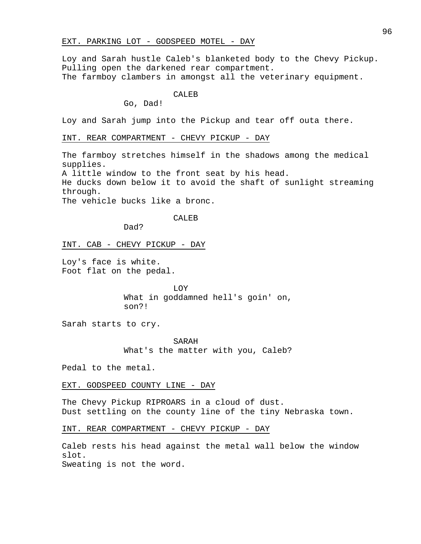### EXT. PARKING LOT - GODSPEED MOTEL - DAY

Loy and Sarah hustle Caleb's blanketed body to the Chevy Pickup. Pulling open the darkened rear compartment. The farmboy clambers in amongst all the veterinary equipment.

### CALEB

Go, Dad!

Loy and Sarah jump into the Pickup and tear off outa there.

INT. REAR COMPARTMENT - CHEVY PICKUP - DAY

The farmboy stretches himself in the shadows among the medical supplies.

A little window to the front seat by his head.

He ducks down below it to avoid the shaft of sunlight streaming through.

The vehicle bucks like a bronc.

### CALEB

Dad?

INT. CAB - CHEVY PICKUP - DAY

Loy's face is white. Foot flat on the pedal.

> LOY What in goddamned hell's goin' on, son?!

Sarah starts to cry.

SARAH What's the matter with you, Caleb?

Pedal to the metal.

#### EXT. GODSPEED COUNTY LINE - DAY

The Chevy Pickup RIPROARS in a cloud of dust. Dust settling on the county line of the tiny Nebraska town.

INT. REAR COMPARTMENT - CHEVY PICKUP - DAY

Caleb rests his head against the metal wall below the window slot. Sweating is not the word.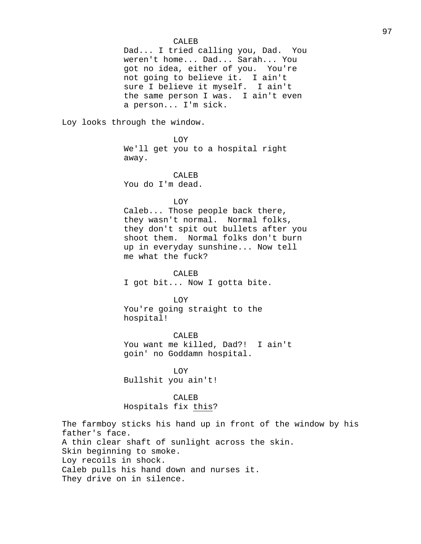### CALEB

Dad... I tried calling you, Dad. You weren't home... Dad... Sarah... You got no idea, either of you. You're not going to believe it. I ain't sure I believe it myself. I ain't the same person I was. I ain't even a person... I'm sick.

Loy looks through the window.

LOY We'll get you to a hospital right away.

CALEB You do I'm dead.

LOY

Caleb... Those people back there, they wasn't normal. Normal folks, they don't spit out bullets after you shoot them. Normal folks don't burn up in everyday sunshine... Now tell me what the fuck?

CALEB I got bit... Now I gotta bite.

LOY

You're going straight to the hospital!

CALEB You want me killed, Dad?! I ain't goin' no Goddamn hospital.

LOY Bullshit you ain't!

CALEB Hospitals fix this?

The farmboy sticks his hand up in front of the window by his father's face. A thin clear shaft of sunlight across the skin. Skin beginning to smoke. Loy recoils in shock. Caleb pulls his hand down and nurses it. They drive on in silence.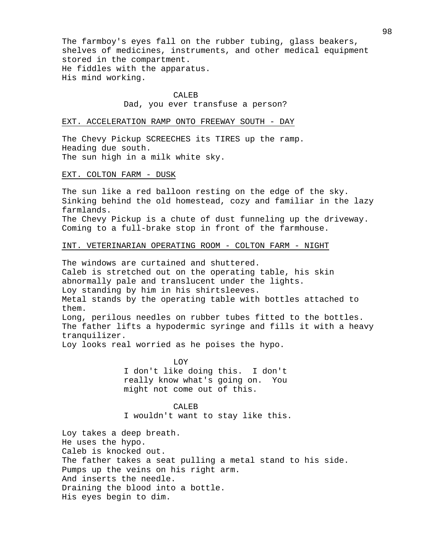The farmboy's eyes fall on the rubber tubing, glass beakers, shelves of medicines, instruments, and other medical equipment stored in the compartment. He fiddles with the apparatus. His mind working.

#### CALEB

### Dad, you ever transfuse a person?

#### EXT. ACCELERATION RAMP ONTO FREEWAY SOUTH - DAY

The Chevy Pickup SCREECHES its TIRES up the ramp. Heading due south. The sun high in a milk white sky.

#### EXT. COLTON FARM - DUSK

The sun like a red balloon resting on the edge of the sky. Sinking behind the old homestead, cozy and familiar in the lazy farmlands.

The Chevy Pickup is a chute of dust funneling up the driveway. Coming to a full-brake stop in front of the farmhouse.

### INT. VETERINARIAN OPERATING ROOM - COLTON FARM - NIGHT

The windows are curtained and shuttered. Caleb is stretched out on the operating table, his skin abnormally pale and translucent under the lights. Loy standing by him in his shirtsleeves. Metal stands by the operating table with bottles attached to them. Long, perilous needles on rubber tubes fitted to the bottles.

The father lifts a hypodermic syringe and fills it with a heavy tranquilizer.

Loy looks real worried as he poises the hypo.

LOY I don't like doing this. I don't really know what's going on. You might not come out of this.

CALEB I wouldn't want to stay like this.

Loy takes a deep breath. He uses the hypo. Caleb is knocked out. The father takes a seat pulling a metal stand to his side. Pumps up the veins on his right arm. And inserts the needle. Draining the blood into a bottle. His eyes begin to dim.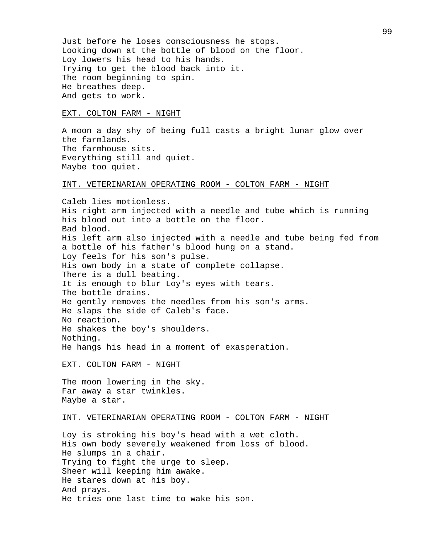Just before he loses consciousness he stops. Looking down at the bottle of blood on the floor. Loy lowers his head to his hands. Trying to get the blood back into it. The room beginning to spin. He breathes deep. And gets to work.

### EXT. COLTON FARM - NIGHT

A moon a day shy of being full casts a bright lunar glow over the farmlands. The farmhouse sits. Everything still and quiet. Maybe too quiet.

### INT. VETERINARIAN OPERATING ROOM - COLTON FARM - NIGHT

Caleb lies motionless. His right arm injected with a needle and tube which is running his blood out into a bottle on the floor. Bad blood. His left arm also injected with a needle and tube being fed from a bottle of his father's blood hung on a stand. Loy feels for his son's pulse. His own body in a state of complete collapse. There is a dull beating. It is enough to blur Loy's eyes with tears. The bottle drains. He gently removes the needles from his son's arms. He slaps the side of Caleb's face. No reaction. He shakes the boy's shoulders. Nothing. He hangs his head in a moment of exasperation.

#### EXT. COLTON FARM - NIGHT

The moon lowering in the sky. Far away a star twinkles. Maybe a star.

#### INT. VETERINARIAN OPERATING ROOM - COLTON FARM - NIGHT

Loy is stroking his boy's head with a wet cloth. His own body severely weakened from loss of blood. He slumps in a chair. Trying to fight the urge to sleep. Sheer will keeping him awake. He stares down at his boy. And prays. He tries one last time to wake his son.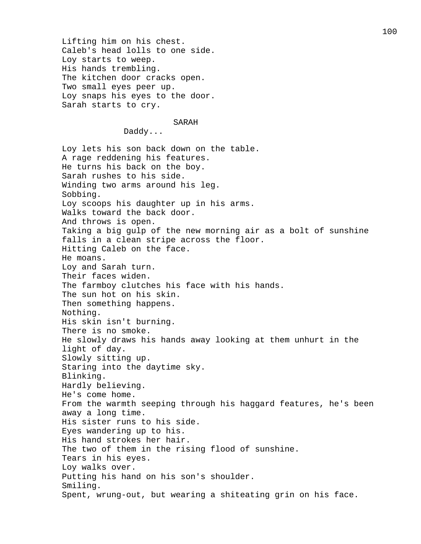Lifting him on his chest. Caleb's head lolls to one side. Loy starts to weep. His hands trembling. The kitchen door cracks open. Two small eyes peer up. Loy snaps his eyes to the door. Sarah starts to cry.

### SARAH

Daddy...

Loy lets his son back down on the table. A rage reddening his features. He turns his back on the boy. Sarah rushes to his side. Winding two arms around his leg. Sobbing. Loy scoops his daughter up in his arms. Walks toward the back door. And throws is open. Taking a big gulp of the new morning air as a bolt of sunshine falls in a clean stripe across the floor. Hitting Caleb on the face. He moans. Loy and Sarah turn. Their faces widen. The farmboy clutches his face with his hands. The sun hot on his skin. Then something happens. Nothing. His skin isn't burning. There is no smoke. He slowly draws his hands away looking at them unhurt in the light of day. Slowly sitting up. Staring into the daytime sky. Blinking. Hardly believing. He's come home. From the warmth seeping through his haggard features, he's been away a long time. His sister runs to his side. Eyes wandering up to his. His hand strokes her hair. The two of them in the rising flood of sunshine. Tears in his eyes. Loy walks over. Putting his hand on his son's shoulder. Smiling. Spent, wrung-out, but wearing a shiteating grin on his face.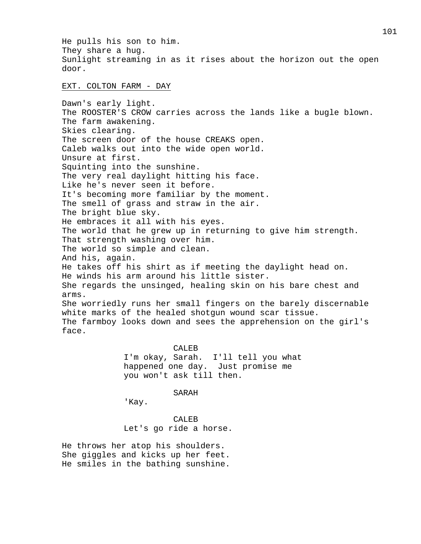He pulls his son to him. They share a hug. Sunlight streaming in as it rises about the horizon out the open door.

EXT. COLTON FARM - DAY

Dawn's early light. The ROOSTER'S CROW carries across the lands like a bugle blown. The farm awakening. Skies clearing. The screen door of the house CREAKS open. Caleb walks out into the wide open world. Unsure at first. Squinting into the sunshine. The very real daylight hitting his face. Like he's never seen it before. It's becoming more familiar by the moment. The smell of grass and straw in the air. The bright blue sky. He embraces it all with his eyes. The world that he grew up in returning to give him strength. That strength washing over him. The world so simple and clean. And his, again. He takes off his shirt as if meeting the daylight head on. He winds his arm around his little sister. She regards the unsinged, healing skin on his bare chest and arms. She worriedly runs her small fingers on the barely discernable white marks of the healed shotgun wound scar tissue. The farmboy looks down and sees the apprehension on the girl's face.

CALEB

I'm okay, Sarah. I'll tell you what happened one day. Just promise me you won't ask till then.

SARAH

'Kay.

CALEB Let's go ride a horse.

He throws her atop his shoulders. She giggles and kicks up her feet. He smiles in the bathing sunshine.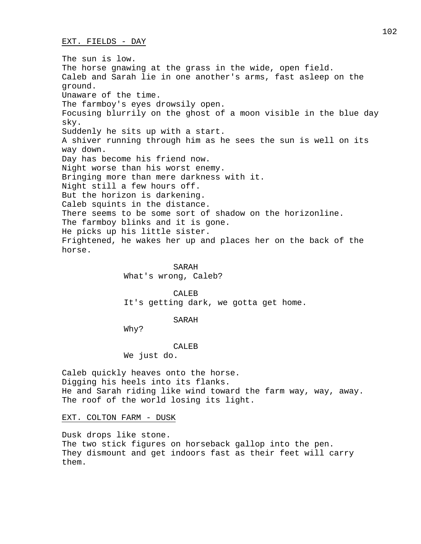EXT. FIELDS - DAY

The sun is low. The horse gnawing at the grass in the wide, open field. Caleb and Sarah lie in one another's arms, fast asleep on the ground. Unaware of the time. The farmboy's eyes drowsily open. Focusing blurrily on the ghost of a moon visible in the blue day sky. Suddenly he sits up with a start. A shiver running through him as he sees the sun is well on its way down. Day has become his friend now. Night worse than his worst enemy. Bringing more than mere darkness with it. Night still a few hours off. But the horizon is darkening. Caleb squints in the distance. There seems to be some sort of shadow on the horizonline. The farmboy blinks and it is gone. He picks up his little sister. Frightened, he wakes her up and places her on the back of the horse.

> SARAH What's wrong, Caleb?

CALEB It's getting dark, we gotta get home.

SARAH

Why?

CALEB

We just do.

Caleb quickly heaves onto the horse. Digging his heels into its flanks. He and Sarah riding like wind toward the farm way, way, away. The roof of the world losing its light.

EXT. COLTON FARM - DUSK

Dusk drops like stone. The two stick figures on horseback gallop into the pen. They dismount and get indoors fast as their feet will carry them.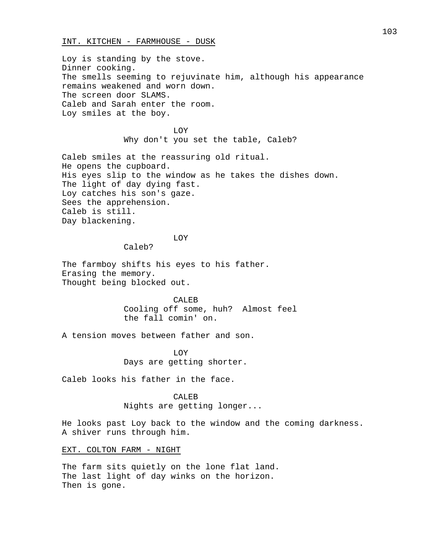### INT. KITCHEN - FARMHOUSE - DUSK

Loy is standing by the stove. Dinner cooking. The smells seeming to rejuvinate him, although his appearance remains weakened and worn down. The screen door SLAMS. Caleb and Sarah enter the room. Loy smiles at the boy.

> LOY Why don't you set the table, Caleb?

Caleb smiles at the reassuring old ritual. He opens the cupboard. His eyes slip to the window as he takes the dishes down. The light of day dying fast. Loy catches his son's gaze. Sees the apprehension. Caleb is still. Day blackening.

# LOY

Caleb?

The farmboy shifts his eyes to his father. Erasing the memory. Thought being blocked out.

> CALEB Cooling off some, huh? Almost feel the fall comin' on.

A tension moves between father and son.

LOY Days are getting shorter.

Caleb looks his father in the face.

### CALEB

Nights are getting longer...

He looks past Loy back to the window and the coming darkness. A shiver runs through him.

EXT. COLTON FARM - NIGHT

The farm sits quietly on the lone flat land. The last light of day winks on the horizon. Then is gone.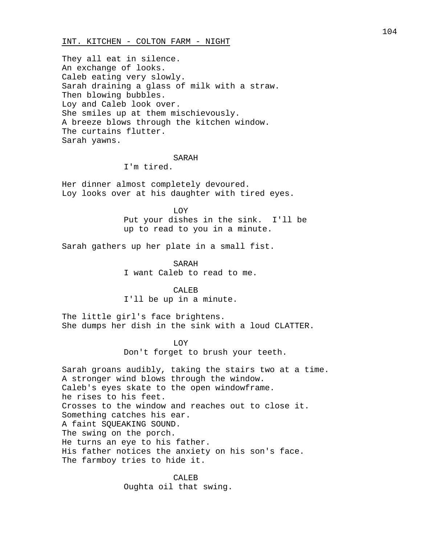### INT. KITCHEN - COLTON FARM - NIGHT

They all eat in silence. An exchange of looks. Caleb eating very slowly. Sarah draining a glass of milk with a straw. Then blowing bubbles. Loy and Caleb look over. She smiles up at them mischievously. A breeze blows through the kitchen window. The curtains flutter. Sarah yawns.

### SARAH

# I'm tired.

Her dinner almost completely devoured. Loy looks over at his daughter with tired eyes.

LOY

Put your dishes in the sink. I'll be up to read to you in a minute.

Sarah gathers up her plate in a small fist.

SARAH I want Caleb to read to me.

CALEB I'll be up in a minute.

The little girl's face brightens. She dumps her dish in the sink with a loud CLATTER.

> LOY Don't forget to brush your teeth.

Sarah groans audibly, taking the stairs two at a time. A stronger wind blows through the window. Caleb's eyes skate to the open windowframe. he rises to his feet. Crosses to the window and reaches out to close it. Something catches his ear. A faint SQUEAKING SOUND. The swing on the porch. He turns an eye to his father. His father notices the anxiety on his son's face. The farmboy tries to hide it.

> CALEB Oughta oil that swing.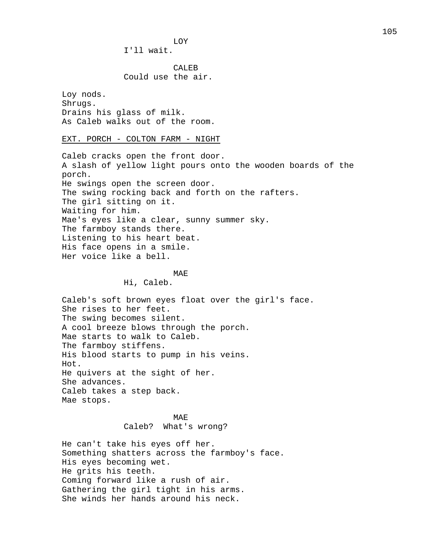LOY I'll wait.

CALEB Could use the air.

Loy nods. Shrugs. Drains his glass of milk. As Caleb walks out of the room.

EXT. PORCH - COLTON FARM - NIGHT

Caleb cracks open the front door. A slash of yellow light pours onto the wooden boards of the porch. He swings open the screen door. The swing rocking back and forth on the rafters. The girl sitting on it. Waiting for him. Mae's eyes like a clear, sunny summer sky. The farmboy stands there. Listening to his heart beat. His face opens in a smile. Her voice like a bell.

### MA<sub>F</sub>

Hi, Caleb.

Caleb's soft brown eyes float over the girl's face. She rises to her feet. The swing becomes silent. A cool breeze blows through the porch. Mae starts to walk to Caleb. The farmboy stiffens. His blood starts to pump in his veins. Hot. He quivers at the sight of her. She advances. Caleb takes a step back. Mae stops.

# MAE Caleb? What's wrong?

He can't take his eyes off her. Something shatters across the farmboy's face. His eyes becoming wet. He grits his teeth. Coming forward like a rush of air. Gathering the girl tight in his arms. She winds her hands around his neck.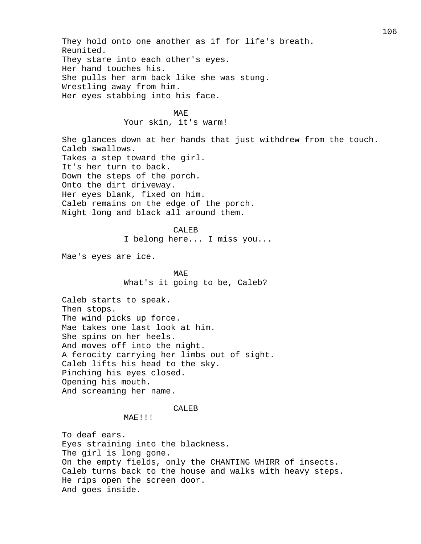They hold onto one another as if for life's breath. Reunited. They stare into each other's eyes. Her hand touches his. She pulls her arm back like she was stung. Wrestling away from him. Her eyes stabbing into his face. MAE Your skin, it's warm! She glances down at her hands that just withdrew from the touch. Caleb swallows. Takes a step toward the girl. It's her turn to back. Down the steps of the porch. Onto the dirt driveway. Her eyes blank, fixed on him. Caleb remains on the edge of the porch. Night long and black all around them. CALEB I belong here... I miss you... Mae's eyes are ice. MA<sub>F</sub> What's it going to be, Caleb? Caleb starts to speak. Then stops. The wind picks up force. Mae takes one last look at him. She spins on her heels. And moves off into the night. A ferocity carrying her limbs out of sight. Caleb lifts his head to the sky. Pinching his eyes closed. Opening his mouth. And screaming her name. CALEB MAE!!! To deaf ears. Eyes straining into the blackness. The girl is long gone. On the empty fields, only the CHANTING WHIRR of insects. Caleb turns back to the house and walks with heavy steps. He rips open the screen door. And goes inside.

106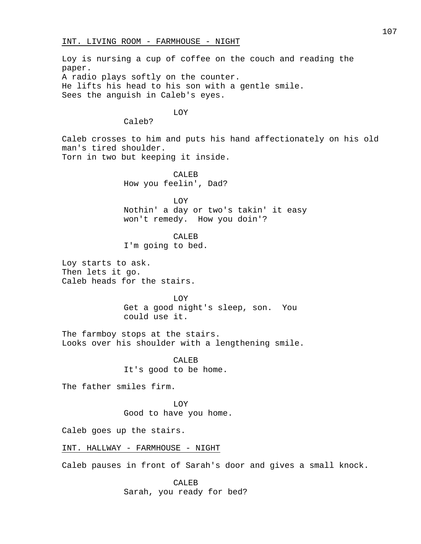Loy is nursing a cup of coffee on the couch and reading the paper. A radio plays softly on the counter. He lifts his head to his son with a gentle smile. Sees the anguish in Caleb's eyes.

# LOY

Caleb?

Caleb crosses to him and puts his hand affectionately on his old man's tired shoulder. Torn in two but keeping it inside.

> CALEB How you feelin', Dad?

LOY Nothin' a day or two's takin' it easy won't remedy. How you doin'?

CALEB

I'm going to bed.

Loy starts to ask. Then lets it go. Caleb heads for the stairs.

> LOY Get a good night's sleep, son. You could use it.

The farmboy stops at the stairs. Looks over his shoulder with a lengthening smile.

> CALEB It's good to be home.

The father smiles firm.

LOY Good to have you home.

Caleb goes up the stairs.

INT. HALLWAY - FARMHOUSE - NIGHT

Caleb pauses in front of Sarah's door and gives a small knock.

CALEB Sarah, you ready for bed?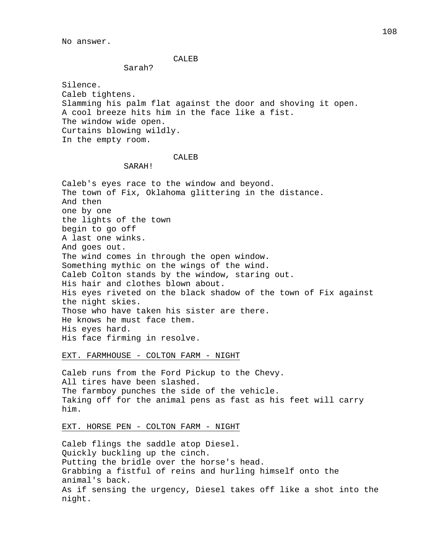No answer.

#### CALEB

## Sarah?

Silence. Caleb tightens. Slamming his palm flat against the door and shoving it open. A cool breeze hits him in the face like a fist. The window wide open. Curtains blowing wildly. In the empty room.

## CALEB

## SARAH!

Caleb's eyes race to the window and beyond. The town of Fix, Oklahoma glittering in the distance. And then one by one the lights of the town begin to go off A last one winks. And goes out. The wind comes in through the open window. Something mythic on the wings of the wind. Caleb Colton stands by the window, staring out. His hair and clothes blown about. His eyes riveted on the black shadow of the town of Fix against the night skies. Those who have taken his sister are there. He knows he must face them. His eyes hard. His face firming in resolve.

EXT. FARMHOUSE - COLTON FARM - NIGHT

Caleb runs from the Ford Pickup to the Chevy. All tires have been slashed. The farmboy punches the side of the vehicle. Taking off for the animal pens as fast as his feet will carry him.

# EXT. HORSE PEN - COLTON FARM - NIGHT

Caleb flings the saddle atop Diesel. Quickly buckling up the cinch. Putting the bridle over the horse's head. Grabbing a fistful of reins and hurling himself onto the animal's back. As if sensing the urgency, Diesel takes off like a shot into the night.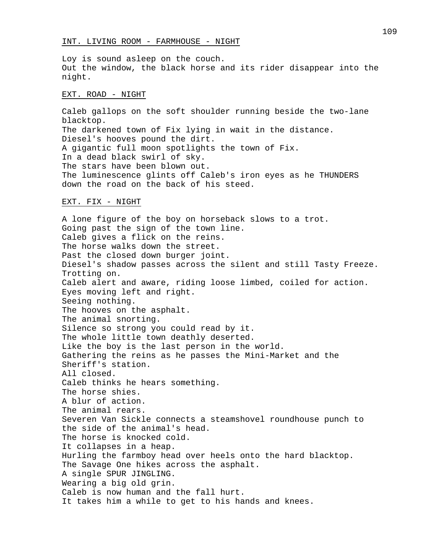Loy is sound asleep on the couch. Out the window, the black horse and its rider disappear into the night.

#### EXT. ROAD - NIGHT

Caleb gallops on the soft shoulder running beside the two-lane blacktop. The darkened town of Fix lying in wait in the distance. Diesel's hooves pound the dirt. A gigantic full moon spotlights the town of Fix. In a dead black swirl of sky. The stars have been blown out. The luminescence glints off Caleb's iron eyes as he THUNDERS down the road on the back of his steed.

# EXT. FIX - NIGHT

A lone figure of the boy on horseback slows to a trot. Going past the sign of the town line. Caleb gives a flick on the reins. The horse walks down the street. Past the closed down burger joint. Diesel's shadow passes across the silent and still Tasty Freeze. Trotting on. Caleb alert and aware, riding loose limbed, coiled for action. Eyes moving left and right. Seeing nothing. The hooves on the asphalt. The animal snorting. Silence so strong you could read by it. The whole little town deathly deserted. Like the boy is the last person in the world. Gathering the reins as he passes the Mini-Market and the Sheriff's station. All closed. Caleb thinks he hears something. The horse shies. A blur of action. The animal rears. Severen Van Sickle connects a steamshovel roundhouse punch to the side of the animal's head. The horse is knocked cold. It collapses in a heap. Hurling the farmboy head over heels onto the hard blacktop. The Savage One hikes across the asphalt. A single SPUR JINGLING. Wearing a big old grin. Caleb is now human and the fall hurt. It takes him a while to get to his hands and knees.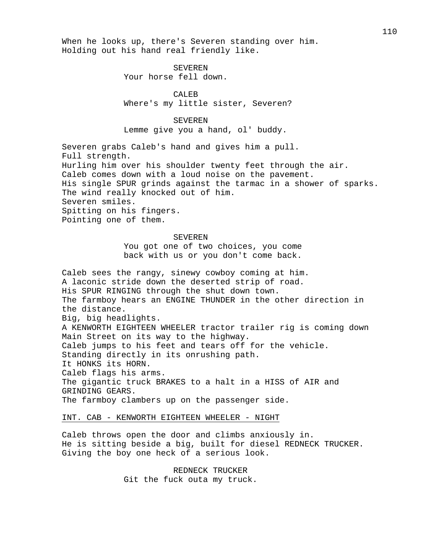When he looks up, there's Severen standing over him. Holding out his hand real friendly like.

> SEVEREN Your horse fell down.

CALEB Where's my little sister, Severen?

## SEVEREN

Lemme give you a hand, ol' buddy.

Severen grabs Caleb's hand and gives him a pull. Full strength. Hurling him over his shoulder twenty feet through the air. Caleb comes down with a loud noise on the pavement. His single SPUR grinds against the tarmac in a shower of sparks. The wind really knocked out of him. Severen smiles. Spitting on his fingers. Pointing one of them.

## SEVEREN

You got one of two choices, you come back with us or you don't come back.

Caleb sees the rangy, sinewy cowboy coming at him. A laconic stride down the deserted strip of road. His SPUR RINGING through the shut down town. The farmboy hears an ENGINE THUNDER in the other direction in the distance. Big, big headlights. A KENWORTH EIGHTEEN WHEELER tractor trailer rig is coming down Main Street on its way to the highway. Caleb jumps to his feet and tears off for the vehicle. Standing directly in its onrushing path. It HONKS its HORN. Caleb flags his arms. The gigantic truck BRAKES to a halt in a HISS of AIR and GRINDING GEARS. The farmboy clambers up on the passenger side.

# INT. CAB - KENWORTH EIGHTEEN WHEELER - NIGHT

Caleb throws open the door and climbs anxiously in. He is sitting beside a big, built for diesel REDNECK TRUCKER. Giving the boy one heck of a serious look.

> REDNECK TRUCKER Git the fuck outa my truck.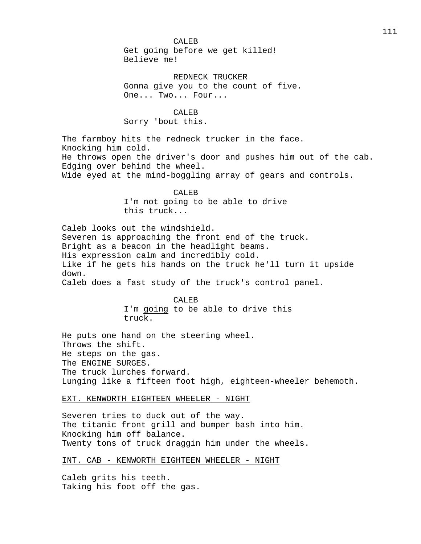CALEB Get going before we get killed! Believe me!

REDNECK TRUCKER Gonna give you to the count of five. One... Two... Four...

CALEB Sorry 'bout this.

The farmboy hits the redneck trucker in the face. Knocking him cold. He throws open the driver's door and pushes him out of the cab. Edging over behind the wheel. Wide eyed at the mind-boggling array of gears and controls.

> CALEB I'm not going to be able to drive this truck...

Caleb looks out the windshield. Severen is approaching the front end of the truck. Bright as a beacon in the headlight beams. His expression calm and incredibly cold. Like if he gets his hands on the truck he'll turn it upside down.

Caleb does a fast study of the truck's control panel.

CALEB I'm going to be able to drive this truck.

He puts one hand on the steering wheel. Throws the shift. He steps on the gas. The ENGINE SURGES. The truck lurches forward. Lunging like a fifteen foot high, eighteen-wheeler behemoth.

EXT. KENWORTH EIGHTEEN WHEELER - NIGHT

Severen tries to duck out of the way. The titanic front grill and bumper bash into him. Knocking him off balance. Twenty tons of truck draggin him under the wheels.

INT. CAB - KENWORTH EIGHTEEN WHEELER - NIGHT

Caleb grits his teeth. Taking his foot off the gas.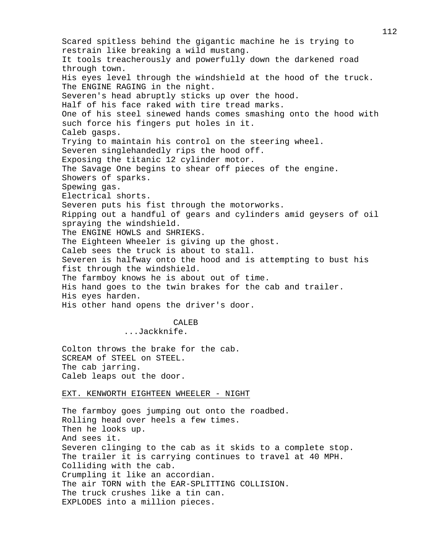Scared spitless behind the gigantic machine he is trying to restrain like breaking a wild mustang. It tools treacherously and powerfully down the darkened road through town. His eyes level through the windshield at the hood of the truck. The ENGINE RAGING in the night. Severen's head abruptly sticks up over the hood. Half of his face raked with tire tread marks. One of his steel sinewed hands comes smashing onto the hood with such force his fingers put holes in it. Caleb gasps. Trying to maintain his control on the steering wheel. Severen singlehandedly rips the hood off. Exposing the titanic 12 cylinder motor. The Savage One begins to shear off pieces of the engine. Showers of sparks. Spewing gas. Electrical shorts. Severen puts his fist through the motorworks. Ripping out a handful of gears and cylinders amid geysers of oil spraying the windshield. The ENGINE HOWLS and SHRIEKS. The Eighteen Wheeler is giving up the ghost. Caleb sees the truck is about to stall. Severen is halfway onto the hood and is attempting to bust his fist through the windshield. The farmboy knows he is about out of time. His hand goes to the twin brakes for the cab and trailer. His eyes harden. His other hand opens the driver's door. CALEB<sub>B</sub> ...Jackknife. Colton throws the brake for the cab. SCREAM of STEEL on STEEL. The cab jarring. Caleb leaps out the door. EXT. KENWORTH EIGHTEEN WHEELER - NIGHT

The farmboy goes jumping out onto the roadbed. Rolling head over heels a few times. Then he looks up. And sees it. Severen clinging to the cab as it skids to a complete stop. The trailer it is carrying continues to travel at 40 MPH. Colliding with the cab. Crumpling it like an accordian. The air TORN with the EAR-SPLITTING COLLISION. The truck crushes like a tin can. EXPLODES into a million pieces.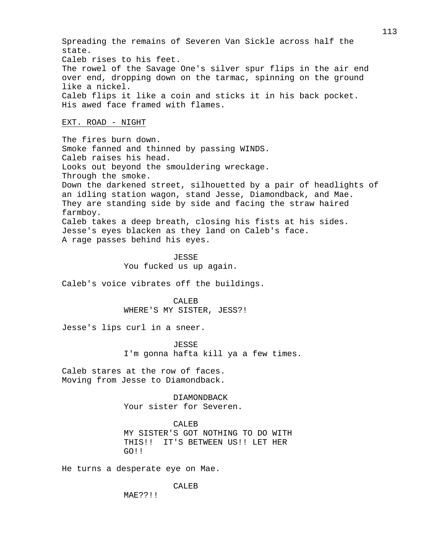Spreading the remains of Severen Van Sickle across half the state. Caleb rises to his feet. The rowel of the Savage One's silver spur flips in the air end over end, dropping down on the tarmac, spinning on the ground like a nickel. Caleb flips it like a coin and sticks it in his back pocket. His awed face framed with flames.

#### EXT. ROAD - NIGHT

The fires burn down. Smoke fanned and thinned by passing WINDS. Caleb raises his head. Looks out beyond the smouldering wreckage. Through the smoke. Down the darkened street, silhouetted by a pair of headlights of an idling station wagon, stand Jesse, Diamondback, and Mae. They are standing side by side and facing the straw haired farmboy. Caleb takes a deep breath, closing his fists at his sides. Jesse's eyes blacken as they land on Caleb's face. A rage passes behind his eyes.

> JESSE You fucked us up again.

Caleb's voice vibrates off the buildings.

CALEB WHERE'S MY SISTER, JESS?!

Jesse's lips curl in a sneer.

JESSE I'm gonna hafta kill ya a few times.

Caleb stares at the row of faces. Moving from Jesse to Diamondback.

> DIAMONDBACK Your sister for Severen.

CALEB MY SISTER'S GOT NOTHING TO DO WITH THIS!! IT'S BETWEEN US!! LET HER GO!!

He turns a desperate eye on Mae.

MAE??!!

CALEB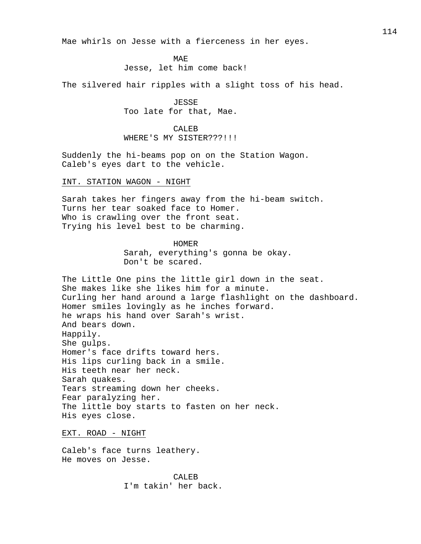Mae whirls on Jesse with a fierceness in her eyes.

MAE Jesse, let him come back!

The silvered hair ripples with a slight toss of his head.

JESSE Too late for that, Mae.

CALEB WHERE'S MY SISTER???!!!

Suddenly the hi-beams pop on on the Station Wagon. Caleb's eyes dart to the vehicle.

INT. STATION WAGON - NIGHT

Sarah takes her fingers away from the hi-beam switch. Turns her tear soaked face to Homer. Who is crawling over the front seat. Trying his level best to be charming.

> HOMER Sarah, everything's gonna be okay. Don't be scared.

The Little One pins the little girl down in the seat. She makes like she likes him for a minute. Curling her hand around a large flashlight on the dashboard. Homer smiles lovingly as he inches forward. he wraps his hand over Sarah's wrist. And bears down. Happily. She gulps. Homer's face drifts toward hers. His lips curling back in a smile. His teeth near her neck. Sarah quakes. Tears streaming down her cheeks. Fear paralyzing her. The little boy starts to fasten on her neck. His eyes close.

EXT. ROAD - NIGHT

Caleb's face turns leathery. He moves on Jesse.

> CALEB I'm takin' her back.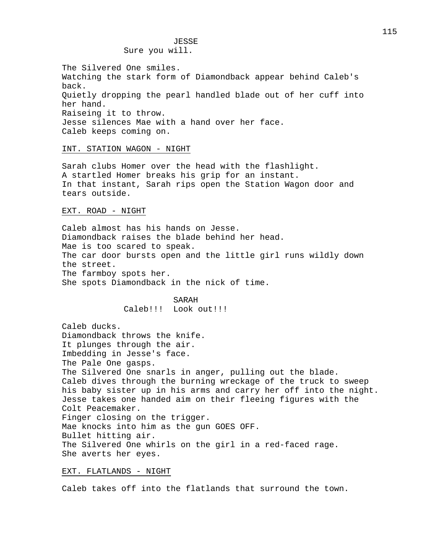# JESSE Sure you will.

The Silvered One smiles. Watching the stark form of Diamondback appear behind Caleb's back. Quietly dropping the pearl handled blade out of her cuff into her hand. Raiseing it to throw. Jesse silences Mae with a hand over her face. Caleb keeps coming on.

## INT. STATION WAGON - NIGHT

Sarah clubs Homer over the head with the flashlight. A startled Homer breaks his grip for an instant. In that instant, Sarah rips open the Station Wagon door and tears outside.

## EXT. ROAD - NIGHT

Caleb almost has his hands on Jesse. Diamondback raises the blade behind her head. Mae is too scared to speak. The car door bursts open and the little girl runs wildly down the street. The farmboy spots her. She spots Diamondback in the nick of time.

#### SARAH

Caleb!!! Look out!!!

Caleb ducks.

Diamondback throws the knife. It plunges through the air. Imbedding in Jesse's face. The Pale One gasps. The Silvered One snarls in anger, pulling out the blade. Caleb dives through the burning wreckage of the truck to sweep his baby sister up in his arms and carry her off into the night. Jesse takes one handed aim on their fleeing figures with the Colt Peacemaker. Finger closing on the trigger. Mae knocks into him as the gun GOES OFF. Bullet hitting air. The Silvered One whirls on the girl in a red-faced rage. She averts her eyes.

# EXT. FLATLANDS - NIGHT

Caleb takes off into the flatlands that surround the town.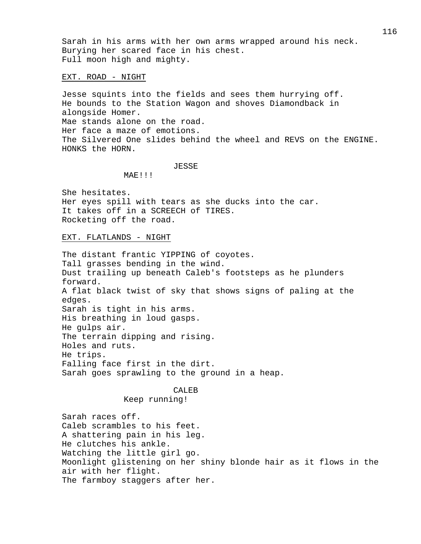Sarah in his arms with her own arms wrapped around his neck. Burying her scared face in his chest. Full moon high and mighty.

#### EXT. ROAD - NIGHT

Jesse squints into the fields and sees them hurrying off. He bounds to the Station Wagon and shoves Diamondback in alongside Homer. Mae stands alone on the road. Her face a maze of emotions. The Silvered One slides behind the wheel and REVS on the ENGINE. HONKS the HORN.

#### JESSE

MAE!!!

She hesitates. Her eyes spill with tears as she ducks into the car. It takes off in a SCREECH of TIRES. Rocketing off the road.

#### EXT. FLATLANDS - NIGHT

The distant frantic YIPPING of coyotes. Tall grasses bending in the wind. Dust trailing up beneath Caleb's footsteps as he plunders forward. A flat black twist of sky that shows signs of paling at the edges. Sarah is tight in his arms. His breathing in loud gasps. He gulps air. The terrain dipping and rising. Holes and ruts. He trips. Falling face first in the dirt. Sarah goes sprawling to the ground in a heap.

#### CALEB

#### Keep running!

Sarah races off. Caleb scrambles to his feet. A shattering pain in his leg. He clutches his ankle. Watching the little girl go. Moonlight glistening on her shiny blonde hair as it flows in the air with her flight. The farmboy staggers after her.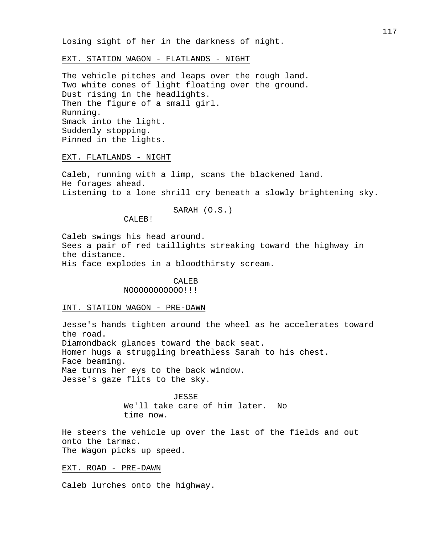Losing sight of her in the darkness of night.

EXT. STATION WAGON - FLATLANDS - NIGHT

The vehicle pitches and leaps over the rough land. Two white cones of light floating over the ground. Dust rising in the headlights. Then the figure of a small girl. Running. Smack into the light. Suddenly stopping. Pinned in the lights.

EXT. FLATLANDS - NIGHT

Caleb, running with a limp, scans the blackened land. He forages ahead. Listening to a lone shrill cry beneath a slowly brightening sky.

SARAH (O.S.)

CALEB!

Caleb swings his head around. Sees a pair of red taillights streaking toward the highway in the distance. His face explodes in a bloodthirsty scream.

# CALEB

NOOOOOOOOOOO!!!

## INT. STATION WAGON - PRE-DAWN

Jesse's hands tighten around the wheel as he accelerates toward the road. Diamondback glances toward the back seat. Homer hugs a struggling breathless Sarah to his chest. Face beaming. Mae turns her eys to the back window. Jesse's gaze flits to the sky.

JESSE

We'll take care of him later. No time now.

He steers the vehicle up over the last of the fields and out onto the tarmac. The Wagon picks up speed.

EXT. ROAD - PRE-DAWN

Caleb lurches onto the highway.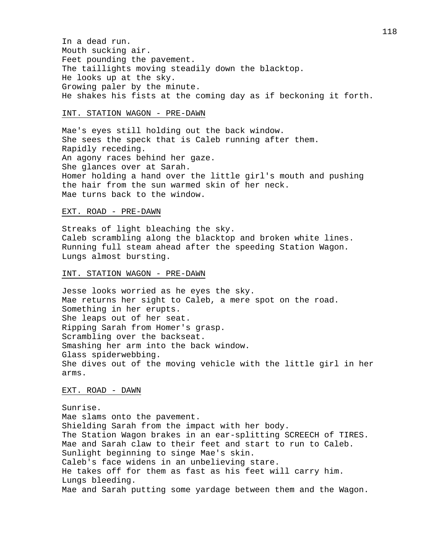In a dead run. Mouth sucking air. Feet pounding the pavement. The taillights moving steadily down the blacktop. He looks up at the sky. Growing paler by the minute. He shakes his fists at the coming day as if beckoning it forth.

#### INT. STATION WAGON - PRE-DAWN

Mae's eyes still holding out the back window. She sees the speck that is Caleb running after them. Rapidly receding. An agony races behind her gaze. She glances over at Sarah. Homer holding a hand over the little girl's mouth and pushing the hair from the sun warmed skin of her neck. Mae turns back to the window.

# EXT. ROAD - PRE-DAWN

Streaks of light bleaching the sky. Caleb scrambling along the blacktop and broken white lines. Running full steam ahead after the speeding Station Wagon. Lungs almost bursting.

#### INT. STATION WAGON - PRE-DAWN

Jesse looks worried as he eyes the sky. Mae returns her sight to Caleb, a mere spot on the road. Something in her erupts. She leaps out of her seat. Ripping Sarah from Homer's grasp. Scrambling over the backseat. Smashing her arm into the back window. Glass spiderwebbing. She dives out of the moving vehicle with the little girl in her arms.

# EXT. ROAD - DAWN

Sunrise. Mae slams onto the pavement. Shielding Sarah from the impact with her body. The Station Wagon brakes in an ear-splitting SCREECH of TIRES. Mae and Sarah claw to their feet and start to run to Caleb. Sunlight beginning to singe Mae's skin. Caleb's face widens in an unbelieving stare. He takes off for them as fast as his feet will carry him. Lungs bleeding. Mae and Sarah putting some yardage between them and the Wagon.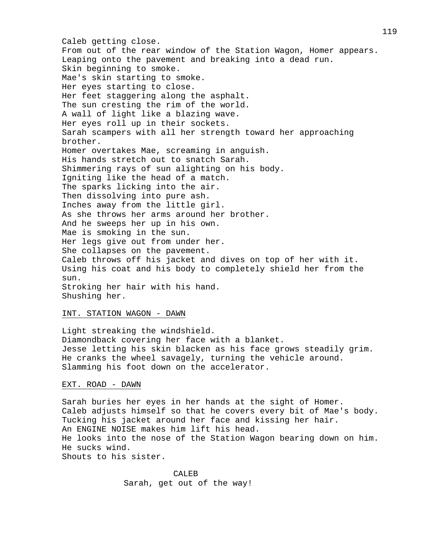Caleb getting close. From out of the rear window of the Station Wagon, Homer appears. Leaping onto the pavement and breaking into a dead run. Skin beginning to smoke. Mae's skin starting to smoke. Her eyes starting to close. Her feet staggering along the asphalt. The sun cresting the rim of the world. A wall of light like a blazing wave. Her eyes roll up in their sockets. Sarah scampers with all her strength toward her approaching brother. Homer overtakes Mae, screaming in anguish. His hands stretch out to snatch Sarah. Shimmering rays of sun alighting on his body. Igniting like the head of a match. The sparks licking into the air. Then dissolving into pure ash. Inches away from the little girl. As she throws her arms around her brother. And he sweeps her up in his own. Mae is smoking in the sun. Her legs give out from under her. She collapses on the pavement. Caleb throws off his jacket and dives on top of her with it. Using his coat and his body to completely shield her from the sun. Stroking her hair with his hand. Shushing her.

## INT. STATION WAGON - DAWN

Light streaking the windshield. Diamondback covering her face with a blanket. Jesse letting his skin blacken as his face grows steadily grim. He cranks the wheel savagely, turning the vehicle around. Slamming his foot down on the accelerator.

# EXT. ROAD - DAWN

Sarah buries her eyes in her hands at the sight of Homer. Caleb adjusts himself so that he covers every bit of Mae's body. Tucking his jacket around her face and kissing her hair. An ENGINE NOISE makes him lift his head. He looks into the nose of the Station Wagon bearing down on him. He sucks wind. Shouts to his sister.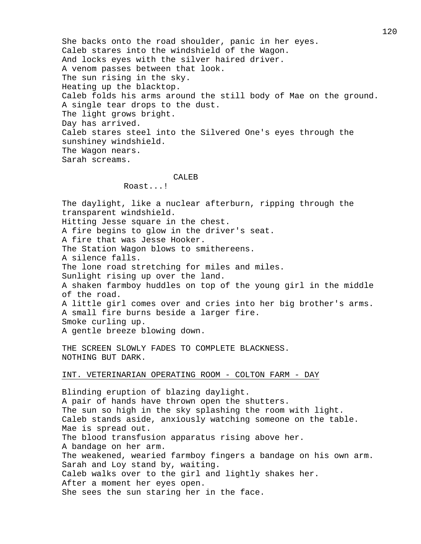She backs onto the road shoulder, panic in her eyes. Caleb stares into the windshield of the Wagon. And locks eyes with the silver haired driver. A venom passes between that look. The sun rising in the sky. Heating up the blacktop. Caleb folds his arms around the still body of Mae on the ground. A single tear drops to the dust. The light grows bright. Day has arrived. Caleb stares steel into the Silvered One's eyes through the sunshiney windshield. The Wagon nears. Sarah screams.

#### CALEB

Roast...!

The daylight, like a nuclear afterburn, ripping through the transparent windshield. Hitting Jesse square in the chest. A fire begins to glow in the driver's seat. A fire that was Jesse Hooker. The Station Wagon blows to smithereens. A silence falls. The lone road stretching for miles and miles. Sunlight rising up over the land. A shaken farmboy huddles on top of the young girl in the middle of the road. A little girl comes over and cries into her big brother's arms. A small fire burns beside a larger fire. Smoke curling up. A gentle breeze blowing down.

THE SCREEN SLOWLY FADES TO COMPLETE BLACKNESS. NOTHING BUT DARK.

#### INT. VETERINARIAN OPERATING ROOM - COLTON FARM - DAY

Blinding eruption of blazing daylight. A pair of hands have thrown open the shutters. The sun so high in the sky splashing the room with light. Caleb stands aside, anxiously watching someone on the table. Mae is spread out. The blood transfusion apparatus rising above her. A bandage on her arm. The weakened, wearied farmboy fingers a bandage on his own arm. Sarah and Loy stand by, waiting. Caleb walks over to the girl and lightly shakes her. After a moment her eyes open. She sees the sun staring her in the face.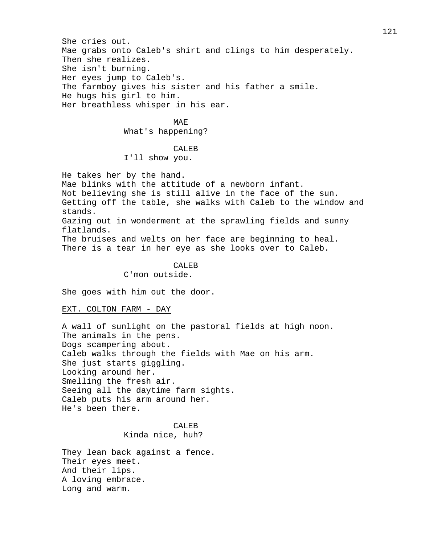She cries out. Mae grabs onto Caleb's shirt and clings to him desperately. Then she realizes. She isn't burning. Her eyes jump to Caleb's. The farmboy gives his sister and his father a smile. He hugs his girl to him. Her breathless whisper in his ear.

# MAE

What's happening?

#### CALE<sub>B</sub>

I'll show you.

He takes her by the hand. Mae blinks with the attitude of a newborn infant. Not believing she is still alive in the face of the sun. Getting off the table, she walks with Caleb to the window and stands. Gazing out in wonderment at the sprawling fields and sunny flatlands. The bruises and welts on her face are beginning to heal. There is a tear in her eye as she looks over to Caleb.

> CALEB C'mon outside.

She goes with him out the door.

# EXT. COLTON FARM - DAY

A wall of sunlight on the pastoral fields at high noon. The animals in the pens. Dogs scampering about. Caleb walks through the fields with Mae on his arm. She just starts giggling. Looking around her. Smelling the fresh air. Seeing all the daytime farm sights. Caleb puts his arm around her. He's been there.

> CALEB Kinda nice, huh?

They lean back against a fence. Their eyes meet. And their lips. A loving embrace. Long and warm.